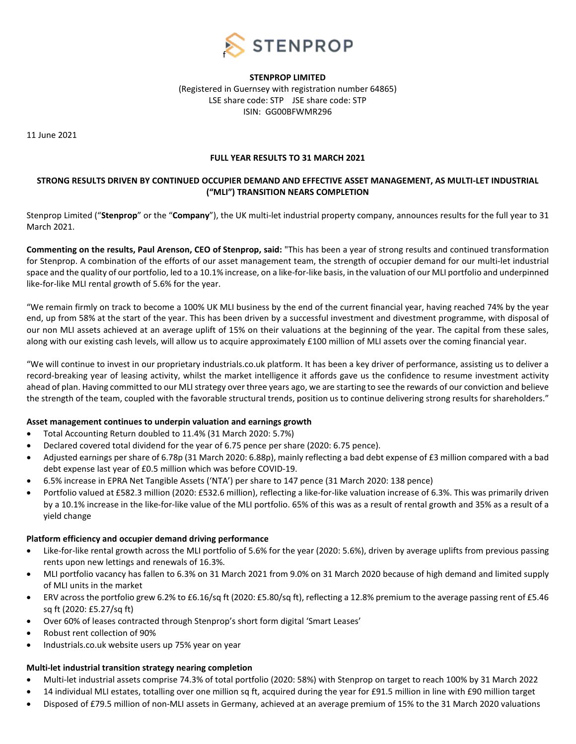

## **STENPROP LIMITED**

(Registered in Guernsey with registration number 64865) LSE share code: STP JSE share code: STP ISIN: GG00BFWMR296

11 June 2021

## **FULL YEAR RESULTS TO 31 MARCH 2021**

## **STRONG RESULTS DRIVEN BY CONTINUED OCCUPIER DEMAND AND EFFECTIVE ASSET MANAGEMENT, AS MULTI-LET INDUSTRIAL ("MLI") TRANSITION NEARS COMPLETION**

Stenprop Limited ("**Stenprop**" or the "**Company**"), the UK multi-let industrial property company, announces results for the full year to 31 March 2021.

**Commenting on the results, Paul Arenson, CEO of Stenprop, said:** "This has been a year of strong results and continued transformation for Stenprop. A combination of the efforts of our asset management team, the strength of occupier demand for our multi-let industrial space and the quality of our portfolio, led to a 10.1% increase, on a like-for-like basis, in the valuation of our MLI portfolio and underpinned like-for-like MLI rental growth of 5.6% for the year.

"We remain firmly on track to become a 100% UK MLI business by the end of the current financial year, having reached 74% by the year end, up from 58% at the start of the year. This has been driven by a successful investment and divestment programme, with disposal of our non MLI assets achieved at an average uplift of 15% on their valuations at the beginning of the year. The capital from these sales, along with our existing cash levels, will allow us to acquire approximately £100 million of MLI assets over the coming financial year.

"We will continue to invest in our proprietary industrials.co.uk platform. It has been a key driver of performance, assisting us to deliver a record-breaking year of leasing activity, whilst the market intelligence it affords gave us the confidence to resume investment activity ahead of plan. Having committed to our MLI strategy over three years ago, we are starting to see the rewards of our conviction and believe the strength of the team, coupled with the favorable structural trends, position us to continue delivering strong results for shareholders."

## **Asset management continues to underpin valuation and earnings growth**

- Total Accounting Return doubled to 11.4% (31 March 2020: 5.7%)
- Declared covered total dividend for the year of 6.75 pence per share (2020: 6.75 pence).
- Adjusted earnings per share of 6.78p (31 March 2020: 6.88p), mainly reflecting a bad debt expense of £3 million compared with a bad debt expense last year of £0.5 million which was before COVID-19.
- 6.5% increase in EPRA Net Tangible Assets ('NTA') per share to 147 pence (31 March 2020: 138 pence)
- Portfolio valued at £582.3 million (2020: £532.6 million), reflecting a like-for-like valuation increase of 6.3%. This was primarily driven by a 10.1% increase in the like-for-like value of the MLI portfolio. 65% of this was as a result of rental growth and 35% as a result of a yield change

## **Platform efficiency and occupier demand driving performance**

- Like-for-like rental growth across the MLI portfolio of 5.6% for the year (2020: 5.6%), driven by average uplifts from previous passing rents upon new lettings and renewals of 16.3%.
- MLI portfolio vacancy has fallen to 6.3% on 31 March 2021 from 9.0% on 31 March 2020 because of high demand and limited supply of MLI units in the market
- ERV across the portfolio grew 6.2% to £6.16/sq ft (2020: £5.80/sq ft), reflecting a 12.8% premium to the average passing rent of £5.46 sq ft (2020: £5.27/sq ft)
- Over 60% of leases contracted through Stenprop's short form digital 'Smart Leases'
- Robust rent collection of 90%
- Industrials.co.uk website users up 75% year on year

## **Multi-let industrial transition strategy nearing completion**

- Multi-let industrial assets comprise 74.3% of total portfolio (2020: 58%) with Stenprop on target to reach 100% by 31 March 2022
- 14 individual MLI estates, totalling over one million sq ft, acquired during the year for £91.5 million in line with £90 million target
- Disposed of £79.5 million of non-MLI assets in Germany, achieved at an average premium of 15% to the 31 March 2020 valuations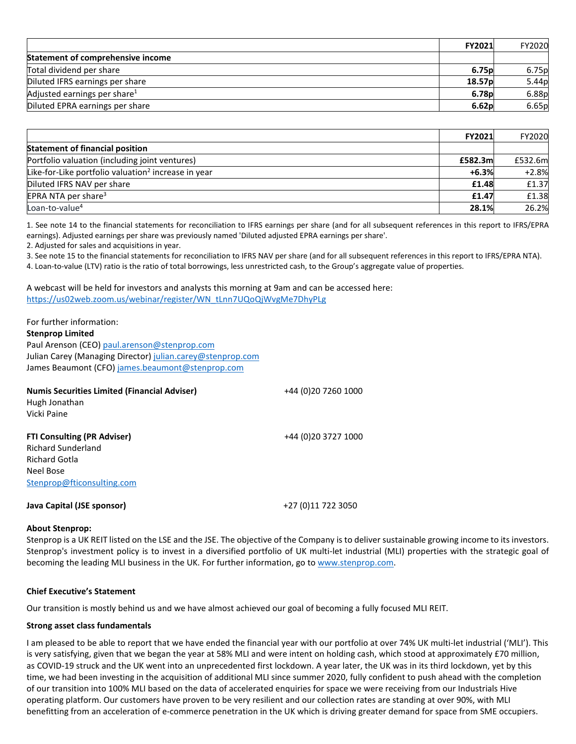|                                          | <b>FY2021</b>      | FY2020 |
|------------------------------------------|--------------------|--------|
| <b>Statement of comprehensive income</b> |                    |        |
| Total dividend per share                 | 6.75 <sub>p</sub>  | 6.75p  |
| Diluted IFRS earnings per share          | 18.57 <sub>p</sub> | 5.44p  |
| Adjusted earnings per share <sup>1</sup> | 6.78 <sub>p</sub>  | 6.88p  |
| Diluted EPRA earnings per share          | 6.62 <sub>p</sub>  | 6.65p  |

|                                                                 | FY2021  | <b>FY2020</b> |
|-----------------------------------------------------------------|---------|---------------|
| <b>Statement of financial position</b>                          |         |               |
| Portfolio valuation (including joint ventures)                  | £582.3m | £532.6m       |
| Like-for-Like portfolio valuation <sup>2</sup> increase in year | $+6.3%$ | $+2.8%$       |
| Diluted IFRS NAV per share                                      | £1.48   | £1.37         |
| EPRA NTA per share <sup>3</sup>                                 | £1.47   | £1.38         |
| Loan-to-value <sup>4</sup>                                      | 28.1%   | 26.2%         |

1. See note 14 to the financial statements for reconciliation to IFRS earnings per share (and for all subsequent references in this report to IFRS/EPRA earnings). Adjusted earnings per share was previously named 'Diluted adjusted EPRA earnings per share'.

2. Adjusted for sales and acquisitions in year.

3. See note 15 to the financial statements for reconciliation to IFRS NAV per share (and for all subsequent references in this report to IFRS/EPRA NTA).

4. Loan-to-value (LTV) ratio is the ratio of total borrowings, less unrestricted cash, to the Group's aggregate value of properties.

A webcast will be held for investors and analysts this morning at 9am and can be accessed here: [https://us02web.zoom.us/webinar/register/WN\\_tLnn7UQoQjWvgMe7DhyPLg](https://us02web.zoom.us/webinar/register/WN_tLnn7UQoQjWvgMe7DhyPLg)

| For further information:                                   |                      |
|------------------------------------------------------------|----------------------|
| <b>Stenprop Limited</b>                                    |                      |
| Paul Arenson (CEO) paul.arenson@stenprop.com               |                      |
| Julian Carey (Managing Director) julian.carey@stenprop.com |                      |
| James Beaumont (CFO) james.beaumont@stenprop.com           |                      |
| <b>Numis Securities Limited (Financial Adviser)</b>        | +44 (0)20 7260 1000  |
| Hugh Jonathan                                              |                      |
| Vicki Paine                                                |                      |
| <b>FTI Consulting (PR Adviser)</b>                         | +44 (0) 20 3727 1000 |
| <b>Richard Sunderland</b>                                  |                      |
| <b>Richard Gotla</b>                                       |                      |
| Neel Bose                                                  |                      |
| Stenprop@fticonsulting.com                                 |                      |
| <b>Java Capital (JSE sponsor)</b>                          | +27 (0)11 722 3050   |

#### **About Stenprop:**

Stenprop is a UK REIT listed on the LSE and the JSE. The objective of the Company is to deliver sustainable growing income to its investors. Stenprop's investment policy is to invest in a diversified portfolio of UK multi-let industrial (MLI) properties with the strategic goal of becoming the leading MLI business in the UK. For further information, go to www.stenprop.com.

#### **Chief Executive's Statement**

Our transition is mostly behind us and we have almost achieved our goal of becoming a fully focused MLI REIT.

#### **Strong asset class fundamentals**

I am pleased to be able to report that we have ended the financial year with our portfolio at over 74% UK multi-let industrial ('MLI'). This is very satisfying, given that we began the year at 58% MLI and were intent on holding cash, which stood at approximately £70 million, as COVID-19 struck and the UK went into an unprecedented first lockdown. A year later, the UK was in its third lockdown, yet by this time, we had been investing in the acquisition of additional MLI since summer 2020, fully confident to push ahead with the completion of our transition into 100% MLI based on the data of accelerated enquiries for space we were receiving from our Industrials Hive operating platform. Our customers have proven to be very resilient and our collection rates are standing at over 90%, with MLI benefitting from an acceleration of e-commerce penetration in the UK which is driving greater demand for space from SME occupiers.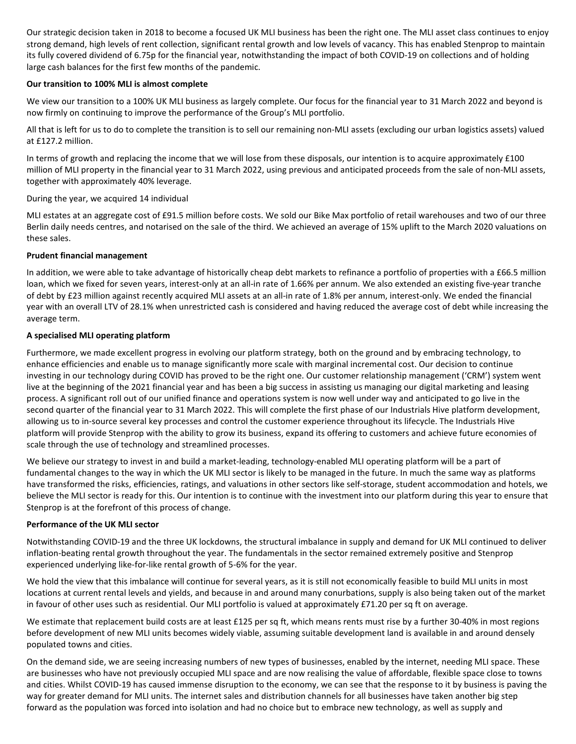Our strategic decision taken in 2018 to become a focused UK MLI business has been the right one. The MLI asset class continues to enjoy strong demand, high levels of rent collection, significant rental growth and low levels of vacancy. This has enabled Stenprop to maintain its fully covered dividend of 6.75p for the financial year, notwithstanding the impact of both COVID-19 on collections and of holding large cash balances for the first few months of the pandemic.

## **Our transition to 100% MLI is almost complete**

We view our transition to a 100% UK MLI business as largely complete. Our focus for the financial year to 31 March 2022 and beyond is now firmly on continuing to improve the performance of the Group's MLI portfolio.

All that is left for us to do to complete the transition is to sell our remaining non-MLI assets (excluding our urban logistics assets) valued at £127.2 million.

In terms of growth and replacing the income that we will lose from these disposals, our intention is to acquire approximately £100 million of MLI property in the financial year to 31 March 2022, using previous and anticipated proceeds from the sale of non-MLI assets, together with approximately 40% leverage.

During the year, we acquired 14 individual

MLI estates at an aggregate cost of £91.5 million before costs. We sold our Bike Max portfolio of retail warehouses and two of our three Berlin daily needs centres, and notarised on the sale of the third. We achieved an average of 15% uplift to the March 2020 valuations on these sales.

## **Prudent financial management**

In addition, we were able to take advantage of historically cheap debt markets to refinance a portfolio of properties with a £66.5 million loan, which we fixed for seven years, interest-only at an all-in rate of 1.66% per annum. We also extended an existing five-year tranche of debt by £23 million against recently acquired MLI assets at an all-in rate of 1.8% per annum, interest-only. We ended the financial year with an overall LTV of 28.1% when unrestricted cash is considered and having reduced the average cost of debt while increasing the average term.

## **A specialised MLI operating platform**

Furthermore, we made excellent progress in evolving our platform strategy, both on the ground and by embracing technology, to enhance efficiencies and enable us to manage significantly more scale with marginal incremental cost. Our decision to continue investing in our technology during COVID has proved to be the right one. Our customer relationship management ('CRM') system went live at the beginning of the 2021 financial year and has been a big success in assisting us managing our digital marketing and leasing process. A significant roll out of our unified finance and operations system is now well under way and anticipated to go live in the second quarter of the financial year to 31 March 2022. This will complete the first phase of our Industrials Hive platform development, allowing us to in-source several key processes and control the customer experience throughout its lifecycle. The Industrials Hive platform will provide Stenprop with the ability to grow its business, expand its offering to customers and achieve future economies of scale through the use of technology and streamlined processes.

We believe our strategy to invest in and build a market-leading, technology-enabled MLI operating platform will be a part of fundamental changes to the way in which the UK MLI sector is likely to be managed in the future. In much the same way as platforms have transformed the risks, efficiencies, ratings, and valuations in other sectors like self-storage, student accommodation and hotels, we believe the MLI sector is ready for this. Our intention is to continue with the investment into our platform during this year to ensure that Stenprop is at the forefront of this process of change.

## **Performance of the UK MLI sector**

Notwithstanding COVID-19 and the three UK lockdowns, the structural imbalance in supply and demand for UK MLI continued to deliver inflation-beating rental growth throughout the year. The fundamentals in the sector remained extremely positive and Stenprop experienced underlying like-for-like rental growth of 5-6% for the year.

We hold the view that this imbalance will continue for several years, as it is still not economically feasible to build MLI units in most locations at current rental levels and yields, and because in and around many conurbations, supply is also being taken out of the market in favour of other uses such as residential. Our MLI portfolio is valued at approximately £71.20 per sq ft on average.

We estimate that replacement build costs are at least £125 per sq ft, which means rents must rise by a further 30-40% in most regions before development of new MLI units becomes widely viable, assuming suitable development land is available in and around densely populated towns and cities.

On the demand side, we are seeing increasing numbers of new types of businesses, enabled by the internet, needing MLI space. These are businesses who have not previously occupied MLI space and are now realising the value of affordable, flexible space close to towns and cities. Whilst COVID-19 has caused immense disruption to the economy, we can see that the response to it by business is paving the way for greater demand for MLI units. The internet sales and distribution channels for all businesses have taken another big step forward as the population was forced into isolation and had no choice but to embrace new technology, as well as supply and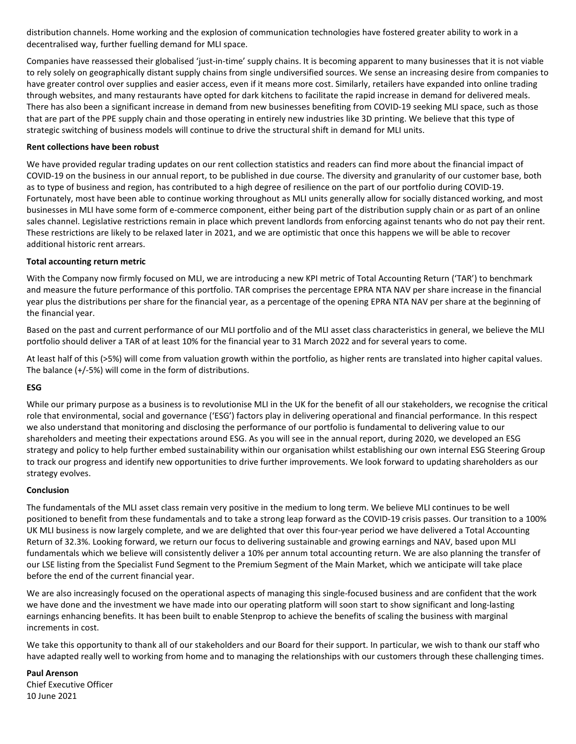distribution channels. Home working and the explosion of communication technologies have fostered greater ability to work in a decentralised way, further fuelling demand for MLI space.

Companies have reassessed their globalised 'just-in-time' supply chains. It is becoming apparent to many businesses that it is not viable to rely solely on geographically distant supply chains from single undiversified sources. We sense an increasing desire from companies to have greater control over supplies and easier access, even if it means more cost. Similarly, retailers have expanded into online trading through websites, and many restaurants have opted for dark kitchens to facilitate the rapid increase in demand for delivered meals. There has also been a significant increase in demand from new businesses benefiting from COVID-19 seeking MLI space, such as those that are part of the PPE supply chain and those operating in entirely new industries like 3D printing. We believe that this type of strategic switching of business models will continue to drive the structural shift in demand for MLI units.

## **Rent collections have been robust**

We have provided regular trading updates on our rent collection statistics and readers can find more about the financial impact of COVID-19 on the business in our annual report, to be published in due course. The diversity and granularity of our customer base, both as to type of business and region, has contributed to a high degree of resilience on the part of our portfolio during COVID-19. Fortunately, most have been able to continue working throughout as MLI units generally allow for socially distanced working, and most businesses in MLI have some form of e-commerce component, either being part of the distribution supply chain or as part of an online sales channel. Legislative restrictions remain in place which prevent landlords from enforcing against tenants who do not pay their rent. These restrictions are likely to be relaxed later in 2021, and we are optimistic that once this happens we will be able to recover additional historic rent arrears.

## **Total accounting return metric**

With the Company now firmly focused on MLI, we are introducing a new KPI metric of Total Accounting Return ('TAR') to benchmark and measure the future performance of this portfolio. TAR comprises the percentage EPRA NTA NAV per share increase in the financial year plus the distributions per share for the financial year, as a percentage of the opening EPRA NTA NAV per share at the beginning of the financial year.

Based on the past and current performance of our MLI portfolio and of the MLI asset class characteristics in general, we believe the MLI portfolio should deliver a TAR of at least 10% for the financial year to 31 March 2022 and for several years to come.

At least half of this (>5%) will come from valuation growth within the portfolio, as higher rents are translated into higher capital values. The balance (+/-5%) will come in the form of distributions.

## **ESG**

While our primary purpose as a business is to revolutionise MLI in the UK for the benefit of all our stakeholders, we recognise the critical role that environmental, social and governance ('ESG') factors play in delivering operational and financial performance. In this respect we also understand that monitoring and disclosing the performance of our portfolio is fundamental to delivering value to our shareholders and meeting their expectations around ESG. As you will see in the annual report, during 2020, we developed an ESG strategy and policy to help further embed sustainability within our organisation whilst establishing our own internal ESG Steering Group to track our progress and identify new opportunities to drive further improvements. We look forward to updating shareholders as our strategy evolves.

## **Conclusion**

The fundamentals of the MLI asset class remain very positive in the medium to long term. We believe MLI continues to be well positioned to benefit from these fundamentals and to take a strong leap forward as the COVID-19 crisis passes. Our transition to a 100% UK MLI business is now largely complete, and we are delighted that over this four-year period we have delivered a Total Accounting Return of 32.3%. Looking forward, we return our focus to delivering sustainable and growing earnings and NAV, based upon MLI fundamentals which we believe will consistently deliver a 10% per annum total accounting return. We are also planning the transfer of our LSE listing from the Specialist Fund Segment to the Premium Segment of the Main Market, which we anticipate will take place before the end of the current financial year.

We are also increasingly focused on the operational aspects of managing this single-focused business and are confident that the work we have done and the investment we have made into our operating platform will soon start to show significant and long-lasting earnings enhancing benefits. It has been built to enable Stenprop to achieve the benefits of scaling the business with marginal increments in cost.

We take this opportunity to thank all of our stakeholders and our Board for their support. In particular, we wish to thank our staff who have adapted really well to working from home and to managing the relationships with our customers through these challenging times.

**Paul Arenson**  Chief Executive Officer 10 June 2021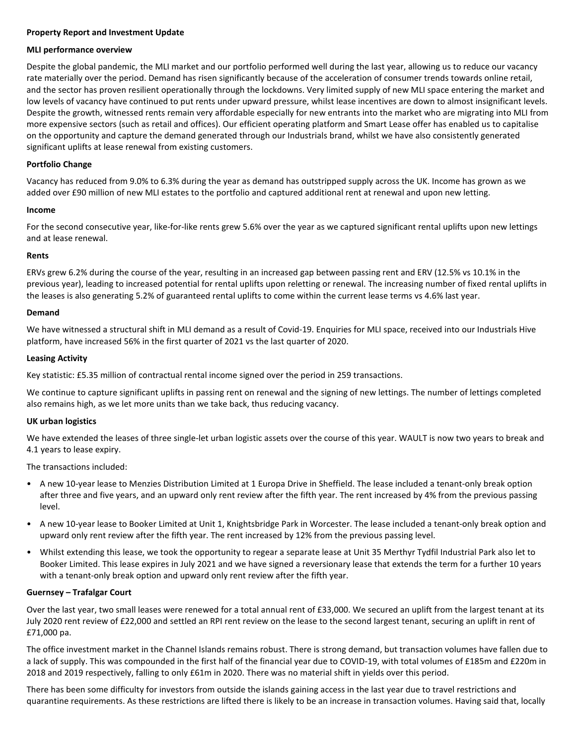## **Property Report and Investment Update**

#### **MLI performance overview**

Despite the global pandemic, the MLI market and our portfolio performed well during the last year, allowing us to reduce our vacancy rate materially over the period. Demand has risen significantly because of the acceleration of consumer trends towards online retail, and the sector has proven resilient operationally through the lockdowns. Very limited supply of new MLI space entering the market and low levels of vacancy have continued to put rents under upward pressure, whilst lease incentives are down to almost insignificant levels. Despite the growth, witnessed rents remain very affordable especially for new entrants into the market who are migrating into MLI from more expensive sectors (such as retail and offices). Our efficient operating platform and Smart Lease offer has enabled us to capitalise on the opportunity and capture the demand generated through our Industrials brand, whilst we have also consistently generated significant uplifts at lease renewal from existing customers.

## **Portfolio Change**

Vacancy has reduced from 9.0% to 6.3% during the year as demand has outstripped supply across the UK. Income has grown as we added over £90 million of new MLI estates to the portfolio and captured additional rent at renewal and upon new letting.

#### **Income**

For the second consecutive year, like-for-like rents grew 5.6% over the year as we captured significant rental uplifts upon new lettings and at lease renewal.

## **Rents**

ERVs grew 6.2% during the course of the year, resulting in an increased gap between passing rent and ERV (12.5% vs 10.1% in the previous year), leading to increased potential for rental uplifts upon reletting or renewal. The increasing number of fixed rental uplifts in the leases is also generating 5.2% of guaranteed rental uplifts to come within the current lease terms vs 4.6% last year.

## **Demand**

We have witnessed a structural shift in MLI demand as a result of Covid-19. Enquiries for MLI space, received into our Industrials Hive platform, have increased 56% in the first quarter of 2021 vs the last quarter of 2020.

## **Leasing Activity**

Key statistic: £5.35 million of contractual rental income signed over the period in 259 transactions.

We continue to capture significant uplifts in passing rent on renewal and the signing of new lettings. The number of lettings completed also remains high, as we let more units than we take back, thus reducing vacancy.

## **UK urban logistics**

We have extended the leases of three single-let urban logistic assets over the course of this year. WAULT is now two years to break and 4.1 years to lease expiry.

The transactions included:

- A new 10-year lease to Menzies Distribution Limited at 1 Europa Drive in Sheffield. The lease included a tenant-only break option after three and five years, and an upward only rent review after the fifth year. The rent increased by 4% from the previous passing level.
- A new 10-year lease to Booker Limited at Unit 1, Knightsbridge Park in Worcester. The lease included a tenant-only break option and upward only rent review after the fifth year. The rent increased by 12% from the previous passing level.
- Whilst extending this lease, we took the opportunity to regear a separate lease at Unit 35 Merthyr Tydfil Industrial Park also let to Booker Limited. This lease expires in July 2021 and we have signed a reversionary lease that extends the term for a further 10 years with a tenant-only break option and upward only rent review after the fifth year.

## **Guernsey – Trafalgar Court**

Over the last year, two small leases were renewed for a total annual rent of £33,000. We secured an uplift from the largest tenant at its July 2020 rent review of £22,000 and settled an RPI rent review on the lease to the second largest tenant, securing an uplift in rent of £71,000 pa.

The office investment market in the Channel Islands remains robust. There is strong demand, but transaction volumes have fallen due to a lack of supply. This was compounded in the first half of the financial year due to COVID-19, with total volumes of £185m and £220m in 2018 and 2019 respectively, falling to only £61m in 2020. There was no material shift in yields over this period.

There has been some difficulty for investors from outside the islands gaining access in the last year due to travel restrictions and quarantine requirements. As these restrictions are lifted there is likely to be an increase in transaction volumes. Having said that, locally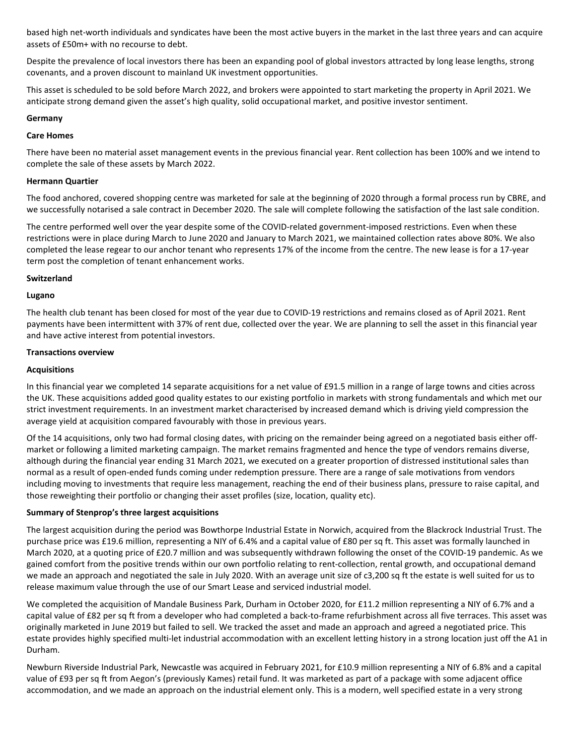based high net-worth individuals and syndicates have been the most active buyers in the market in the last three years and can acquire assets of £50m+ with no recourse to debt.

Despite the prevalence of local investors there has been an expanding pool of global investors attracted by long lease lengths, strong covenants, and a proven discount to mainland UK investment opportunities.

This asset is scheduled to be sold before March 2022, and brokers were appointed to start marketing the property in April 2021. We anticipate strong demand given the asset's high quality, solid occupational market, and positive investor sentiment.

#### **Germany**

## **Care Homes**

There have been no material asset management events in the previous financial year. Rent collection has been 100% and we intend to complete the sale of these assets by March 2022.

## **Hermann Quartier**

The food anchored, covered shopping centre was marketed for sale at the beginning of 2020 through a formal process run by CBRE, and we successfully notarised a sale contract in December 2020. The sale will complete following the satisfaction of the last sale condition.

The centre performed well over the year despite some of the COVID-related government-imposed restrictions. Even when these restrictions were in place during March to June 2020 and January to March 2021, we maintained collection rates above 80%. We also completed the lease regear to our anchor tenant who represents 17% of the income from the centre. The new lease is for a 17-year term post the completion of tenant enhancement works.

#### **Switzerland**

#### **Lugano**

The health club tenant has been closed for most of the year due to COVID-19 restrictions and remains closed as of April 2021. Rent payments have been intermittent with 37% of rent due, collected over the year. We are planning to sell the asset in this financial year and have active interest from potential investors.

#### **Transactions overview**

## **Acquisitions**

In this financial year we completed 14 separate acquisitions for a net value of £91.5 million in a range of large towns and cities across the UK. These acquisitions added good quality estates to our existing portfolio in markets with strong fundamentals and which met our strict investment requirements. In an investment market characterised by increased demand which is driving yield compression the average yield at acquisition compared favourably with those in previous years.

Of the 14 acquisitions, only two had formal closing dates, with pricing on the remainder being agreed on a negotiated basis either offmarket or following a limited marketing campaign. The market remains fragmented and hence the type of vendors remains diverse, although during the financial year ending 31 March 2021, we executed on a greater proportion of distressed institutional sales than normal as a result of open-ended funds coming under redemption pressure. There are a range of sale motivations from vendors including moving to investments that require less management, reaching the end of their business plans, pressure to raise capital, and those reweighting their portfolio or changing their asset profiles (size, location, quality etc).

## **Summary of Stenprop's three largest acquisitions**

The largest acquisition during the period was Bowthorpe Industrial Estate in Norwich, acquired from the Blackrock Industrial Trust. The purchase price was £19.6 million, representing a NIY of 6.4% and a capital value of £80 per sq ft. This asset was formally launched in March 2020, at a quoting price of £20.7 million and was subsequently withdrawn following the onset of the COVID-19 pandemic. As we gained comfort from the positive trends within our own portfolio relating to rent-collection, rental growth, and occupational demand we made an approach and negotiated the sale in July 2020. With an average unit size of c3,200 sq ft the estate is well suited for us to release maximum value through the use of our Smart Lease and serviced industrial model.

We completed the acquisition of Mandale Business Park, Durham in October 2020, for £11.2 million representing a NIY of 6.7% and a capital value of £82 per sq ft from a developer who had completed a back-to-frame refurbishment across all five terraces. This asset was originally marketed in June 2019 but failed to sell. We tracked the asset and made an approach and agreed a negotiated price. This estate provides highly specified multi-let industrial accommodation with an excellent letting history in a strong location just off the A1 in Durham.

Newburn Riverside Industrial Park, Newcastle was acquired in February 2021, for £10.9 million representing a NIY of 6.8% and a capital value of £93 per sq ft from Aegon's (previously Kames) retail fund. It was marketed as part of a package with some adjacent office accommodation, and we made an approach on the industrial element only. This is a modern, well specified estate in a very strong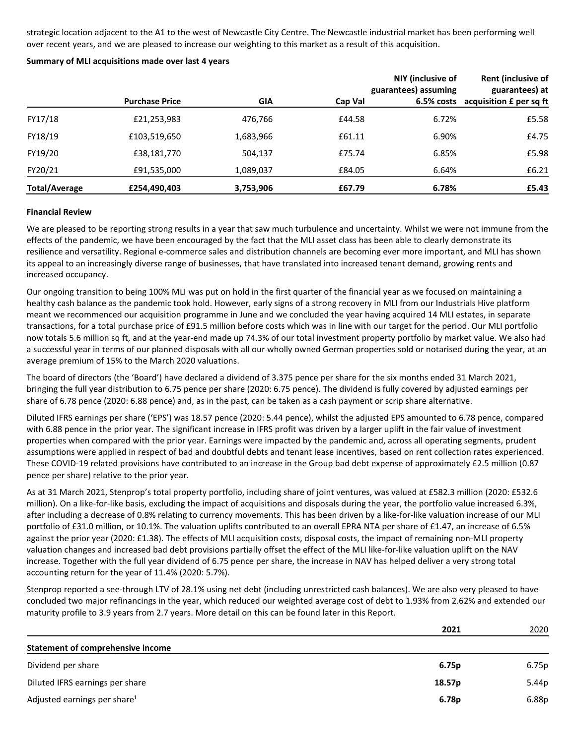strategic location adjacent to the A1 to the west of Newcastle City Centre. The Newcastle industrial market has been performing well over recent years, and we are pleased to increase our weighting to this market as a result of this acquisition.

#### **Summary of MLI acquisitions made over last 4 years**

|                      |                       |            |         | NIY (inclusive of<br>guarantees) assuming | <b>Rent (inclusive of</b><br>guarantees) at |
|----------------------|-----------------------|------------|---------|-------------------------------------------|---------------------------------------------|
|                      | <b>Purchase Price</b> | <b>GIA</b> | Cap Val | 6.5% costs                                | acquisition £ per sq ft                     |
| FY17/18              | £21,253,983           | 476,766    | £44.58  | 6.72%                                     | £5.58                                       |
| FY18/19              | £103,519,650          | 1,683,966  | £61.11  | 6.90%                                     | £4.75                                       |
| FY19/20              | £38,181,770           | 504,137    | £75.74  | 6.85%                                     | £5.98                                       |
| FY20/21              | £91,535,000           | 1,089,037  | £84.05  | 6.64%                                     | £6.21                                       |
| <b>Total/Average</b> | £254,490,403          | 3,753,906  | £67.79  | 6.78%                                     | £5.43                                       |

#### **Financial Review**

We are pleased to be reporting strong results in a year that saw much turbulence and uncertainty. Whilst we were not immune from the effects of the pandemic, we have been encouraged by the fact that the MLI asset class has been able to clearly demonstrate its resilience and versatility. Regional e-commerce sales and distribution channels are becoming ever more important, and MLI has shown its appeal to an increasingly diverse range of businesses, that have translated into increased tenant demand, growing rents and increased occupancy.

Our ongoing transition to being 100% MLI was put on hold in the first quarter of the financial year as we focused on maintaining a healthy cash balance as the pandemic took hold. However, early signs of a strong recovery in MLI from our Industrials Hive platform meant we recommenced our acquisition programme in June and we concluded the year having acquired 14 MLI estates, in separate transactions, for a total purchase price of £91.5 million before costs which was in line with our target for the period. Our MLI portfolio now totals 5.6 million sq ft, and at the year-end made up 74.3% of our total investment property portfolio by market value. We also had a successful year in terms of our planned disposals with all our wholly owned German properties sold or notarised during the year, at an average premium of 15% to the March 2020 valuations.

The board of directors (the 'Board') have declared a dividend of 3.375 pence per share for the six months ended 31 March 2021, bringing the full year distribution to 6.75 pence per share (2020: 6.75 pence). The dividend is fully covered by adjusted earnings per share of 6.78 pence (2020: 6.88 pence) and, as in the past, can be taken as a cash payment or scrip share alternative.

Diluted IFRS earnings per share ('EPS') was 18.57 pence (2020: 5.44 pence), whilst the adjusted EPS amounted to 6.78 pence, compared with 6.88 pence in the prior year. The significant increase in IFRS profit was driven by a larger uplift in the fair value of investment properties when compared with the prior year. Earnings were impacted by the pandemic and, across all operating segments, prudent assumptions were applied in respect of bad and doubtful debts and tenant lease incentives, based on rent collection rates experienced. These COVID-19 related provisions have contributed to an increase in the Group bad debt expense of approximately £2.5 million (0.87 pence per share) relative to the prior year.

As at 31 March 2021, Stenprop's total property portfolio, including share of joint ventures, was valued at £582.3 million (2020: £532.6 million). On a like-for-like basis, excluding the impact of acquisitions and disposals during the year, the portfolio value increased 6.3%, after including a decrease of 0.8% relating to currency movements. This has been driven by a like-for-like valuation increase of our MLI portfolio of £31.0 million, or 10.1%. The valuation uplifts contributed to an overall EPRA NTA per share of £1.47, an increase of 6.5% against the prior year (2020: £1.38). The effects of MLI acquisition costs, disposal costs, the impact of remaining non-MLI property valuation changes and increased bad debt provisions partially offset the effect of the MLI like-for-like valuation uplift on the NAV increase. Together with the full year dividend of 6.75 pence per share, the increase in NAV has helped deliver a very strong total accounting return for the year of 11.4% (2020: 5.7%).

Stenprop reported a see-through LTV of 28.1% using net debt (including unrestricted cash balances). We are also very pleased to have concluded two major refinancings in the year, which reduced our weighted average cost of debt to 1.93% from 2.62% and extended our maturity profile to 3.9 years from 2.7 years. More detail on this can be found later in this Report.

|                                          | 2021   | 2020  |
|------------------------------------------|--------|-------|
| Statement of comprehensive income        |        |       |
| Dividend per share                       | 6.75p  | 6.75p |
| Diluted IFRS earnings per share          | 18.57p | 5.44p |
| Adjusted earnings per share <sup>1</sup> | 6.78p  | 6.88p |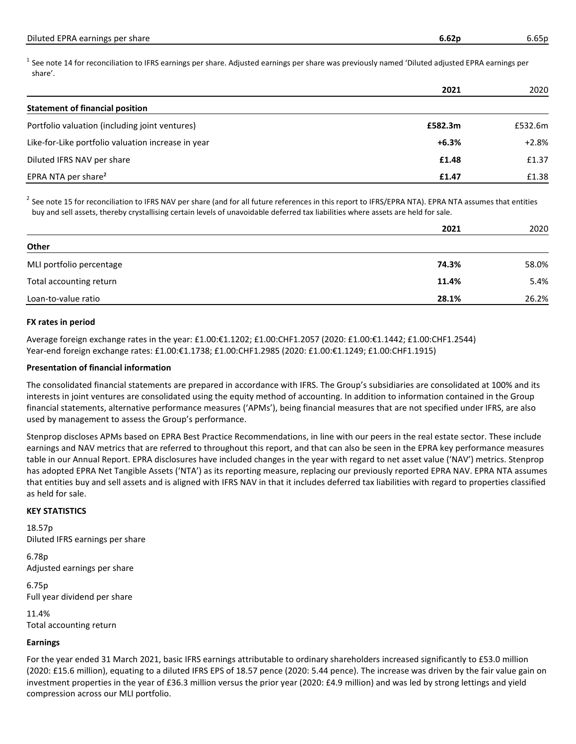$^1$  See note 14 for reconciliation to IFRS earnings per share. Adjusted earnings per share was previously named 'Diluted adjusted EPRA earnings per share'.

|                                                    | 2021    | 2020    |
|----------------------------------------------------|---------|---------|
| <b>Statement of financial position</b>             |         |         |
| Portfolio valuation (including joint ventures)     | £582.3m | £532.6m |
| Like-for-Like portfolio valuation increase in year | $+6.3%$ | $+2.8%$ |
| Diluted IFRS NAV per share                         | £1.48   | £1.37   |
| EPRA NTA per share <sup>2</sup>                    | £1.47   | £1.38   |

 $^{2}$  See note 15 for reconciliation to IFRS NAV per share (and for all future references in this report to IFRS/EPRA NTA). EPRA NTA assumes that entities buy and sell assets, thereby crystallising certain levels of unavoidable deferred tax liabilities where assets are held for sale.

|                          | 2021  | 2020  |
|--------------------------|-------|-------|
| Other                    |       |       |
| MLI portfolio percentage | 74.3% | 58.0% |
| Total accounting return  | 11.4% | 5.4%  |
| Loan-to-value ratio      | 28.1% | 26.2% |

## **FX rates in period**

Average foreign exchange rates in the year: £1.00:€1.1202; £1.00:CHF1.2057 (2020: £1.00:€1.1442; £1.00:CHF1.2544) Year-end foreign exchange rates: £1.00:€1.1738; £1.00:CHF1.2985 (2020: £1.00:€1.1249; £1.00:CHF1.1915)

## **Presentation of financial information**

The consolidated financial statements are prepared in accordance with IFRS. The Group's subsidiaries are consolidated at 100% and its interests in joint ventures are consolidated using the equity method of accounting. In addition to information contained in the Group financial statements, alternative performance measures ('APMs'), being financial measures that are not specified under IFRS, are also used by management to assess the Group's performance.

Stenprop discloses APMs based on EPRA Best Practice Recommendations, in line with our peers in the real estate sector. These include earnings and NAV metrics that are referred to throughout this report, and that can also be seen in the EPRA key performance measures table in our Annual Report. EPRA disclosures have included changes in the year with regard to net asset value ('NAV') metrics. Stenprop has adopted EPRA Net Tangible Assets ('NTA') as its reporting measure, replacing our previously reported EPRA NAV. EPRA NTA assumes that entities buy and sell assets and is aligned with IFRS NAV in that it includes deferred tax liabilities with regard to properties classified as held for sale.

## **KEY STATISTICS**

18.57p Diluted IFRS earnings per share

6.78p Adjusted earnings per share

6.75p Full year dividend per share

11.4% Total accounting return

## **Earnings**

For the year ended 31 March 2021, basic IFRS earnings attributable to ordinary shareholders increased significantly to £53.0 million (2020: £15.6 million), equating to a diluted IFRS EPS of 18.57 pence (2020: 5.44 pence). The increase was driven by the fair value gain on investment properties in the year of £36.3 million versus the prior year (2020: £4.9 million) and was led by strong lettings and yield compression across our MLI portfolio.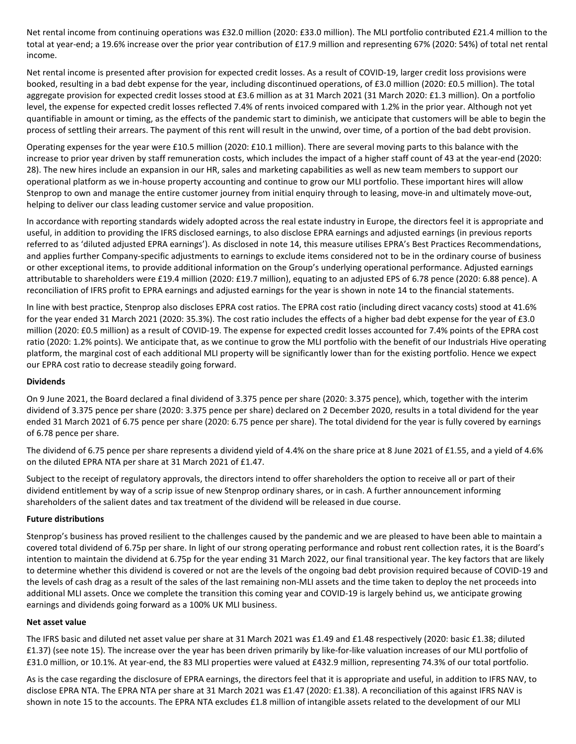Net rental income from continuing operations was £32.0 million (2020: £33.0 million). The MLI portfolio contributed £21.4 million to the total at year-end; a 19.6% increase over the prior year contribution of £17.9 million and representing 67% (2020: 54%) of total net rental income.

Net rental income is presented after provision for expected credit losses. As a result of COVID-19, larger credit loss provisions were booked, resulting in a bad debt expense for the year, including discontinued operations, of £3.0 million (2020: £0.5 million). The total aggregate provision for expected credit losses stood at £3.6 million as at 31 March 2021 (31 March 2020: £1.3 million). On a portfolio level, the expense for expected credit losses reflected 7.4% of rents invoiced compared with 1.2% in the prior year. Although not yet quantifiable in amount or timing, as the effects of the pandemic start to diminish, we anticipate that customers will be able to begin the process of settling their arrears. The payment of this rent will result in the unwind, over time, of a portion of the bad debt provision.

Operating expenses for the year were £10.5 million (2020: £10.1 million). There are several moving parts to this balance with the increase to prior year driven by staff remuneration costs, which includes the impact of a higher staff count of 43 at the year-end (2020: 28). The new hires include an expansion in our HR, sales and marketing capabilities as well as new team members to support our operational platform as we in-house property accounting and continue to grow our MLI portfolio. These important hires will allow Stenprop to own and manage the entire customer journey from initial enquiry through to leasing, move-in and ultimately move-out, helping to deliver our class leading customer service and value proposition.

In accordance with reporting standards widely adopted across the real estate industry in Europe, the directors feel it is appropriate and useful, in addition to providing the IFRS disclosed earnings, to also disclose EPRA earnings and adjusted earnings (in previous reports referred to as 'diluted adjusted EPRA earnings'). As disclosed in note 14, this measure utilises EPRA's Best Practices Recommendations, and applies further Company-specific adjustments to earnings to exclude items considered not to be in the ordinary course of business or other exceptional items, to provide additional information on the Group's underlying operational performance. Adjusted earnings attributable to shareholders were £19.4 million (2020: £19.7 million), equating to an adjusted EPS of 6.78 pence (2020: 6.88 pence). A reconciliation of IFRS profit to EPRA earnings and adjusted earnings for the year is shown in note 14 to the financial statements.

In line with best practice, Stenprop also discloses EPRA cost ratios. The EPRA cost ratio (including direct vacancy costs) stood at 41.6% for the year ended 31 March 2021 (2020: 35.3%). The cost ratio includes the effects of a higher bad debt expense for the year of £3.0 million (2020: £0.5 million) as a result of COVID-19. The expense for expected credit losses accounted for 7.4% points of the EPRA cost ratio (2020: 1.2% points). We anticipate that, as we continue to grow the MLI portfolio with the benefit of our Industrials Hive operating platform, the marginal cost of each additional MLI property will be significantly lower than for the existing portfolio. Hence we expect our EPRA cost ratio to decrease steadily going forward.

## **Dividends**

On 9 June 2021, the Board declared a final dividend of 3.375 pence per share (2020: 3.375 pence), which, together with the interim dividend of 3.375 pence per share (2020: 3.375 pence per share) declared on 2 December 2020, results in a total dividend for the year ended 31 March 2021 of 6.75 pence per share (2020: 6.75 pence per share). The total dividend for the year is fully covered by earnings of 6.78 pence per share.

The dividend of 6.75 pence per share represents a dividend yield of 4.4% on the share price at 8 June 2021 of £1.55, and a yield of 4.6% on the diluted EPRA NTA per share at 31 March 2021 of £1.47.

Subject to the receipt of regulatory approvals, the directors intend to offer shareholders the option to receive all or part of their dividend entitlement by way of a scrip issue of new Stenprop ordinary shares, or in cash. A further announcement informing shareholders of the salient dates and tax treatment of the dividend will be released in due course.

## **Future distributions**

Stenprop's business has proved resilient to the challenges caused by the pandemic and we are pleased to have been able to maintain a covered total dividend of 6.75p per share. In light of our strong operating performance and robust rent collection rates, it is the Board's intention to maintain the dividend at 6.75p for the year ending 31 March 2022, our final transitional year. The key factors that are likely to determine whether this dividend is covered or not are the levels of the ongoing bad debt provision required because of COVID-19 and the levels of cash drag as a result of the sales of the last remaining non-MLI assets and the time taken to deploy the net proceeds into additional MLI assets. Once we complete the transition this coming year and COVID-19 is largely behind us, we anticipate growing earnings and dividends going forward as a 100% UK MLI business.

## **Net asset value**

The IFRS basic and diluted net asset value per share at 31 March 2021 was £1.49 and £1.48 respectively (2020: basic £1.38; diluted £1.37) (see note 15). The increase over the year has been driven primarily by like-for-like valuation increases of our MLI portfolio of £31.0 million, or 10.1%. At year-end, the 83 MLI properties were valued at £432.9 million, representing 74.3% of our total portfolio.

As is the case regarding the disclosure of EPRA earnings, the directors feel that it is appropriate and useful, in addition to IFRS NAV, to disclose EPRA NTA. The EPRA NTA per share at 31 March 2021 was £1.47 (2020: £1.38). A reconciliation of this against IFRS NAV is shown in note 15 to the accounts. The EPRA NTA excludes £1.8 million of intangible assets related to the development of our MLI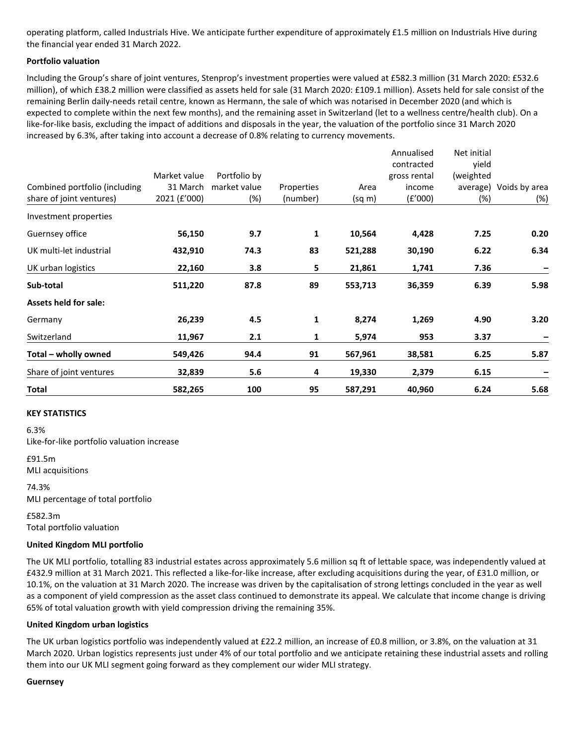operating platform, called Industrials Hive. We anticipate further expenditure of approximately £1.5 million on Industrials Hive during the financial year ended 31 March 2022.

## **Portfolio valuation**

Including the Group's share of joint ventures, Stenprop's investment properties were valued at £582.3 million (31 March 2020: £532.6 million), of which £38.2 million were classified as assets held for sale (31 March 2020: £109.1 million). Assets held for sale consist of the remaining Berlin daily-needs retail centre, known as Hermann, the sale of which was notarised in December 2020 (and which is expected to complete within the next few months), and the remaining asset in Switzerland (let to a wellness centre/health club). On a like-for-like basis, excluding the impact of additions and disposals in the year, the valuation of the portfolio since 31 March 2020 increased by 6.3%, after taking into account a decrease of 0.8% relating to currency movements.

|                               |              |              |            |         | Annualised   | Net initial |                        |
|-------------------------------|--------------|--------------|------------|---------|--------------|-------------|------------------------|
|                               |              |              |            |         | contracted   | yield       |                        |
|                               | Market value | Portfolio by |            |         | gross rental | (weighted   |                        |
| Combined portfolio (including | 31 March     | market value | Properties | Area    | income       |             | average) Voids by area |
| share of joint ventures)      | 2021 (£'000) | (%)          | (number)   | (sq m)  | (f'000)      | (%)         | (%)                    |
| Investment properties         |              |              |            |         |              |             |                        |
| Guernsey office               | 56,150       | 9.7          | 1          | 10,564  | 4,428        | 7.25        | 0.20                   |
| UK multi-let industrial       | 432,910      | 74.3         | 83         | 521,288 | 30,190       | 6.22        | 6.34                   |
| UK urban logistics            | 22,160       | 3.8          | 5          | 21,861  | 1,741        | 7.36        |                        |
| Sub-total                     | 511,220      | 87.8         | 89         | 553,713 | 36,359       | 6.39        | 5.98                   |
| <b>Assets held for sale:</b>  |              |              |            |         |              |             |                        |
| Germany                       | 26,239       | 4.5          | 1          | 8,274   | 1,269        | 4.90        | 3.20                   |
| Switzerland                   | 11,967       | 2.1          | 1          | 5,974   | 953          | 3.37        |                        |
| Total - wholly owned          | 549,426      | 94.4         | 91         | 567,961 | 38,581       | 6.25        | 5.87                   |
| Share of joint ventures       | 32,839       | 5.6          | 4          | 19,330  | 2,379        | 6.15        |                        |
| Total                         | 582,265      | 100          | 95         | 587,291 | 40,960       | 6.24        | 5.68                   |

## **KEY STATISTICS**

6.3% Like-for-like portfolio valuation increase

£91.5m MLI acquisitions

74.3% MLI percentage of total portfolio

£582.3m Total portfolio valuation

## **United Kingdom MLI portfolio**

The UK MLI portfolio, totalling 83 industrial estates across approximately 5.6 million sq ft of lettable space, was independently valued at £432.9 million at 31 March 2021. This reflected a like-for-like increase, after excluding acquisitions during the year, of £31.0 million, or 10.1%, on the valuation at 31 March 2020. The increase was driven by the capitalisation of strong lettings concluded in the year as well as a component of yield compression as the asset class continued to demonstrate its appeal. We calculate that income change is driving 65% of total valuation growth with yield compression driving the remaining 35%.

## **United Kingdom urban logistics**

The UK urban logistics portfolio was independently valued at £22.2 million, an increase of £0.8 million, or 3.8%, on the valuation at 31 March 2020. Urban logistics represents just under 4% of our total portfolio and we anticipate retaining these industrial assets and rolling them into our UK MLI segment going forward as they complement our wider MLI strategy.

#### **Guernsey**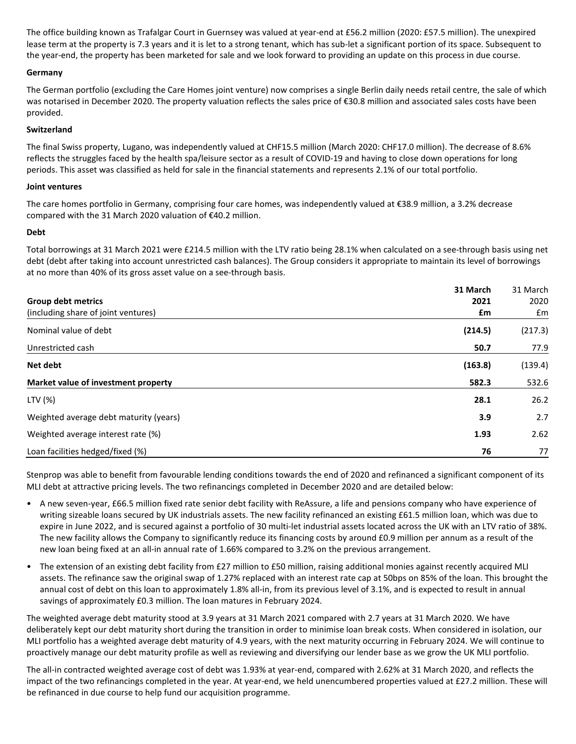The office building known as Trafalgar Court in Guernsey was valued at year-end at £56.2 million (2020: £57.5 million). The unexpired lease term at the property is 7.3 years and it is let to a strong tenant, which has sub-let a significant portion of its space. Subsequent to the year-end, the property has been marketed for sale and we look forward to providing an update on this process in due course.

## **Germany**

The German portfolio (excluding the Care Homes joint venture) now comprises a single Berlin daily needs retail centre, the sale of which was notarised in December 2020. The property valuation reflects the sales price of €30.8 million and associated sales costs have been provided.

## **Switzerland**

The final Swiss property, Lugano, was independently valued at CHF15.5 million (March 2020: CHF17.0 million). The decrease of 8.6% reflects the struggles faced by the health spa/leisure sector as a result of COVID-19 and having to close down operations for long periods. This asset was classified as held for sale in the financial statements and represents 2.1% of our total portfolio.

## **Joint ventures**

The care homes portfolio in Germany, comprising four care homes, was independently valued at €38.9 million, a 3.2% decrease compared with the 31 March 2020 valuation of €40.2 million.

## **Debt**

Total borrowings at 31 March 2021 were £214.5 million with the LTV ratio being 28.1% when calculated on a see-through basis using net debt (debt after taking into account unrestricted cash balances). The Group considers it appropriate to maintain its level of borrowings at no more than 40% of its gross asset value on a see-through basis.

| <b>Group debt metrics</b>              | 31 March<br>2021 | 31 March<br>2020 |
|----------------------------------------|------------------|------------------|
| (including share of joint ventures)    | £m               | £m               |
| Nominal value of debt                  | (214.5)          | (217.3)          |
| Unrestricted cash                      | 50.7             | 77.9             |
| Net debt                               | (163.8)          | (139.4)          |
| Market value of investment property    | 582.3            | 532.6            |
| LTV (%)                                | 28.1             | 26.2             |
| Weighted average debt maturity (years) | 3.9              | 2.7              |
| Weighted average interest rate (%)     | 1.93             | 2.62             |
| Loan facilities hedged/fixed (%)       | 76               | 77               |

Stenprop was able to benefit from favourable lending conditions towards the end of 2020 and refinanced a significant component of its MLI debt at attractive pricing levels. The two refinancings completed in December 2020 and are detailed below:

- A new seven-year, £66.5 million fixed rate senior debt facility with ReAssure, a life and pensions company who have experience of writing sizeable loans secured by UK industrials assets. The new facility refinanced an existing £61.5 million loan, which was due to expire in June 2022, and is secured against a portfolio of 30 multi-let industrial assets located across the UK with an LTV ratio of 38%. The new facility allows the Company to significantly reduce its financing costs by around £0.9 million per annum as a result of the new loan being fixed at an all-in annual rate of 1.66% compared to 3.2% on the previous arrangement.
- The extension of an existing debt facility from £27 million to £50 million, raising additional monies against recently acquired MLI assets. The refinance saw the original swap of 1.27% replaced with an interest rate cap at 50bps on 85% of the loan. This brought the annual cost of debt on this loan to approximately 1.8% all-in, from its previous level of 3.1%, and is expected to result in annual savings of approximately £0.3 million. The loan matures in February 2024.

The weighted average debt maturity stood at 3.9 years at 31 March 2021 compared with 2.7 years at 31 March 2020. We have deliberately kept our debt maturity short during the transition in order to minimise loan break costs. When considered in isolation, our MLI portfolio has a weighted average debt maturity of 4.9 years, with the next maturity occurring in February 2024. We will continue to proactively manage our debt maturity profile as well as reviewing and diversifying our lender base as we grow the UK MLI portfolio.

The all-in contracted weighted average cost of debt was 1.93% at year-end, compared with 2.62% at 31 March 2020, and reflects the impact of the two refinancings completed in the year. At year-end, we held unencumbered properties valued at £27.2 million. These will be refinanced in due course to help fund our acquisition programme.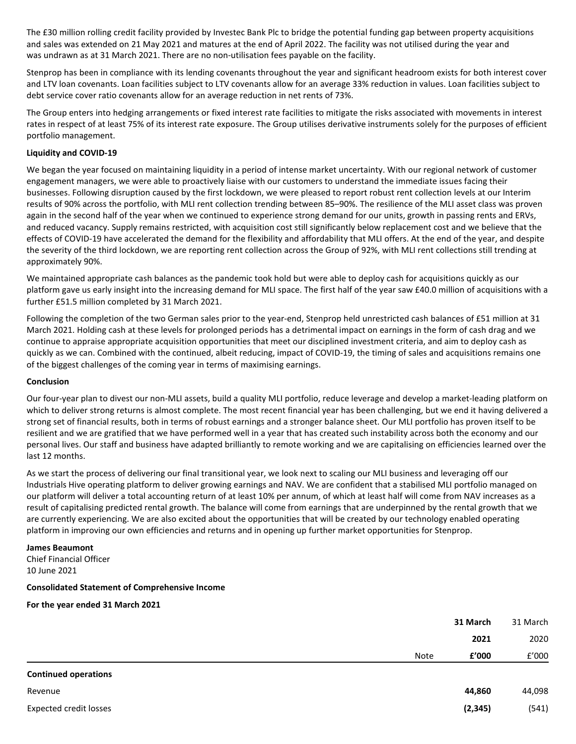The £30 million rolling credit facility provided by Investec Bank Plc to bridge the potential funding gap between property acquisitions and sales was extended on 21 May 2021 and matures at the end of April 2022. The facility was not utilised during the year and was undrawn as at 31 March 2021. There are no non-utilisation fees payable on the facility.

Stenprop has been in compliance with its lending covenants throughout the year and significant headroom exists for both interest cover and LTV loan covenants. Loan facilities subject to LTV covenants allow for an average 33% reduction in values. Loan facilities subject to debt service cover ratio covenants allow for an average reduction in net rents of 73%.

The Group enters into hedging arrangements or fixed interest rate facilities to mitigate the risks associated with movements in interest rates in respect of at least 75% of its interest rate exposure. The Group utilises derivative instruments solely for the purposes of efficient portfolio management.

## **Liquidity and COVID-19**

We began the year focused on maintaining liquidity in a period of intense market uncertainty. With our regional network of customer engagement managers, we were able to proactively liaise with our customers to understand the immediate issues facing their businesses. Following disruption caused by the first lockdown, we were pleased to report robust rent collection levels at our Interim results of 90% across the portfolio, with MLI rent collection trending between 85–90%. The resilience of the MLI asset class was proven again in the second half of the year when we continued to experience strong demand for our units, growth in passing rents and ERVs, and reduced vacancy. Supply remains restricted, with acquisition cost still significantly below replacement cost and we believe that the effects of COVID-19 have accelerated the demand for the flexibility and affordability that MLI offers. At the end of the year, and despite the severity of the third lockdown, we are reporting rent collection across the Group of 92%, with MLI rent collections still trending at approximately 90%.

We maintained appropriate cash balances as the pandemic took hold but were able to deploy cash for acquisitions quickly as our platform gave us early insight into the increasing demand for MLI space. The first half of the year saw £40.0 million of acquisitions with a further £51.5 million completed by 31 March 2021.

Following the completion of the two German sales prior to the year-end, Stenprop held unrestricted cash balances of £51 million at 31 March 2021. Holding cash at these levels for prolonged periods has a detrimental impact on earnings in the form of cash drag and we continue to appraise appropriate acquisition opportunities that meet our disciplined investment criteria, and aim to deploy cash as quickly as we can. Combined with the continued, albeit reducing, impact of COVID-19, the timing of sales and acquisitions remains one of the biggest challenges of the coming year in terms of maximising earnings.

#### **Conclusion**

Our four-year plan to divest our non-MLI assets, build a quality MLI portfolio, reduce leverage and develop a market-leading platform on which to deliver strong returns is almost complete. The most recent financial year has been challenging, but we end it having delivered a strong set of financial results, both in terms of robust earnings and a stronger balance sheet. Our MLI portfolio has proven itself to be resilient and we are gratified that we have performed well in a year that has created such instability across both the economy and our personal lives. Our staff and business have adapted brilliantly to remote working and we are capitalising on efficiencies learned over the last 12 months.

As we start the process of delivering our final transitional year, we look next to scaling our MLI business and leveraging off our Industrials Hive operating platform to deliver growing earnings and NAV. We are confident that a stabilised MLI portfolio managed on our platform will deliver a total accounting return of at least 10% per annum, of which at least half will come from NAV increases as a result of capitalising predicted rental growth. The balance will come from earnings that are underpinned by the rental growth that we are currently experiencing. We are also excited about the opportunities that will be created by our technology enabled operating platform in improving our own efficiencies and returns and in opening up further market opportunities for Stenprop.

#### **James Beaumont**

Chief Financial Officer 10 June 2021

#### **Consolidated Statement of Comprehensive Income**

**For the year ended 31 March 2021**

|                               |      | 31 March | 31 March |
|-------------------------------|------|----------|----------|
|                               |      | 2021     | 2020     |
|                               | Note | £'000    | E'000    |
| <b>Continued operations</b>   |      |          |          |
| Revenue                       |      | 44,860   | 44,098   |
| <b>Expected credit losses</b> |      | (2, 345) | (541)    |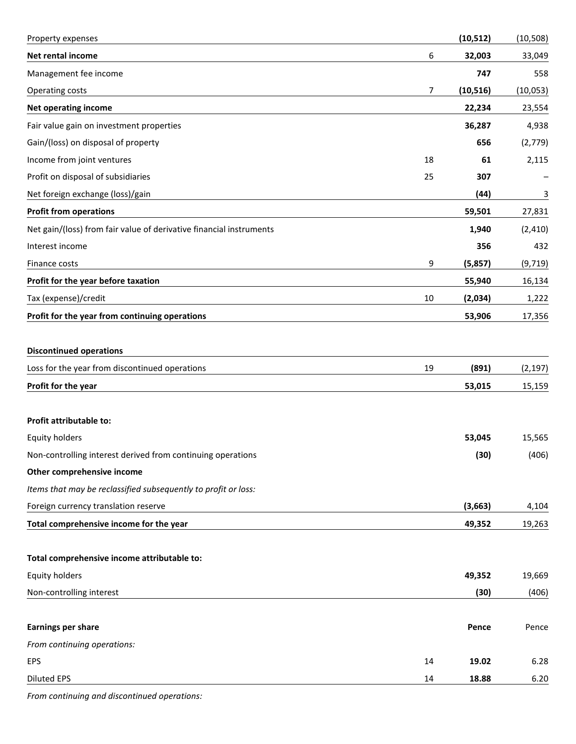| Property expenses                                                   |    | (10, 512) | (10, 508) |
|---------------------------------------------------------------------|----|-----------|-----------|
| Net rental income                                                   | 6  | 32,003    | 33,049    |
| Management fee income                                               |    | 747       | 558       |
| Operating costs                                                     | 7  | (10, 516) | (10, 053) |
| <b>Net operating income</b>                                         |    | 22,234    | 23,554    |
| Fair value gain on investment properties                            |    | 36,287    | 4,938     |
| Gain/(loss) on disposal of property                                 |    | 656       | (2,779)   |
| Income from joint ventures                                          | 18 | 61        | 2,115     |
| Profit on disposal of subsidiaries                                  | 25 | 307       |           |
| Net foreign exchange (loss)/gain                                    |    | (44)      | 3         |
| <b>Profit from operations</b>                                       |    | 59,501    | 27,831    |
| Net gain/(loss) from fair value of derivative financial instruments |    | 1,940     | (2, 410)  |
| Interest income                                                     |    | 356       | 432       |
| Finance costs                                                       | 9  | (5,857)   | (9,719)   |
| Profit for the year before taxation                                 |    | 55,940    | 16,134    |
| Tax (expense)/credit                                                | 10 | (2,034)   | 1,222     |
| Profit for the year from continuing operations                      |    | 53,906    | 17,356    |
|                                                                     |    |           |           |
| <b>Discontinued operations</b>                                      |    |           |           |
| Loss for the year from discontinued operations                      | 19 | (891)     | (2, 197)  |
| Profit for the year                                                 |    | 53,015    | 15,159    |
|                                                                     |    |           |           |
| <b>Profit attributable to:</b>                                      |    |           |           |
| <b>Equity holders</b>                                               |    | 53,045    | 15,565    |
| Non-controlling interest derived from continuing operations         |    | (30)      | (406)     |
| Other comprehensive income                                          |    |           |           |
| Items that may be reclassified subsequently to profit or loss:      |    |           |           |
| Foreign currency translation reserve                                |    | (3,663)   | 4,104     |
| Total comprehensive income for the year                             |    | 49,352    | 19,263    |
|                                                                     |    |           |           |
| Total comprehensive income attributable to:                         |    |           |           |
| <b>Equity holders</b>                                               |    | 49,352    | 19,669    |
| Non-controlling interest                                            |    | (30)      | (406)     |
|                                                                     |    |           |           |
| <b>Earnings per share</b>                                           |    | Pence     | Pence     |
| From continuing operations:                                         |    |           |           |
| EPS                                                                 | 14 | 19.02     | 6.28      |
| <b>Diluted EPS</b>                                                  | 14 | 18.88     | 6.20      |

*From continuing and discontinued operations:*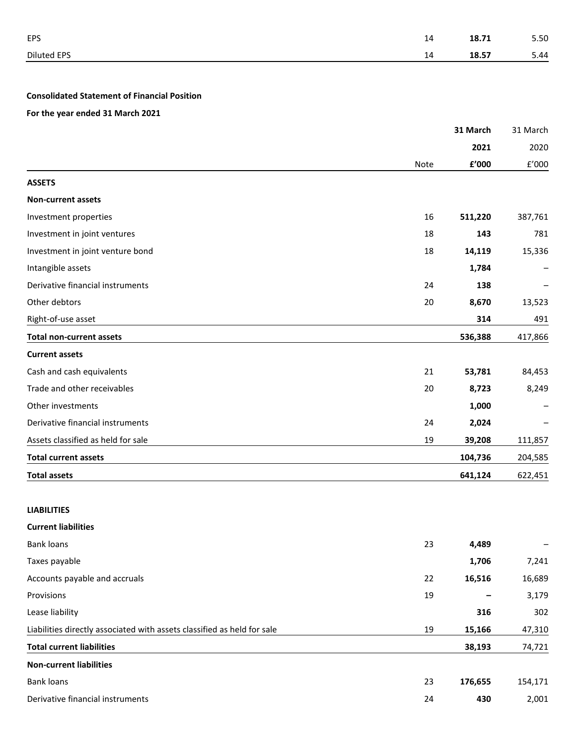| <b>EPS</b>  | 14 <b>18.71</b> 5.50 |  |
|-------------|----------------------|--|
| Diluted EPS | 14 <b>18.57</b> 5.44 |  |

## **Consolidated Statement of Financial Position**

**For the year ended 31 March 2021**

|                                                                         |      | 31 March               | 31 March             |
|-------------------------------------------------------------------------|------|------------------------|----------------------|
|                                                                         |      | 2021                   | 2020                 |
|                                                                         | Note | ${\bf f}^{\prime}$ 000 | $\rm{f}^{\prime}000$ |
| <b>ASSETS</b>                                                           |      |                        |                      |
| <b>Non-current assets</b>                                               |      |                        |                      |
| Investment properties                                                   | 16   | 511,220                | 387,761              |
| Investment in joint ventures                                            | 18   | 143                    | 781                  |
| Investment in joint venture bond                                        | 18   | 14,119                 | 15,336               |
| Intangible assets                                                       |      | 1,784                  |                      |
| Derivative financial instruments                                        | 24   | 138                    |                      |
| Other debtors                                                           | 20   | 8,670                  | 13,523               |
| Right-of-use asset                                                      |      | 314                    | 491                  |
| <b>Total non-current assets</b>                                         |      | 536,388                | 417,866              |
| <b>Current assets</b>                                                   |      |                        |                      |
| Cash and cash equivalents                                               | 21   | 53,781                 | 84,453               |
| Trade and other receivables                                             | 20   | 8,723                  | 8,249                |
| Other investments                                                       |      | 1,000                  |                      |
| Derivative financial instruments                                        | 24   | 2,024                  |                      |
| Assets classified as held for sale                                      | 19   | 39,208                 | 111,857              |
| <b>Total current assets</b>                                             |      | 104,736                | 204,585              |
| <b>Total assets</b>                                                     |      | 641,124                | 622,451              |
| <b>LIABILITIES</b>                                                      |      |                        |                      |
| <b>Current liabilities</b>                                              |      |                        |                      |
| <b>Bank loans</b>                                                       | 23   | 4,489                  |                      |
| Taxes payable                                                           |      | 1,706                  | 7,241                |
| Accounts payable and accruals                                           | 22   | 16,516                 | 16,689               |
| Provisions                                                              | 19   |                        | 3,179                |
| Lease liability                                                         |      | 316                    | 302                  |
| Liabilities directly associated with assets classified as held for sale | 19   | 15,166                 | 47,310               |
| <b>Total current liabilities</b>                                        |      | 38,193                 | 74,721               |
| <b>Non-current liabilities</b>                                          |      |                        |                      |
| <b>Bank loans</b>                                                       | 23   | 176,655                | 154,171              |
| Derivative financial instruments                                        | 24   | 430                    | 2,001                |
|                                                                         |      |                        |                      |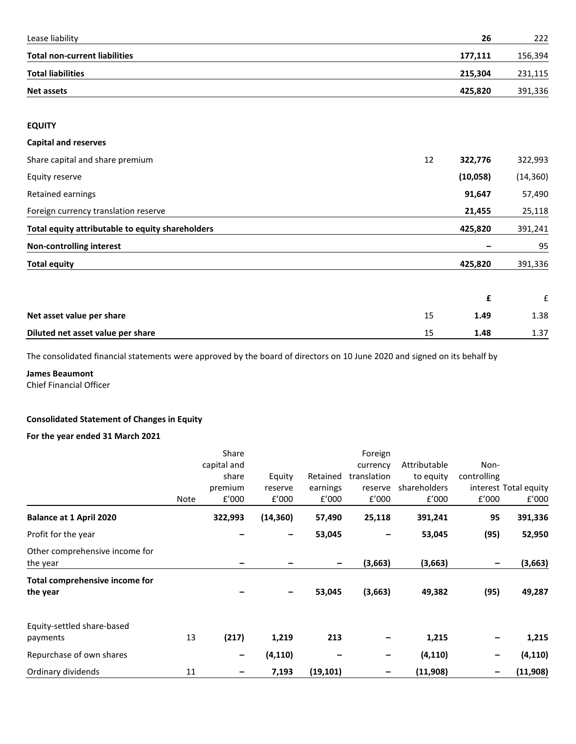| Lease liability                                  | 26            | 222       |
|--------------------------------------------------|---------------|-----------|
| <b>Total non-current liabilities</b>             | 177,111       | 156,394   |
| <b>Total liabilities</b>                         | 215,304       | 231,115   |
| <b>Net assets</b>                                | 425,820       | 391,336   |
| <b>EQUITY</b>                                    |               |           |
| <b>Capital and reserves</b>                      |               |           |
| Share capital and share premium                  | 12<br>322,776 | 322,993   |
| Equity reserve                                   | (10, 058)     | (14, 360) |
| Retained earnings                                | 91,647        | 57,490    |
| Foreign currency translation reserve             | 21,455        | 25,118    |
| Total equity attributable to equity shareholders | 425,820       | 391,241   |
| <b>Non-controlling interest</b>                  |               | 95        |
| <b>Total equity</b>                              | 425,820       | 391,336   |
|                                                  | £             | ${\bf f}$ |
| Net asset value per share                        | 15<br>1.49    | 1.38      |

# **Diluted net asset value per share** 1.37 1.37

The consolidated financial statements were approved by the board of directors on 10 June 2020 and signed on its behalf by

## **James Beaumont**

Chief Financial Officer

## **Consolidated Statement of Changes in Equity**

## **For the year ended 31 March 2021**

|                                            |      | Share       |           |                              | Foreign     |              |             |                       |
|--------------------------------------------|------|-------------|-----------|------------------------------|-------------|--------------|-------------|-----------------------|
|                                            |      | capital and |           |                              | currency    | Attributable | Non-        |                       |
|                                            |      | share       | Equity    | Retained                     | translation | to equity    | controlling |                       |
|                                            |      | premium     | reserve   | earnings                     | reserve     | shareholders |             | interest Total equity |
|                                            | Note | f'000       | f'000     | f'000                        | f'000       | f'000        | f'000       | f'000                 |
| <b>Balance at 1 April 2020</b>             |      | 322,993     | (14, 360) | 57,490                       | 25,118      | 391,241      | 95          | 391,336               |
| Profit for the year                        |      |             |           | 53,045                       |             | 53,045       | (95)        | 52,950                |
| Other comprehensive income for<br>the year |      |             |           | $\qquad \qquad \blacksquare$ | (3,663)     | (3,663)      |             | (3,663)               |
| Total comprehensive income for<br>the year |      |             | -         | 53,045                       | (3,663)     | 49,382       | (95)        | 49,287                |
| Equity-settled share-based<br>payments     | 13   | (217)       | 1,219     | 213                          |             | 1,215        |             | 1,215                 |
| Repurchase of own shares                   |      | -           | (4, 110)  |                              | -           | (4, 110)     | -           | (4, 110)              |
| Ordinary dividends                         | 11   |             | 7,193     | (19, 101)                    | -           | (11,908)     |             | (11,908)              |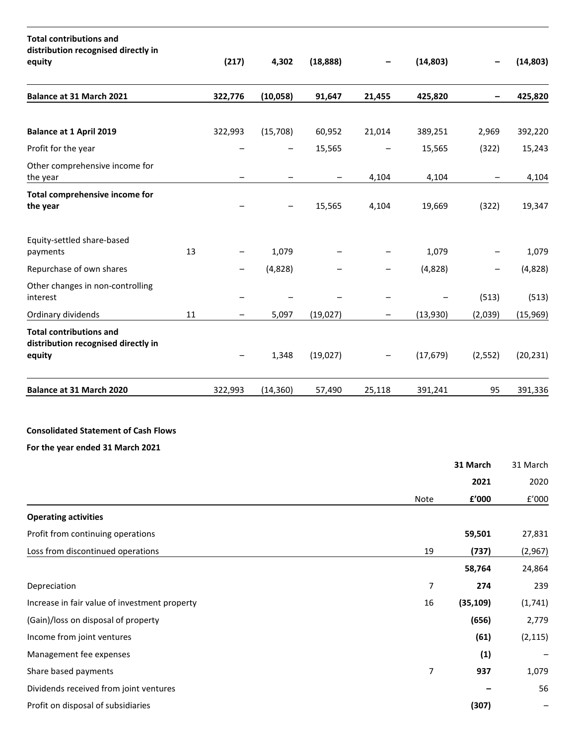| <b>Total contributions and</b><br>distribution recognised directly in<br>equity |    | (217)   | 4,302     | (18, 888) | -                 | (14, 803)      |                                | (14, 803)    |
|---------------------------------------------------------------------------------|----|---------|-----------|-----------|-------------------|----------------|--------------------------------|--------------|
| Balance at 31 March 2021                                                        |    | 322,776 | (10,058)  | 91,647    | 21,455            | 425,820        |                                | 425,820      |
| <b>Balance at 1 April 2019</b>                                                  |    | 322,993 | (15,708)  | 60,952    | 21,014            | 389,251        | 2,969                          | 392,220      |
| Profit for the year                                                             |    |         |           | 15,565    |                   | 15,565         | (322)                          | 15,243       |
| Other comprehensive income for<br>the year                                      |    |         |           | -         | 4,104             | 4,104          |                                | 4,104        |
| Total comprehensive income for<br>the year                                      |    |         |           | 15,565    | 4,104             | 19,669         | (322)                          | 19,347       |
| Equity-settled share-based<br>payments                                          | 13 |         | 1,079     |           |                   | 1,079          |                                | 1,079        |
| Repurchase of own shares                                                        |    |         | (4,828)   |           |                   | (4,828)        | -                              | (4,828)      |
| Other changes in non-controlling<br>interest                                    |    |         |           |           |                   |                | (513)                          | (513)        |
| Ordinary dividends                                                              | 11 |         | 5,097     | (19, 027) | -                 | (13,930)       | (2,039)                        | (15,969)     |
| <b>Total contributions and</b><br>distribution recognised directly in<br>equity |    |         | 1,348     | (19,027)  | $\qquad \qquad -$ | (17, 679)      | (2, 552)                       | (20, 231)    |
| Balance at 31 March 2020                                                        |    | 322,993 | (14, 360) | 57,490    | 25,118            | 391,241        | 95                             | 391,336      |
| <b>Consolidated Statement of Cash Flows</b><br>For the year ended 31 March 2021 |    |         |           |           |                   |                |                                |              |
|                                                                                 |    |         |           |           |                   |                | 31 March                       | 31 March     |
|                                                                                 |    |         |           |           |                   |                | 2021                           | 2020         |
|                                                                                 |    |         |           |           |                   | Note           | $\boldsymbol{\mathsf{f}}'$ 000 | $\rm{f}'000$ |
| <b>Operating activities</b>                                                     |    |         |           |           |                   |                |                                |              |
| Profit from continuing operations                                               |    |         |           |           |                   |                | 59,501                         | 27,831       |
| Loss from discontinued operations                                               |    |         |           |           |                   | 19             | (737)                          | (2,967)      |
|                                                                                 |    |         |           |           |                   |                | 58,764                         | 24,864       |
| Depreciation                                                                    |    |         |           |           |                   | $\overline{7}$ | 274                            | 239          |
| Increase in fair value of investment property                                   |    |         |           |           |                   | 16             | (35, 109)                      | (1,741)      |
| (Gain)/loss on disposal of property                                             |    |         |           |           |                   |                | (656)                          | 2,779        |
| Income from joint ventures                                                      |    |         |           |           |                   |                | (61)                           | (2, 115)     |
| Management fee expenses                                                         |    |         |           |           |                   |                | (1)                            |              |
| Share based payments                                                            |    |         |           |           |                   | $\overline{7}$ | 937                            | 1,079        |
| Dividends received from joint ventures                                          |    |         |           |           |                   |                |                                | 56           |
| Profit on disposal of subsidiaries                                              |    |         |           |           |                   |                | (307)                          |              |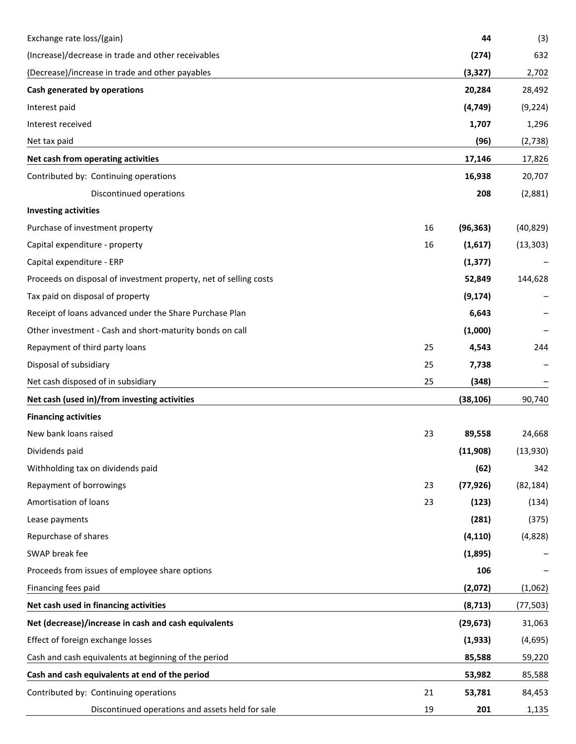| Exchange rate loss/(gain)                                         |    | 44        | (3)       |
|-------------------------------------------------------------------|----|-----------|-----------|
| (Increase)/decrease in trade and other receivables                |    | (274)     | 632       |
| (Decrease)/increase in trade and other payables                   |    | (3, 327)  | 2,702     |
| Cash generated by operations                                      |    | 20,284    | 28,492    |
| Interest paid                                                     |    | (4, 749)  | (9, 224)  |
| Interest received                                                 |    | 1,707     | 1,296     |
| Net tax paid                                                      |    | (96)      | (2,738)   |
| Net cash from operating activities                                |    | 17,146    | 17,826    |
| Contributed by: Continuing operations                             |    | 16,938    | 20,707    |
| Discontinued operations                                           |    | 208       | (2,881)   |
| <b>Investing activities</b>                                       |    |           |           |
| Purchase of investment property                                   | 16 | (96, 363) | (40, 829) |
| Capital expenditure - property                                    | 16 | (1,617)   | (13, 303) |
| Capital expenditure - ERP                                         |    | (1, 377)  |           |
| Proceeds on disposal of investment property, net of selling costs |    | 52,849    | 144,628   |
| Tax paid on disposal of property                                  |    | (9, 174)  |           |
| Receipt of loans advanced under the Share Purchase Plan           |    | 6,643     |           |
| Other investment - Cash and short-maturity bonds on call          |    | (1,000)   |           |
| Repayment of third party loans                                    | 25 | 4,543     | 244       |
| Disposal of subsidiary                                            | 25 | 7,738     |           |
| Net cash disposed of in subsidiary                                | 25 | (348)     |           |
| Net cash (used in)/from investing activities                      |    | (38, 106) | 90,740    |
| <b>Financing activities</b>                                       |    |           |           |
| New bank loans raised                                             | 23 | 89,558    | 24,668    |
| Dividends paid                                                    |    | (11,908)  | (13,930)  |
| Withholding tax on dividends paid                                 |    | (62)      | 342       |
| Repayment of borrowings                                           | 23 | (77, 926) | (82, 184) |
| Amortisation of loans                                             | 23 | (123)     | (134)     |
| Lease payments                                                    |    | (281)     | (375)     |
| Repurchase of shares                                              |    | (4, 110)  | (4,828)   |
| SWAP break fee                                                    |    | (1,895)   |           |
| Proceeds from issues of employee share options                    |    | 106       |           |
| Financing fees paid                                               |    | (2,072)   | (1,062)   |
| Net cash used in financing activities                             |    | (8, 713)  | (77, 503) |
| Net (decrease)/increase in cash and cash equivalents              |    | (29, 673) | 31,063    |
| Effect of foreign exchange losses                                 |    | (1,933)   | (4,695)   |
| Cash and cash equivalents at beginning of the period              |    | 85,588    | 59,220    |
| Cash and cash equivalents at end of the period                    |    | 53,982    | 85,588    |
| Contributed by: Continuing operations                             | 21 | 53,781    | 84,453    |
| Discontinued operations and assets held for sale                  | 19 | 201       | 1,135     |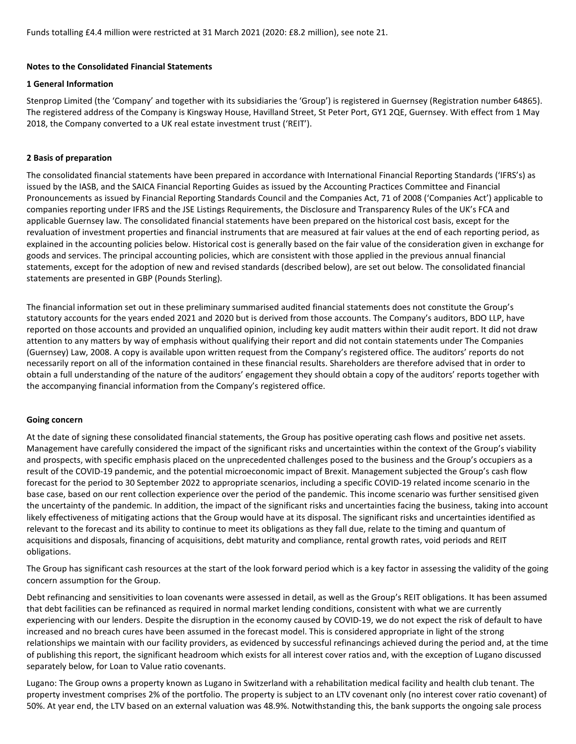Funds totalling £4.4 million were restricted at 31 March 2021 (2020: £8.2 million), see note 21.

#### **Notes to the Consolidated Financial Statements**

#### **1 General Information**

Stenprop Limited (the 'Company' and together with its subsidiaries the 'Group') is registered in Guernsey (Registration number 64865). The registered address of the Company is Kingsway House, Havilland Street, St Peter Port, GY1 2QE, Guernsey. With effect from 1 May 2018, the Company converted to a UK real estate investment trust ('REIT').

## **2 Basis of preparation**

The consolidated financial statements have been prepared in accordance with International Financial Reporting Standards ('IFRS's) as issued by the IASB, and the SAICA Financial Reporting Guides as issued by the Accounting Practices Committee and Financial Pronouncements as issued by Financial Reporting Standards Council and the Companies Act, 71 of 2008 ('Companies Act') applicable to companies reporting under IFRS and the JSE Listings Requirements, the Disclosure and Transparency Rules of the UK's FCA and applicable Guernsey law. The consolidated financial statements have been prepared on the historical cost basis, except for the revaluation of investment properties and financial instruments that are measured at fair values at the end of each reporting period, as explained in the accounting policies below. Historical cost is generally based on the fair value of the consideration given in exchange for goods and services. The principal accounting policies, which are consistent with those applied in the previous annual financial statements, except for the adoption of new and revised standards (described below), are set out below. The consolidated financial statements are presented in GBP (Pounds Sterling).

The financial information set out in these preliminary summarised audited financial statements does not constitute the Group's statutory accounts for the years ended 2021 and 2020 but is derived from those accounts. The Company's auditors, BDO LLP, have reported on those accounts and provided an unqualified opinion, including key audit matters within their audit report. It did not draw attention to any matters by way of emphasis without qualifying their report and did not contain statements under The Companies (Guernsey) Law, 2008. A copy is available upon written request from the Company's registered office. The auditors' reports do not necessarily report on all of the information contained in these financial results. Shareholders are therefore advised that in order to obtain a full understanding of the nature of the auditors' engagement they should obtain a copy of the auditors' reports together with the accompanying financial information from the Company's registered office.

## **Going concern**

At the date of signing these consolidated financial statements, the Group has positive operating cash flows and positive net assets. Management have carefully considered the impact of the significant risks and uncertainties within the context of the Group's viability and prospects, with specific emphasis placed on the unprecedented challenges posed to the business and the Group's occupiers as a result of the COVID-19 pandemic, and the potential microeconomic impact of Brexit. Management subjected the Group's cash flow forecast for the period to 30 September 2022 to appropriate scenarios, including a specific COVID-19 related income scenario in the base case, based on our rent collection experience over the period of the pandemic. This income scenario was further sensitised given the uncertainty of the pandemic. In addition, the impact of the significant risks and uncertainties facing the business, taking into account likely effectiveness of mitigating actions that the Group would have at its disposal. The significant risks and uncertainties identified as relevant to the forecast and its ability to continue to meet its obligations as they fall due, relate to the timing and quantum of acquisitions and disposals, financing of acquisitions, debt maturity and compliance, rental growth rates, void periods and REIT obligations.

The Group has significant cash resources at the start of the look forward period which is a key factor in assessing the validity of the going concern assumption for the Group.

Debt refinancing and sensitivities to loan covenants were assessed in detail, as well as the Group's REIT obligations. It has been assumed that debt facilities can be refinanced as required in normal market lending conditions, consistent with what we are currently experiencing with our lenders. Despite the disruption in the economy caused by COVID-19, we do not expect the risk of default to have increased and no breach cures have been assumed in the forecast model. This is considered appropriate in light of the strong relationships we maintain with our facility providers, as evidenced by successful refinancings achieved during the period and, at the time of publishing this report, the significant headroom which exists for all interest cover ratios and, with the exception of Lugano discussed separately below, for Loan to Value ratio covenants.

Lugano: The Group owns a property known as Lugano in Switzerland with a rehabilitation medical facility and health club tenant. The property investment comprises 2% of the portfolio. The property is subject to an LTV covenant only (no interest cover ratio covenant) of 50%. At year end, the LTV based on an external valuation was 48.9%. Notwithstanding this, the bank supports the ongoing sale process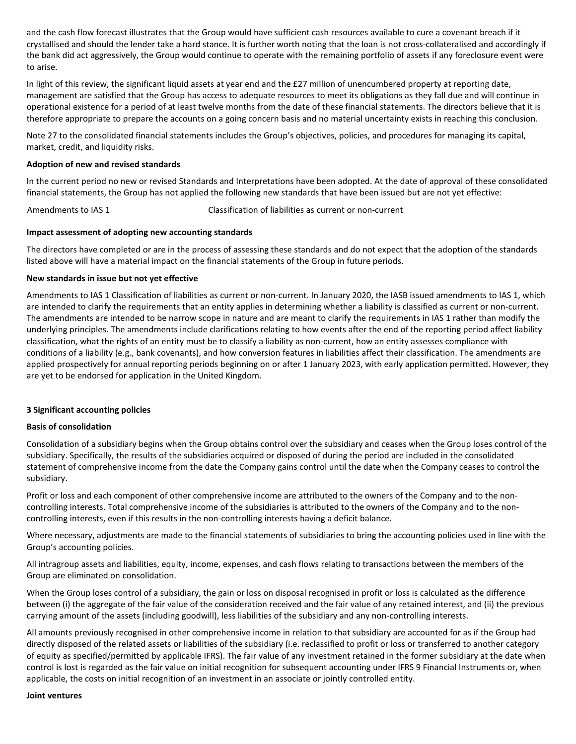and the cash flow forecast illustrates that the Group would have sufficient cash resources available to cure a covenant breach if it crystallised and should the lender take a hard stance. It is further worth noting that the loan is not cross-collateralised and accordingly if the bank did act aggressively, the Group would continue to operate with the remaining portfolio of assets if any foreclosure event were to arise.

In light of this review, the significant liquid assets at year end and the £27 million of unencumbered property at reporting date, management are satisfied that the Group has access to adequate resources to meet its obligations as they fall due and will continue in operational existence for a period of at least twelve months from the date of these financial statements. The directors believe that it is therefore appropriate to prepare the accounts on a going concern basis and no material uncertainty exists in reaching this conclusion.

Note 27 to the consolidated financial statements includes the Group's objectives, policies, and procedures for managing its capital, market, credit, and liquidity risks.

#### **Adoption of new and revised standards**

In the current period no new or revised Standards and Interpretations have been adopted. At the date of approval of these consolidated financial statements, the Group has not applied the following new standards that have been issued but are not yet effective:

Amendments to IAS 1 Classification of liabilities as current or non-current

#### **Impact assessment of adopting new accounting standards**

The directors have completed or are in the process of assessing these standards and do not expect that the adoption of the standards listed above will have a material impact on the financial statements of the Group in future periods.

## **New standards in issue but not yet effective**

Amendments to IAS 1 Classification of liabilities as current or non-current. In January 2020, the IASB issued amendments to IAS 1, which are intended to clarify the requirements that an entity applies in determining whether a liability is classified as current or non-current. The amendments are intended to be narrow scope in nature and are meant to clarify the requirements in IAS 1 rather than modify the underlying principles. The amendments include clarifications relating to how events after the end of the reporting period affect liability classification, what the rights of an entity must be to classify a liability as non-current, how an entity assesses compliance with conditions of a liability (e.g., bank covenants), and how conversion features in liabilities affect their classification. The amendments are applied prospectively for annual reporting periods beginning on or after 1 January 2023, with early application permitted. However, they are yet to be endorsed for application in the United Kingdom.

## **3 Significant accounting policies**

#### **Basis of consolidation**

Consolidation of a subsidiary begins when the Group obtains control over the subsidiary and ceases when the Group loses control of the subsidiary. Specifically, the results of the subsidiaries acquired or disposed of during the period are included in the consolidated statement of comprehensive income from the date the Company gains control until the date when the Company ceases to control the subsidiary.

Profit or loss and each component of other comprehensive income are attributed to the owners of the Company and to the noncontrolling interests. Total comprehensive income of the subsidiaries is attributed to the owners of the Company and to the noncontrolling interests, even if this results in the non-controlling interests having a deficit balance.

Where necessary, adjustments are made to the financial statements of subsidiaries to bring the accounting policies used in line with the Group's accounting policies.

All intragroup assets and liabilities, equity, income, expenses, and cash flows relating to transactions between the members of the Group are eliminated on consolidation.

When the Group loses control of a subsidiary, the gain or loss on disposal recognised in profit or loss is calculated as the difference between (i) the aggregate of the fair value of the consideration received and the fair value of any retained interest, and (ii) the previous carrying amount of the assets (including goodwill), less liabilities of the subsidiary and any non-controlling interests.

All amounts previously recognised in other comprehensive income in relation to that subsidiary are accounted for as if the Group had directly disposed of the related assets or liabilities of the subsidiary (i.e. reclassified to profit or loss or transferred to another category of equity as specified/permitted by applicable IFRS). The fair value of any investment retained in the former subsidiary at the date when control is lost is regarded as the fair value on initial recognition for subsequent accounting under IFRS 9 Financial Instruments or, when applicable, the costs on initial recognition of an investment in an associate or jointly controlled entity.

#### **Joint ventures**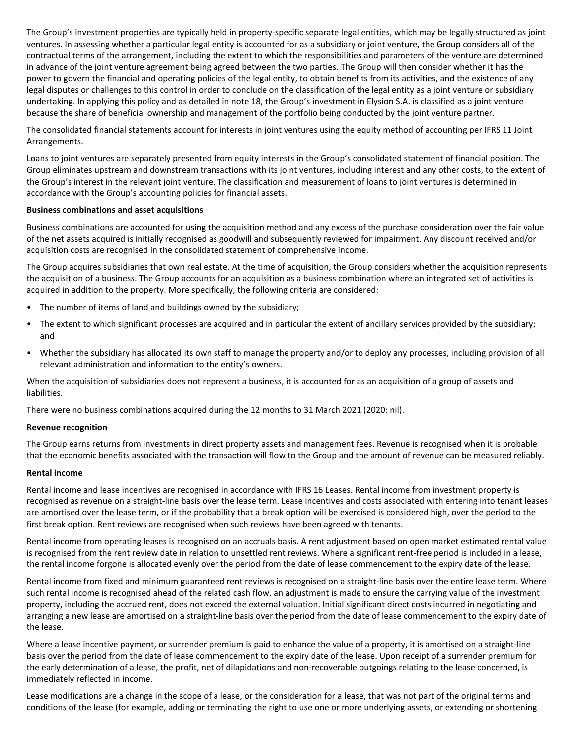The Group's investment properties are typically held in property-specific separate legal entities, which may be legally structured as joint ventures. In assessing whether a particular legal entity is accounted for as a subsidiary or joint venture, the Group considers all of the contractual terms of the arrangement, including the extent to which the responsibilities and parameters of the venture are determined in advance of the joint venture agreement being agreed between the two parties. The Group will then consider whether it has the power to govern the financial and operating policies of the legal entity, to obtain benefits from its activities, and the existence of any legal disputes or challenges to this control in order to conclude on the classification of the legal entity as a joint venture or subsidiary undertaking. In applying this policy and as detailed in note 18, the Group's investment in Elysion S.A. is classified as a joint venture because the share of beneficial ownership and management of the portfolio being conducted by the joint venture partner.

The consolidated financial statements account for interests in joint ventures using the equity method of accounting per IFRS 11 Joint Arrangements.

Loans to joint ventures are separately presented from equity interests in the Group's consolidated statement of financial position. The Group eliminates upstream and downstream transactions with its joint ventures, including interest and any other costs, to the extent of the Group's interest in the relevant joint venture. The classification and measurement of loans to joint ventures is determined in accordance with the Group's accounting policies for financial assets.

#### **Business combinations and asset acquisitions**

Business combinations are accounted for using the acquisition method and any excess of the purchase consideration over the fair value of the net assets acquired is initially recognised as goodwill and subsequently reviewed for impairment. Any discount received and/or acquisition costs are recognised in the consolidated statement of comprehensive income.

The Group acquires subsidiaries that own real estate. At the time of acquisition, the Group considers whether the acquisition represents the acquisition of a business. The Group accounts for an acquisition as a business combination where an integrated set of activities is acquired in addition to the property. More specifically, the following criteria are considered:

- The number of items of land and buildings owned by the subsidiary;
- The extent to which significant processes are acquired and in particular the extent of ancillary services provided by the subsidiary; and
- Whether the subsidiary has allocated its own staff to manage the property and/or to deploy any processes, including provision of all relevant administration and information to the entity's owners.

When the acquisition of subsidiaries does not represent a business, it is accounted for as an acquisition of a group of assets and liabilities.

There were no business combinations acquired during the 12 months to 31 March 2021 (2020: nil).

#### **Revenue recognition**

The Group earns returns from investments in direct property assets and management fees. Revenue is recognised when it is probable that the economic benefits associated with the transaction will flow to the Group and the amount of revenue can be measured reliably.

#### **Rental income**

Rental income and lease incentives are recognised in accordance with IFRS 16 Leases. Rental income from investment property is recognised as revenue on a straight-line basis over the lease term. Lease incentives and costs associated with entering into tenant leases are amortised over the lease term, or if the probability that a break option will be exercised is considered high, over the period to the first break option. Rent reviews are recognised when such reviews have been agreed with tenants.

Rental income from operating leases is recognised on an accruals basis. A rent adjustment based on open market estimated rental value is recognised from the rent review date in relation to unsettled rent reviews. Where a significant rent-free period is included in a lease, the rental income forgone is allocated evenly over the period from the date of lease commencement to the expiry date of the lease.

Rental income from fixed and minimum guaranteed rent reviews is recognised on a straight-line basis over the entire lease term. Where such rental income is recognised ahead of the related cash flow, an adjustment is made to ensure the carrying value of the investment property, including the accrued rent, does not exceed the external valuation. Initial significant direct costs incurred in negotiating and arranging a new lease are amortised on a straight-line basis over the period from the date of lease commencement to the expiry date of the lease.

Where a lease incentive payment, or surrender premium is paid to enhance the value of a property, it is amortised on a straight-line basis over the period from the date of lease commencement to the expiry date of the lease. Upon receipt of a surrender premium for the early determination of a lease, the profit, net of dilapidations and non-recoverable outgoings relating to the lease concerned, is immediately reflected in income.

Lease modifications are a change in the scope of a lease, or the consideration for a lease, that was not part of the original terms and conditions of the lease (for example, adding or terminating the right to use one or more underlying assets, or extending or shortening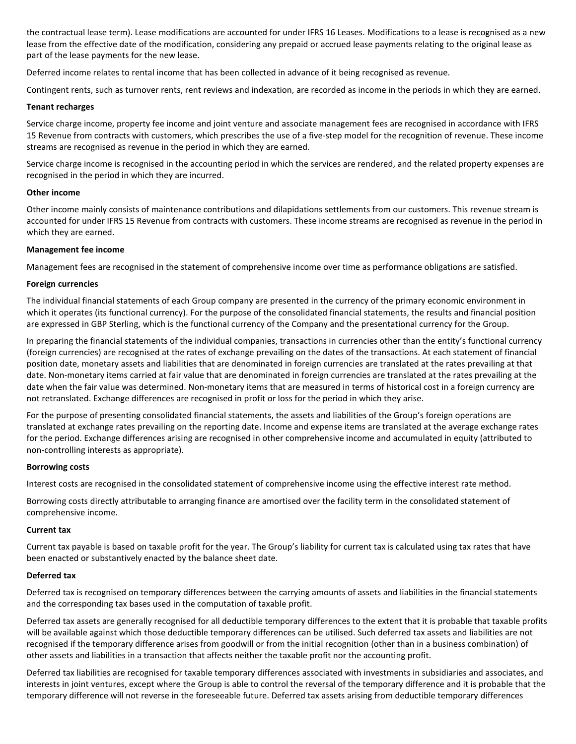the contractual lease term). Lease modifications are accounted for under IFRS 16 Leases. Modifications to a lease is recognised as a new lease from the effective date of the modification, considering any prepaid or accrued lease payments relating to the original lease as part of the lease payments for the new lease.

Deferred income relates to rental income that has been collected in advance of it being recognised as revenue.

Contingent rents, such as turnover rents, rent reviews and indexation, are recorded as income in the periods in which they are earned.

#### **Tenant recharges**

Service charge income, property fee income and joint venture and associate management fees are recognised in accordance with IFRS 15 Revenue from contracts with customers, which prescribes the use of a five-step model for the recognition of revenue. These income streams are recognised as revenue in the period in which they are earned.

Service charge income is recognised in the accounting period in which the services are rendered, and the related property expenses are recognised in the period in which they are incurred.

## **Other income**

Other income mainly consists of maintenance contributions and dilapidations settlements from our customers. This revenue stream is accounted for under IFRS 15 Revenue from contracts with customers. These income streams are recognised as revenue in the period in which they are earned.

## **Management fee income**

Management fees are recognised in the statement of comprehensive income over time as performance obligations are satisfied.

## **Foreign currencies**

The individual financial statements of each Group company are presented in the currency of the primary economic environment in which it operates (its functional currency). For the purpose of the consolidated financial statements, the results and financial position are expressed in GBP Sterling, which is the functional currency of the Company and the presentational currency for the Group.

In preparing the financial statements of the individual companies, transactions in currencies other than the entity's functional currency (foreign currencies) are recognised at the rates of exchange prevailing on the dates of the transactions. At each statement of financial position date, monetary assets and liabilities that are denominated in foreign currencies are translated at the rates prevailing at that date. Non-monetary items carried at fair value that are denominated in foreign currencies are translated at the rates prevailing at the date when the fair value was determined. Non-monetary items that are measured in terms of historical cost in a foreign currency are not retranslated. Exchange differences are recognised in profit or loss for the period in which they arise.

For the purpose of presenting consolidated financial statements, the assets and liabilities of the Group's foreign operations are translated at exchange rates prevailing on the reporting date. Income and expense items are translated at the average exchange rates for the period. Exchange differences arising are recognised in other comprehensive income and accumulated in equity (attributed to non-controlling interests as appropriate).

#### **Borrowing costs**

Interest costs are recognised in the consolidated statement of comprehensive income using the effective interest rate method.

Borrowing costs directly attributable to arranging finance are amortised over the facility term in the consolidated statement of comprehensive income.

## **Current tax**

Current tax payable is based on taxable profit for the year. The Group's liability for current tax is calculated using tax rates that have been enacted or substantively enacted by the balance sheet date.

## **Deferred tax**

Deferred tax is recognised on temporary differences between the carrying amounts of assets and liabilities in the financial statements and the corresponding tax bases used in the computation of taxable profit.

Deferred tax assets are generally recognised for all deductible temporary differences to the extent that it is probable that taxable profits will be available against which those deductible temporary differences can be utilised. Such deferred tax assets and liabilities are not recognised if the temporary difference arises from goodwill or from the initial recognition (other than in a business combination) of other assets and liabilities in a transaction that affects neither the taxable profit nor the accounting profit.

Deferred tax liabilities are recognised for taxable temporary differences associated with investments in subsidiaries and associates, and interests in joint ventures, except where the Group is able to control the reversal of the temporary difference and it is probable that the temporary difference will not reverse in the foreseeable future. Deferred tax assets arising from deductible temporary differences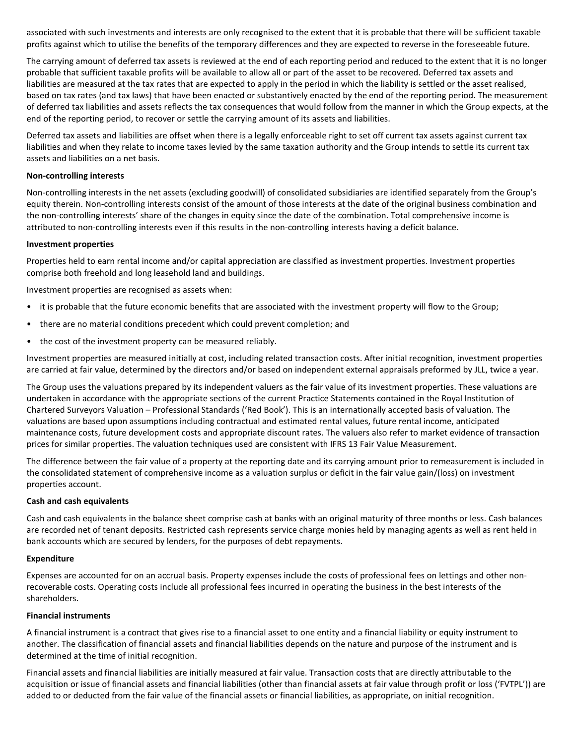associated with such investments and interests are only recognised to the extent that it is probable that there will be sufficient taxable profits against which to utilise the benefits of the temporary differences and they are expected to reverse in the foreseeable future.

The carrying amount of deferred tax assets is reviewed at the end of each reporting period and reduced to the extent that it is no longer probable that sufficient taxable profits will be available to allow all or part of the asset to be recovered. Deferred tax assets and liabilities are measured at the tax rates that are expected to apply in the period in which the liability is settled or the asset realised, based on tax rates (and tax laws) that have been enacted or substantively enacted by the end of the reporting period. The measurement of deferred tax liabilities and assets reflects the tax consequences that would follow from the manner in which the Group expects, at the end of the reporting period, to recover or settle the carrying amount of its assets and liabilities.

Deferred tax assets and liabilities are offset when there is a legally enforceable right to set off current tax assets against current tax liabilities and when they relate to income taxes levied by the same taxation authority and the Group intends to settle its current tax assets and liabilities on a net basis.

## **Non-controlling interests**

Non-controlling interests in the net assets (excluding goodwill) of consolidated subsidiaries are identified separately from the Group's equity therein. Non-controlling interests consist of the amount of those interests at the date of the original business combination and the non-controlling interests' share of the changes in equity since the date of the combination. Total comprehensive income is attributed to non-controlling interests even if this results in the non-controlling interests having a deficit balance.

## **Investment properties**

Properties held to earn rental income and/or capital appreciation are classified as investment properties. Investment properties comprise both freehold and long leasehold land and buildings.

Investment properties are recognised as assets when:

- it is probable that the future economic benefits that are associated with the investment property will flow to the Group;
- there are no material conditions precedent which could prevent completion; and
- the cost of the investment property can be measured reliably.

Investment properties are measured initially at cost, including related transaction costs. After initial recognition, investment properties are carried at fair value, determined by the directors and/or based on independent external appraisals preformed by JLL, twice a year.

The Group uses the valuations prepared by its independent valuers as the fair value of its investment properties. These valuations are undertaken in accordance with the appropriate sections of the current Practice Statements contained in the Royal Institution of Chartered Surveyors Valuation – Professional Standards ('Red Book'). This is an internationally accepted basis of valuation. The valuations are based upon assumptions including contractual and estimated rental values, future rental income, anticipated maintenance costs, future development costs and appropriate discount rates. The valuers also refer to market evidence of transaction prices for similar properties. The valuation techniques used are consistent with IFRS 13 Fair Value Measurement.

The difference between the fair value of a property at the reporting date and its carrying amount prior to remeasurement is included in the consolidated statement of comprehensive income as a valuation surplus or deficit in the fair value gain/(loss) on investment properties account.

#### **Cash and cash equivalents**

Cash and cash equivalents in the balance sheet comprise cash at banks with an original maturity of three months or less. Cash balances are recorded net of tenant deposits. Restricted cash represents service charge monies held by managing agents as well as rent held in bank accounts which are secured by lenders, for the purposes of debt repayments.

#### **Expenditure**

Expenses are accounted for on an accrual basis. Property expenses include the costs of professional fees on lettings and other nonrecoverable costs. Operating costs include all professional fees incurred in operating the business in the best interests of the shareholders.

## **Financial instruments**

A financial instrument is a contract that gives rise to a financial asset to one entity and a financial liability or equity instrument to another. The classification of financial assets and financial liabilities depends on the nature and purpose of the instrument and is determined at the time of initial recognition.

Financial assets and financial liabilities are initially measured at fair value. Transaction costs that are directly attributable to the acquisition or issue of financial assets and financial liabilities (other than financial assets at fair value through profit or loss ('FVTPL')) are added to or deducted from the fair value of the financial assets or financial liabilities, as appropriate, on initial recognition.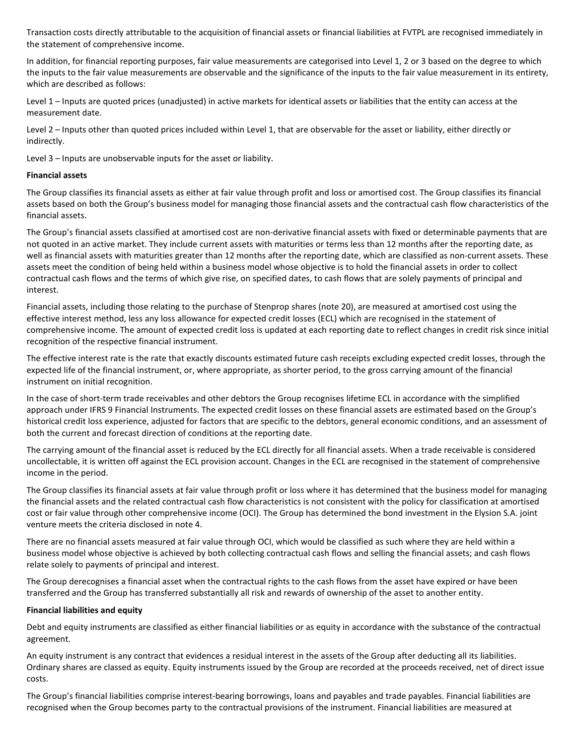Transaction costs directly attributable to the acquisition of financial assets or financial liabilities at FVTPL are recognised immediately in the statement of comprehensive income.

In addition, for financial reporting purposes, fair value measurements are categorised into Level 1, 2 or 3 based on the degree to which the inputs to the fair value measurements are observable and the significance of the inputs to the fair value measurement in its entirety, which are described as follows:

Level 1 – Inputs are quoted prices (unadjusted) in active markets for identical assets or liabilities that the entity can access at the measurement date.

Level 2 – Inputs other than quoted prices included within Level 1, that are observable for the asset or liability, either directly or indirectly.

Level 3 – Inputs are unobservable inputs for the asset or liability.

## **Financial assets**

The Group classifies its financial assets as either at fair value through profit and loss or amortised cost. The Group classifies its financial assets based on both the Group's business model for managing those financial assets and the contractual cash flow characteristics of the financial assets.

The Group's financial assets classified at amortised cost are non-derivative financial assets with fixed or determinable payments that are not quoted in an active market. They include current assets with maturities or terms less than 12 months after the reporting date, as well as financial assets with maturities greater than 12 months after the reporting date, which are classified as non-current assets. These assets meet the condition of being held within a business model whose objective is to hold the financial assets in order to collect contractual cash flows and the terms of which give rise, on specified dates, to cash flows that are solely payments of principal and interest.

Financial assets, including those relating to the purchase of Stenprop shares (note 20), are measured at amortised cost using the effective interest method, less any loss allowance for expected credit losses (ECL) which are recognised in the statement of comprehensive income. The amount of expected credit loss is updated at each reporting date to reflect changes in credit risk since initial recognition of the respective financial instrument.

The effective interest rate is the rate that exactly discounts estimated future cash receipts excluding expected credit losses, through the expected life of the financial instrument, or, where appropriate, as shorter period, to the gross carrying amount of the financial instrument on initial recognition.

In the case of short-term trade receivables and other debtors the Group recognises lifetime ECL in accordance with the simplified approach under IFRS 9 Financial Instruments. The expected credit losses on these financial assets are estimated based on the Group's historical credit loss experience, adjusted for factors that are specific to the debtors, general economic conditions, and an assessment of both the current and forecast direction of conditions at the reporting date.

The carrying amount of the financial asset is reduced by the ECL directly for all financial assets. When a trade receivable is considered uncollectable, it is written off against the ECL provision account. Changes in the ECL are recognised in the statement of comprehensive income in the period.

The Group classifies its financial assets at fair value through profit or loss where it has determined that the business model for managing the financial assets and the related contractual cash flow characteristics is not consistent with the policy for classification at amortised cost or fair value through other comprehensive income (OCI). The Group has determined the bond investment in the Elysion S.A. joint venture meets the criteria disclosed in note 4.

There are no financial assets measured at fair value through OCI, which would be classified as such where they are held within a business model whose objective is achieved by both collecting contractual cash flows and selling the financial assets; and cash flows relate solely to payments of principal and interest.

The Group derecognises a financial asset when the contractual rights to the cash flows from the asset have expired or have been transferred and the Group has transferred substantially all risk and rewards of ownership of the asset to another entity.

## **Financial liabilities and equity**

Debt and equity instruments are classified as either financial liabilities or as equity in accordance with the substance of the contractual agreement.

An equity instrument is any contract that evidences a residual interest in the assets of the Group after deducting all its liabilities. Ordinary shares are classed as equity. Equity instruments issued by the Group are recorded at the proceeds received, net of direct issue costs.

The Group's financial liabilities comprise interest-bearing borrowings, loans and payables and trade payables. Financial liabilities are recognised when the Group becomes party to the contractual provisions of the instrument. Financial liabilities are measured at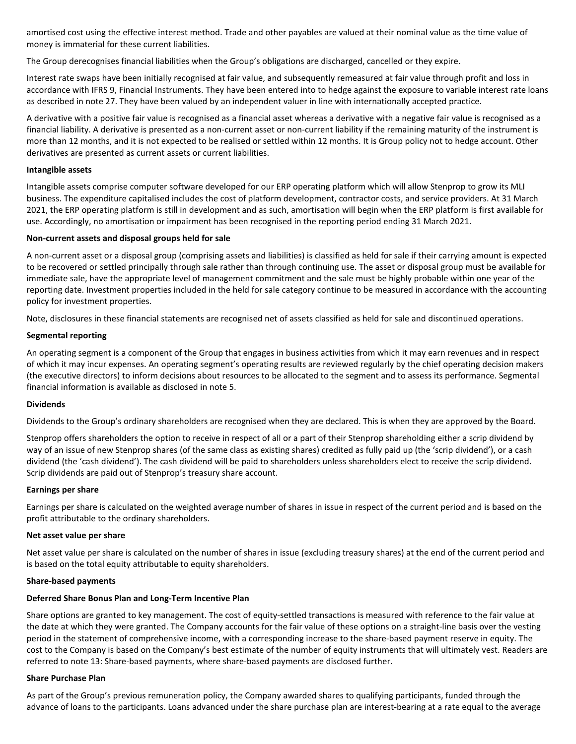amortised cost using the effective interest method. Trade and other payables are valued at their nominal value as the time value of money is immaterial for these current liabilities.

The Group derecognises financial liabilities when the Group's obligations are discharged, cancelled or they expire.

Interest rate swaps have been initially recognised at fair value, and subsequently remeasured at fair value through profit and loss in accordance with IFRS 9, Financial Instruments. They have been entered into to hedge against the exposure to variable interest rate loans as described in note 27. They have been valued by an independent valuer in line with internationally accepted practice.

A derivative with a positive fair value is recognised as a financial asset whereas a derivative with a negative fair value is recognised as a financial liability. A derivative is presented as a non-current asset or non-current liability if the remaining maturity of the instrument is more than 12 months, and it is not expected to be realised or settled within 12 months. It is Group policy not to hedge account. Other derivatives are presented as current assets or current liabilities.

#### **Intangible assets**

Intangible assets comprise computer software developed for our ERP operating platform which will allow Stenprop to grow its MLI business. The expenditure capitalised includes the cost of platform development, contractor costs, and service providers. At 31 March 2021, the ERP operating platform is still in development and as such, amortisation will begin when the ERP platform is first available for use. Accordingly, no amortisation or impairment has been recognised in the reporting period ending 31 March 2021.

## **Non-current assets and disposal groups held for sale**

A non-current asset or a disposal group (comprising assets and liabilities) is classified as held for sale if their carrying amount is expected to be recovered or settled principally through sale rather than through continuing use. The asset or disposal group must be available for immediate sale, have the appropriate level of management commitment and the sale must be highly probable within one year of the reporting date. Investment properties included in the held for sale category continue to be measured in accordance with the accounting policy for investment properties.

Note, disclosures in these financial statements are recognised net of assets classified as held for sale and discontinued operations.

## **Segmental reporting**

An operating segment is a component of the Group that engages in business activities from which it may earn revenues and in respect of which it may incur expenses. An operating segment's operating results are reviewed regularly by the chief operating decision makers (the executive directors) to inform decisions about resources to be allocated to the segment and to assess its performance. Segmental financial information is available as disclosed in note 5.

#### **Dividends**

Dividends to the Group's ordinary shareholders are recognised when they are declared. This is when they are approved by the Board.

Stenprop offers shareholders the option to receive in respect of all or a part of their Stenprop shareholding either a scrip dividend by way of an issue of new Stenprop shares (of the same class as existing shares) credited as fully paid up (the 'scrip dividend'), or a cash dividend (the 'cash dividend'). The cash dividend will be paid to shareholders unless shareholders elect to receive the scrip dividend. Scrip dividends are paid out of Stenprop's treasury share account.

#### **Earnings per share**

Earnings per share is calculated on the weighted average number of shares in issue in respect of the current period and is based on the profit attributable to the ordinary shareholders.

#### **Net asset value per share**

Net asset value per share is calculated on the number of shares in issue (excluding treasury shares) at the end of the current period and is based on the total equity attributable to equity shareholders.

#### **Share-based payments**

## **Deferred Share Bonus Plan and Long-Term Incentive Plan**

Share options are granted to key management. The cost of equity-settled transactions is measured with reference to the fair value at the date at which they were granted. The Company accounts for the fair value of these options on a straight-line basis over the vesting period in the statement of comprehensive income, with a corresponding increase to the share-based payment reserve in equity. The cost to the Company is based on the Company's best estimate of the number of equity instruments that will ultimately vest. Readers are referred to note 13: Share-based payments, where share-based payments are disclosed further.

#### **Share Purchase Plan**

As part of the Group's previous remuneration policy, the Company awarded shares to qualifying participants, funded through the advance of loans to the participants. Loans advanced under the share purchase plan are interest-bearing at a rate equal to the average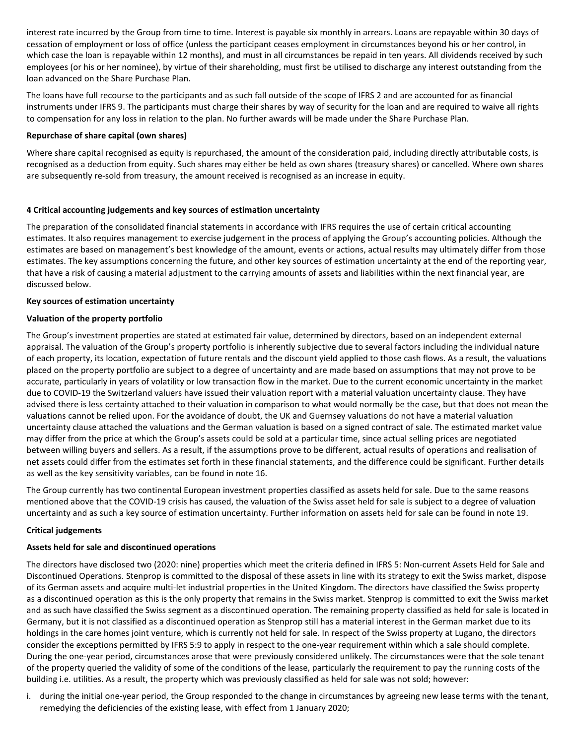interest rate incurred by the Group from time to time. Interest is payable six monthly in arrears. Loans are repayable within 30 days of cessation of employment or loss of office (unless the participant ceases employment in circumstances beyond his or her control, in which case the loan is repayable within 12 months), and must in all circumstances be repaid in ten years. All dividends received by such employees (or his or her nominee), by virtue of their shareholding, must first be utilised to discharge any interest outstanding from the loan advanced on the Share Purchase Plan.

The loans have full recourse to the participants and as such fall outside of the scope of IFRS 2 and are accounted for as financial instruments under IFRS 9. The participants must charge their shares by way of security for the loan and are required to waive all rights to compensation for any loss in relation to the plan. No further awards will be made under the Share Purchase Plan.

## **Repurchase of share capital (own shares)**

Where share capital recognised as equity is repurchased, the amount of the consideration paid, including directly attributable costs, is recognised as a deduction from equity. Such shares may either be held as own shares (treasury shares) or cancelled. Where own shares are subsequently re-sold from treasury, the amount received is recognised as an increase in equity.

## **4 Critical accounting judgements and key sources of estimation uncertainty**

The preparation of the consolidated financial statements in accordance with IFRS requires the use of certain critical accounting estimates. It also requires management to exercise judgement in the process of applying the Group's accounting policies. Although the estimates are based on management's best knowledge of the amount, events or actions, actual results may ultimately differ from those estimates. The key assumptions concerning the future, and other key sources of estimation uncertainty at the end of the reporting year, that have a risk of causing a material adjustment to the carrying amounts of assets and liabilities within the next financial year, are discussed below.

## **Key sources of estimation uncertainty**

## **Valuation of the property portfolio**

The Group's investment properties are stated at estimated fair value, determined by directors, based on an independent external appraisal. The valuation of the Group's property portfolio is inherently subjective due to several factors including the individual nature of each property, its location, expectation of future rentals and the discount yield applied to those cash flows. As a result, the valuations placed on the property portfolio are subject to a degree of uncertainty and are made based on assumptions that may not prove to be accurate, particularly in years of volatility or low transaction flow in the market. Due to the current economic uncertainty in the market due to COVID-19 the Switzerland valuers have issued their valuation report with a material valuation uncertainty clause. They have advised there is less certainty attached to their valuation in comparison to what would normally be the case, but that does not mean the valuations cannot be relied upon. For the avoidance of doubt, the UK and Guernsey valuations do not have a material valuation uncertainty clause attached the valuations and the German valuation is based on a signed contract of sale. The estimated market value may differ from the price at which the Group's assets could be sold at a particular time, since actual selling prices are negotiated between willing buyers and sellers. As a result, if the assumptions prove to be different, actual results of operations and realisation of net assets could differ from the estimates set forth in these financial statements, and the difference could be significant. Further details as well as the key sensitivity variables, can be found in note 16.

The Group currently has two continental European investment properties classified as assets held for sale. Due to the same reasons mentioned above that the COVID-19 crisis has caused, the valuation of the Swiss asset held for sale is subject to a degree of valuation uncertainty and as such a key source of estimation uncertainty. Further information on assets held for sale can be found in note 19.

## **Critical judgements**

## **Assets held for sale and discontinued operations**

The directors have disclosed two (2020: nine) properties which meet the criteria defined in IFRS 5: Non-current Assets Held for Sale and Discontinued Operations. Stenprop is committed to the disposal of these assets in line with its strategy to exit the Swiss market, dispose of its German assets and acquire multi-let industrial properties in the United Kingdom. The directors have classified the Swiss property as a discontinued operation as this is the only property that remains in the Swiss market. Stenprop is committed to exit the Swiss market and as such have classified the Swiss segment as a discontinued operation. The remaining property classified as held for sale is located in Germany, but it is not classified as a discontinued operation as Stenprop still has a material interest in the German market due to its holdings in the care homes joint venture, which is currently not held for sale. In respect of the Swiss property at Lugano, the directors consider the exceptions permitted by IFRS 5:9 to apply in respect to the one-year requirement within which a sale should complete. During the one-year period, circumstances arose that were previously considered unlikely. The circumstances were that the sole tenant of the property queried the validity of some of the conditions of the lease, particularly the requirement to pay the running costs of the building i.e. utilities. As a result, the property which was previously classified as held for sale was not sold; however:

i. during the initial one-year period, the Group responded to the change in circumstances by agreeing new lease terms with the tenant, remedying the deficiencies of the existing lease, with effect from 1 January 2020;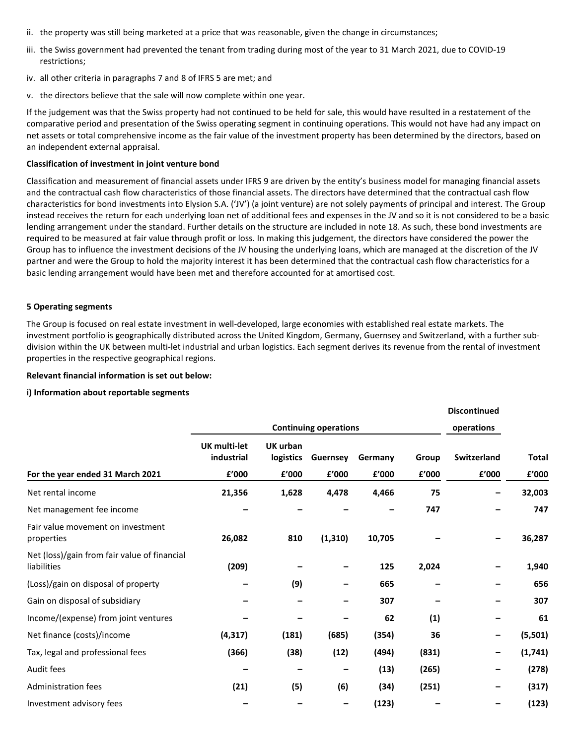- ii. the property was still being marketed at a price that was reasonable, given the change in circumstances;
- iii. the Swiss government had prevented the tenant from trading during most of the year to 31 March 2021, due to COVID-19 restrictions;
- iv. all other criteria in paragraphs 7 and 8 of IFRS 5 are met; and
- v. the directors believe that the sale will now complete within one year.

If the judgement was that the Swiss property had not continued to be held for sale, this would have resulted in a restatement of the comparative period and presentation of the Swiss operating segment in continuing operations. This would not have had any impact on net assets or total comprehensive income as the fair value of the investment property has been determined by the directors, based on an independent external appraisal.

#### **Classification of investment in joint venture bond**

Classification and measurement of financial assets under IFRS 9 are driven by the entity's business model for managing financial assets and the contractual cash flow characteristics of those financial assets. The directors have determined that the contractual cash flow characteristics for bond investments into Elysion S.A. ('JV') (a joint venture) are not solely payments of principal and interest. The Group instead receives the return for each underlying loan net of additional fees and expenses in the JV and so it is not considered to be a basic lending arrangement under the standard. Further details on the structure are included in note 18. As such, these bond investments are required to be measured at fair value through profit or loss. In making this judgement, the directors have considered the power the Group has to influence the investment decisions of the JV housing the underlying loans, which are managed at the discretion of the JV partner and were the Group to hold the majority interest it has been determined that the contractual cash flow characteristics for a basic lending arrangement would have been met and therefore accounted for at amortised cost.

#### **5 Operating segments**

The Group is focused on real estate investment in well-developed, large economies with established real estate markets. The investment portfolio is geographically distributed across the United Kingdom, Germany, Guernsey and Switzerland, with a further subdivision within the UK between multi-let industrial and urban logistics. Each segment derives its revenue from the rental of investment properties in the respective geographical regions.

**Discontinued**

#### **Relevant financial information is set out below:**

#### **i) Information about reportable segments**

|                                                             | <b>Continuing operations</b> |                       |          |         |       | Discontinued<br>operations |              |
|-------------------------------------------------------------|------------------------------|-----------------------|----------|---------|-------|----------------------------|--------------|
|                                                             | UK multi-let<br>industrial   | UK urban<br>logistics | Guernsey | Germany | Group | Switzerland                | <b>Total</b> |
| For the year ended 31 March 2021                            | £'000                        | £'000                 | £'000    | £'000   | £'000 | £'000                      | £'000        |
| Net rental income                                           | 21,356                       | 1,628                 | 4,478    | 4,466   | 75    |                            | 32,003       |
| Net management fee income                                   |                              |                       |          |         | 747   |                            | 747          |
| Fair value movement on investment<br>properties             | 26,082                       | 810                   | (1, 310) | 10,705  |       |                            | 36,287       |
| Net (loss)/gain from fair value of financial<br>liabilities | (209)                        |                       |          | 125     | 2,024 |                            | 1,940        |
| (Loss)/gain on disposal of property                         |                              | (9)                   |          | 665     |       | -                          | 656          |
| Gain on disposal of subsidiary                              |                              |                       |          | 307     |       |                            | 307          |
| Income/(expense) from joint ventures                        |                              |                       |          | 62      | (1)   |                            | 61           |
| Net finance (costs)/income                                  | (4, 317)                     | (181)                 | (685)    | (354)   | 36    | -                          | (5,501)      |
| Tax, legal and professional fees                            | (366)                        | (38)                  | (12)     | (494)   | (831) | -                          | (1,741)      |
| Audit fees                                                  |                              |                       |          | (13)    | (265) | -                          | (278)        |
| <b>Administration fees</b>                                  | (21)                         | (5)                   | (6)      | (34)    | (251) | -                          | (317)        |
| Investment advisory fees                                    |                              |                       |          | (123)   |       | -                          | (123)        |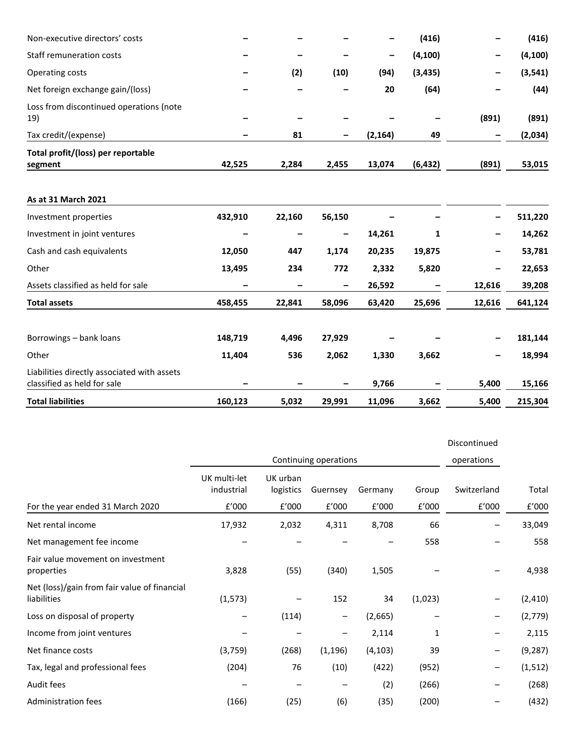| Non-executive directors' costs                                             |         |        |        |          | (416)    | -      | (416)    |
|----------------------------------------------------------------------------|---------|--------|--------|----------|----------|--------|----------|
| Staff remuneration costs                                                   |         |        |        | -        | (4, 100) |        | (4, 100) |
| Operating costs                                                            |         | (2)    | (10)   | (94)     | (3, 435) |        | (3, 541) |
| Net foreign exchange gain/(loss)                                           |         |        |        | 20       | (64)     |        | (44)     |
| Loss from discontinued operations (note<br>19)                             |         |        |        |          |          | (891)  | (891)    |
| Tax credit/(expense)                                                       |         | 81     | -      | (2, 164) | 49       |        | (2,034)  |
| Total profit/(loss) per reportable<br>segment                              | 42,525  | 2,284  | 2,455  | 13,074   | (6, 432) | (891)  | 53,015   |
| As at 31 March 2021                                                        |         |        |        |          |          |        |          |
| Investment properties                                                      | 432,910 | 22,160 | 56,150 |          |          |        | 511,220  |
| Investment in joint ventures                                               |         |        | -      | 14,261   | 1        |        | 14,262   |
| Cash and cash equivalents                                                  | 12,050  | 447    | 1,174  | 20,235   | 19,875   |        | 53,781   |
| Other                                                                      | 13,495  | 234    | 772    | 2,332    | 5,820    |        | 22,653   |
| Assets classified as held for sale                                         |         |        | -      | 26,592   |          | 12,616 | 39,208   |
| <b>Total assets</b>                                                        | 458,455 | 22,841 | 58,096 | 63,420   | 25,696   | 12,616 | 641,124  |
| Borrowings - bank loans                                                    | 148,719 | 4,496  | 27,929 |          |          |        | 181,144  |
| Other                                                                      | 11,404  | 536    | 2,062  | 1,330    | 3,662    |        | 18,994   |
| Liabilities directly associated with assets<br>classified as held for sale |         |        |        | 9,766    |          | 5,400  | 15,166   |
| <b>Total liabilities</b>                                                   | 160,123 | 5,032  | 29,991 | 11,096   | 3,662    | 5,400  | 215,304  |

|                                                             |                            |                       |          |          |         | Discontinued |          |
|-------------------------------------------------------------|----------------------------|-----------------------|----------|----------|---------|--------------|----------|
|                                                             |                            | Continuing operations |          |          |         |              |          |
|                                                             | UK multi-let<br>industrial | UK urban<br>logistics | Guernsey | Germany  | Group   | Switzerland  | Total    |
| For the year ended 31 March 2020                            | £'000                      | £'000                 | f'000    | f'000    | f'000   | £'000        | f'000    |
| Net rental income                                           | 17,932                     | 2,032                 | 4,311    | 8,708    | 66      |              | 33,049   |
| Net management fee income                                   |                            |                       |          |          | 558     |              | 558      |
| Fair value movement on investment<br>properties             | 3,828                      | (55)                  | (340)    | 1,505    |         |              | 4,938    |
| Net (loss)/gain from fair value of financial<br>liabilities | (1, 573)                   |                       | 152      | 34       | (1,023) | -            | (2, 410) |
| Loss on disposal of property                                |                            | (114)                 | -        | (2,665)  |         | -            | (2,779)  |
| Income from joint ventures                                  |                            |                       | —        | 2,114    | 1       | —            | 2,115    |
| Net finance costs                                           | (3,759)                    | (268)                 | (1, 196) | (4, 103) | 39      | -            | (9, 287) |
| Tax, legal and professional fees                            | (204)                      | 76                    | (10)     | (422)    | (952)   | —            | (1, 512) |
| Audit fees                                                  |                            |                       |          | (2)      | (266)   | —            | (268)    |
| Administration fees                                         | (166)                      | (25)                  | (6)      | (35)     | (200)   | -            | (432)    |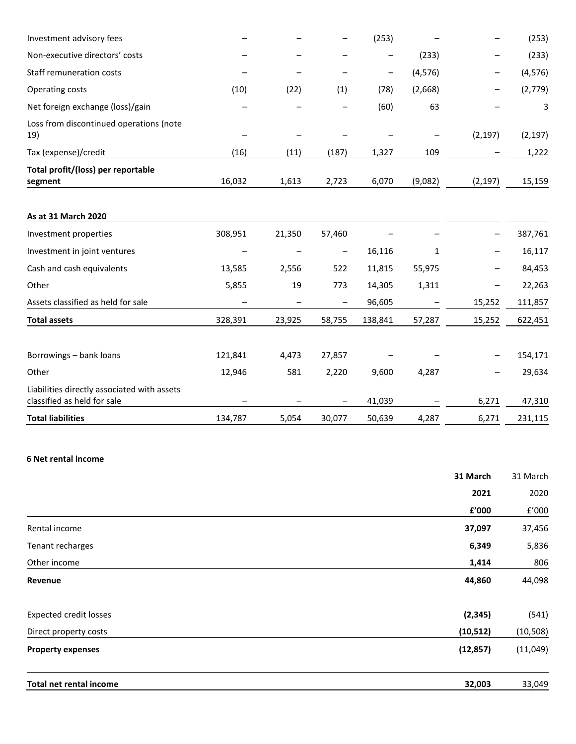| Investment advisory fees                                                   |         |        |                          | (253)   |          |          | (253)    |
|----------------------------------------------------------------------------|---------|--------|--------------------------|---------|----------|----------|----------|
| Non-executive directors' costs                                             |         |        |                          |         | (233)    |          | (233)    |
| Staff remuneration costs                                                   |         |        |                          | -       | (4, 576) | —        | (4, 576) |
| Operating costs                                                            | (10)    | (22)   | (1)                      | (78)    | (2,668)  |          | (2,779)  |
| Net foreign exchange (loss)/gain                                           |         |        |                          | (60)    | 63       |          | 3        |
| Loss from discontinued operations (note<br>19)                             |         |        |                          |         |          | (2, 197) | (2, 197) |
| Tax (expense)/credit                                                       | (16)    | (11)   | (187)                    | 1,327   | 109      |          | 1,222    |
| Total profit/(loss) per reportable<br>segment                              | 16,032  | 1,613  | 2,723                    | 6,070   | (9,082)  | (2, 197) | 15,159   |
| As at 31 March 2020                                                        |         |        |                          |         |          |          |          |
| Investment properties                                                      | 308,951 | 21,350 | 57,460                   |         |          |          | 387,761  |
| Investment in joint ventures                                               |         |        | $\overline{\phantom{m}}$ | 16,116  | 1        |          | 16,117   |
| Cash and cash equivalents                                                  | 13,585  | 2,556  | 522                      | 11,815  | 55,975   |          | 84,453   |
| Other                                                                      | 5,855   | 19     | 773                      | 14,305  | 1,311    |          | 22,263   |
| Assets classified as held for sale                                         |         |        |                          | 96,605  |          | 15,252   | 111,857  |
| <b>Total assets</b>                                                        | 328,391 | 23,925 | 58,755                   | 138,841 | 57,287   | 15,252   | 622,451  |
| Borrowings - bank loans                                                    | 121,841 | 4,473  | 27,857                   |         |          |          | 154,171  |
| Other                                                                      | 12,946  | 581    | 2,220                    | 9,600   | 4,287    |          | 29,634   |
| Liabilities directly associated with assets<br>classified as held for sale |         |        |                          | 41,039  |          | 6,271    | 47,310   |
| <b>Total liabilities</b>                                                   | 134,787 | 5,054  | 30,077                   | 50,639  | 4,287    | 6,271    | 231,115  |

## **6 Net rental income**

|                                | 31 March  | 31 March  |
|--------------------------------|-----------|-----------|
|                                | 2021      | 2020      |
|                                | £'000     | f'000     |
| Rental income                  | 37,097    | 37,456    |
| Tenant recharges               | 6,349     | 5,836     |
| Other income                   | 1,414     | 806       |
| Revenue                        | 44,860    | 44,098    |
| <b>Expected credit losses</b>  | (2, 345)  | (541)     |
| Direct property costs          | (10, 512) | (10, 508) |
| <b>Property expenses</b>       | (12, 857) | (11,049)  |
| <b>Total net rental income</b> | 32,003    | 33,049    |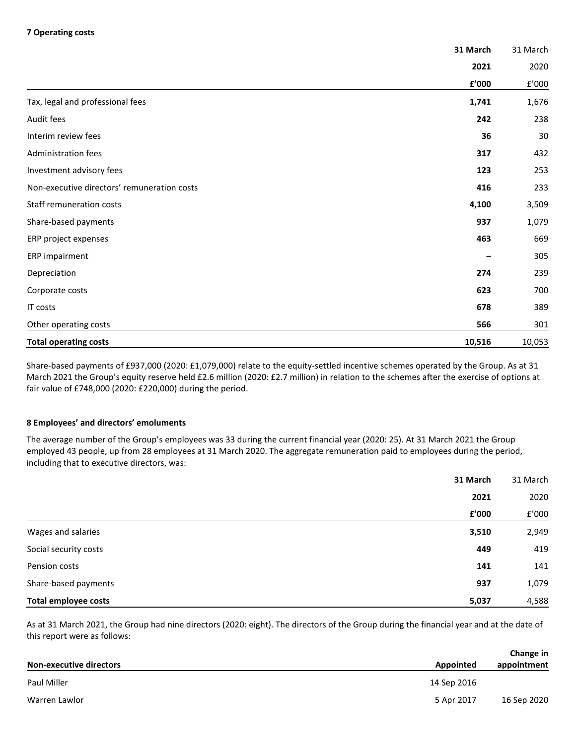## **7 Operating costs**

|                                             | 31 March | 31 March |
|---------------------------------------------|----------|----------|
|                                             | 2021     | 2020     |
|                                             | £'000    | f'000    |
| Tax, legal and professional fees            | 1,741    | 1,676    |
| Audit fees                                  | 242      | 238      |
| Interim review fees                         | 36       | 30       |
| Administration fees                         | 317      | 432      |
| Investment advisory fees                    | 123      | 253      |
| Non-executive directors' remuneration costs | 416      | 233      |
| Staff remuneration costs                    | 4,100    | 3,509    |
| Share-based payments                        | 937      | 1,079    |
| ERP project expenses                        | 463      | 669      |
| ERP impairment                              |          | 305      |
| Depreciation                                | 274      | 239      |
| Corporate costs                             | 623      | 700      |
| IT costs                                    | 678      | 389      |
| Other operating costs                       | 566      | 301      |
| <b>Total operating costs</b>                | 10,516   | 10,053   |

Share-based payments of £937,000 (2020: £1,079,000) relate to the equity-settled incentive schemes operated by the Group. As at 31 March 2021 the Group's equity reserve held £2.6 million (2020: £2.7 million) in relation to the schemes after the exercise of options at fair value of £748,000 (2020: £220,000) during the period.

## **8 Employees' and directors' emoluments**

The average number of the Group's employees was 33 during the current financial year (2020: 25). At 31 March 2021 the Group employed 43 people, up from 28 employees at 31 March 2020. The aggregate remuneration paid to employees during the period, including that to executive directors, was:

|                             | 31 March | 31 March |
|-----------------------------|----------|----------|
|                             | 2021     | 2020     |
|                             | £'000    | f'000    |
| Wages and salaries          | 3,510    | 2,949    |
| Social security costs       | 449      | 419      |
| Pension costs               | 141      | 141      |
| Share-based payments        | 937      | 1,079    |
| <b>Total employee costs</b> | 5,037    | 4,588    |

As at 31 March 2021, the Group had nine directors (2020: eight). The directors of the Group during the financial year and at the date of this report were as follows:

|                                |             | Change in   |  |
|--------------------------------|-------------|-------------|--|
| <b>Non-executive directors</b> | Appointed   | appointment |  |
| Paul Miller                    | 14 Sep 2016 |             |  |
| Warren Lawlor                  | 5 Apr 2017  | 16 Sep 2020 |  |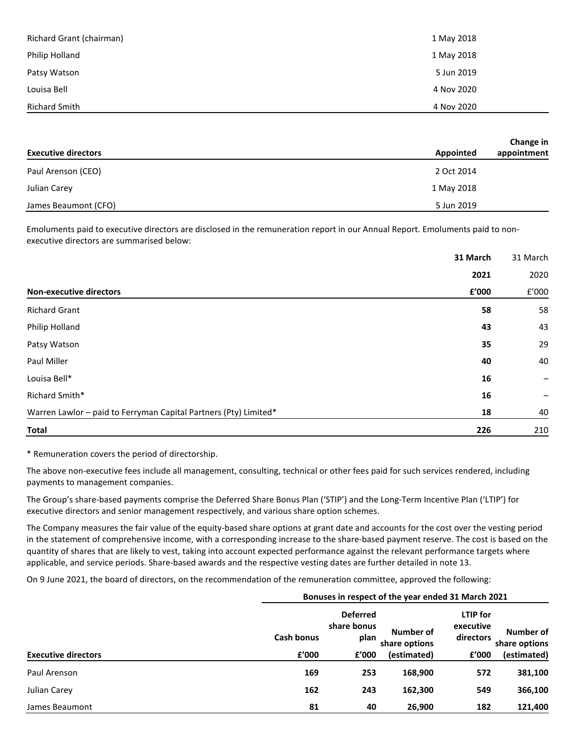| Richard Grant (chairman) | 1 May 2018 |
|--------------------------|------------|
| Philip Holland           | 1 May 2018 |
| Patsy Watson             | 5 Jun 2019 |
| Louisa Bell              | 4 Nov 2020 |
| Richard Smith            | 4 Nov 2020 |

|                            | Change in                |
|----------------------------|--------------------------|
| <b>Executive directors</b> | appointment<br>Appointed |
| Paul Arenson (CEO)         | 2 Oct 2014               |
| Julian Carey               | 1 May 2018               |
| James Beaumont (CFO)       | 5 Jun 2019               |

Emoluments paid to executive directors are disclosed in the remuneration report in our Annual Report. Emoluments paid to nonexecutive directors are summarised below:

|                                                                  | 31 March | 31 March |
|------------------------------------------------------------------|----------|----------|
|                                                                  | 2021     | 2020     |
| <b>Non-executive directors</b>                                   | £'000    | f'000    |
| <b>Richard Grant</b>                                             | 58       | 58       |
| Philip Holland                                                   | 43       | 43       |
| Patsy Watson                                                     | 35       | 29       |
| Paul Miller                                                      | 40       | 40       |
| Louisa Bell*                                                     | 16       | -        |
| Richard Smith*                                                   | 16       |          |
| Warren Lawlor - paid to Ferryman Capital Partners (Pty) Limited* | 18       | 40       |
| <b>Total</b>                                                     | 226      | 210      |

\* Remuneration covers the period of directorship.

The above non-executive fees include all management, consulting, technical or other fees paid for such services rendered, including payments to management companies.

The Group's share-based payments comprise the Deferred Share Bonus Plan ('STIP') and the Long-Term Incentive Plan ('LTIP') for executive directors and senior management respectively, and various share option schemes.

The Company measures the fair value of the equity-based share options at grant date and accounts for the cost over the vesting period in the statement of comprehensive income, with a corresponding increase to the share-based payment reserve. The cost is based on the quantity of shares that are likely to vest, taking into account expected performance against the relevant performance targets where applicable, and service periods. Share-based awards and the respective vesting dates are further detailed in note 13.

On 9 June 2021, the board of directors, on the recommendation of the remuneration committee, approved the following:

|                            |                   | Bonuses in respect of the year ended 31 March 2021 |                            |                                    |                            |  |  |  |
|----------------------------|-------------------|----------------------------------------------------|----------------------------|------------------------------------|----------------------------|--|--|--|
|                            | <b>Cash bonus</b> | <b>Deferred</b><br>share bonus<br>plan             | Number of<br>share options | LTIP for<br>executive<br>directors | Number of<br>share options |  |  |  |
| <b>Executive directors</b> | f'000             | f'000                                              | (estimated)                | f'000                              | (estimated)                |  |  |  |
| Paul Arenson               | 169               | 253                                                | 168,900                    | 572                                | 381,100                    |  |  |  |
| Julian Carey               | 162               | 243                                                | 162,300                    | 549                                | 366,100                    |  |  |  |
| James Beaumont             | 81                | 40                                                 | 26,900                     | 182                                | 121,400                    |  |  |  |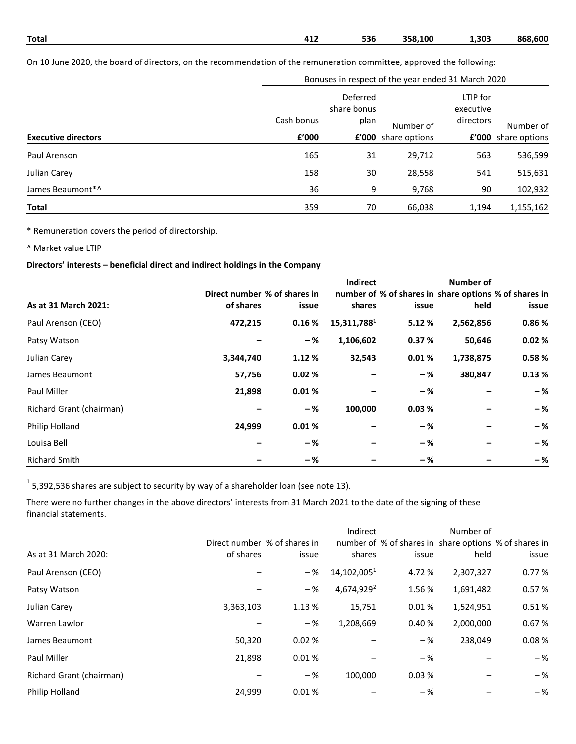| Total | $\Lambda$ 1'<br>411 | 536 | 358,100 | 1,303 | 868,600 |
|-------|---------------------|-----|---------|-------|---------|

On 10 June 2020, the board of directors, on the recommendation of the remuneration committee, approved the following:

|                            | Bonuses in respect of the year ended 31 March 2020 |             |                     |           |                     |  |
|----------------------------|----------------------------------------------------|-------------|---------------------|-----------|---------------------|--|
|                            | Deferred                                           |             |                     | LTIP for  |                     |  |
|                            |                                                    | share bonus |                     | executive |                     |  |
|                            | Cash bonus                                         | plan        | Number of           | directors | Number of           |  |
| <b>Executive directors</b> | £'000                                              |             | £'000 share options |           | £'000 share options |  |
| Paul Arenson               | 165                                                | 31          | 29,712              | 563       | 536,599             |  |
| Julian Carey               | 158                                                | 30          | 28,558              | 541       | 515,631             |  |
| James Beaumont*^           | 36                                                 | 9           | 9,768               | 90        | 102,932             |  |
| Total                      | 359                                                | 70          | 66,038              | 1,194     | 1,155,162           |  |

\* Remuneration covers the period of directorship.

^ Market value LTIP

## **Directors' interests – beneficial direct and indirect holdings in the Company**

|                          |                              |        | <b>Indirect</b>                                       |       | <b>Number of</b> |       |
|--------------------------|------------------------------|--------|-------------------------------------------------------|-------|------------------|-------|
|                          | Direct number % of shares in |        | number of % of shares in share options % of shares in |       |                  |       |
| As at 31 March 2021:     | of shares                    | issue  | shares                                                | issue | held             | issue |
| Paul Arenson (CEO)       | 472,215                      | 0.16%  | 15,311,788 <sup>1</sup>                               | 5.12% | 2,562,856        | 0.86% |
| Patsy Watson             |                              | -%     | 1,106,602                                             | 0.37% | 50,646           | 0.02% |
| Julian Carey             | 3,344,740                    | 1.12 % | 32,543                                                | 0.01% | 1,738,875        | 0.58% |
| James Beaumont           | 57,756                       | 0.02%  |                                                       | -%    | 380,847          | 0.13% |
| Paul Miller              | 21,898                       | 0.01%  |                                                       | -%    |                  | $-$ % |
| Richard Grant (chairman) |                              | -%     | 100,000                                               | 0.03% |                  | $-$ % |
| Philip Holland           | 24,999                       | 0.01%  |                                                       | -%    |                  | -%    |
| Louisa Bell              |                              | -%     |                                                       | -%    |                  | $-$ % |
| <b>Richard Smith</b>     |                              | -%     |                                                       | -%    |                  | $-$ % |

 $1$  5,392,536 shares are subject to security by way of a shareholder loan (see note 13).

There were no further changes in the above directors' interests from 31 March 2021 to the date of the signing of these financial statements.

|                          |                              |        | Indirect               |                                                       | Number of |       |
|--------------------------|------------------------------|--------|------------------------|-------------------------------------------------------|-----------|-------|
|                          | Direct number % of shares in |        |                        | number of % of shares in share options % of shares in |           |       |
| As at 31 March 2020:     | of shares                    | issue  | shares                 | issue                                                 | held      | issue |
| Paul Arenson (CEO)       |                              | -%     | $14,102,005^1$         | 4.72 %                                                | 2,307,327 | 0.77% |
| Patsy Watson             |                              | -%     | 4,674,929 <sup>2</sup> | 1.56%                                                 | 1,691,482 | 0.57% |
| Julian Carey             | 3,363,103                    | 1.13 % | 15,751                 | 0.01%                                                 | 1,524,951 | 0.51% |
| Warren Lawlor            |                              | -%     | 1,208,669              | 0.40%                                                 | 2,000,000 | 0.67% |
| James Beaumont           | 50,320                       | 0.02%  |                        | -%                                                    | 238,049   | 0.08% |
| Paul Miller              | 21,898                       | 0.01%  |                        | -%                                                    |           | $-$ % |
| Richard Grant (chairman) |                              | -%     | 100.000                | 0.03%                                                 |           | $-$ % |
| Philip Holland           | 24.999                       | 0.01%  |                        | $-$ %                                                 |           | $-$ % |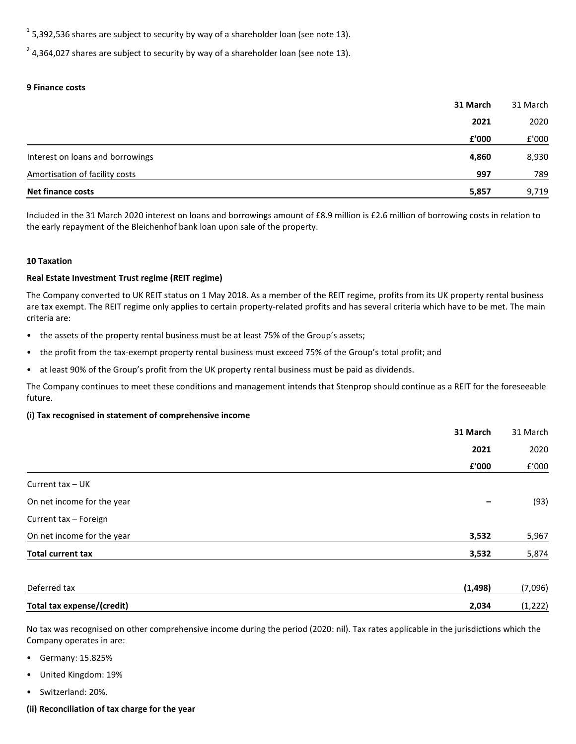$1$  5,392,536 shares are subject to security by way of a shareholder loan (see note 13).

 $2$  4,364,027 shares are subject to security by way of a shareholder loan (see note 13).

## **9 Finance costs**

| <b>Net finance costs</b>         | 5,857    | 9,719    |
|----------------------------------|----------|----------|
| Amortisation of facility costs   | 997      | 789      |
| Interest on loans and borrowings | 4,860    | 8,930    |
|                                  | £'000    | f'000    |
|                                  | 2021     | 2020     |
|                                  | 31 March | 31 March |

Included in the 31 March 2020 interest on loans and borrowings amount of £8.9 million is £2.6 million of borrowing costs in relation to the early repayment of the Bleichenhof bank loan upon sale of the property.

#### **10 Taxation**

## **Real Estate Investment Trust regime (REIT regime)**

The Company converted to UK REIT status on 1 May 2018. As a member of the REIT regime, profits from its UK property rental business are tax exempt. The REIT regime only applies to certain property-related profits and has several criteria which have to be met. The main criteria are:

- the assets of the property rental business must be at least 75% of the Group's assets;
- the profit from the tax-exempt property rental business must exceed 75% of the Group's total profit; and
- at least 90% of the Group's profit from the UK property rental business must be paid as dividends.

The Company continues to meet these conditions and management intends that Stenprop should continue as a REIT for the foreseeable future.

## **(i) Tax recognised in statement of comprehensive income**

|                                   | 31 March | 31 March |
|-----------------------------------|----------|----------|
|                                   | 2021     | 2020     |
|                                   | £'000    | f'000    |
| Current tax - UK                  |          |          |
| On net income for the year        | -        | (93)     |
| Current tax - Foreign             |          |          |
| On net income for the year        | 3,532    | 5,967    |
| <b>Total current tax</b>          | 3,532    | 5,874    |
| Deferred tax                      | (1, 498) | (7,096)  |
| <b>Total tax expense/(credit)</b> | 2,034    | (1, 222) |

No tax was recognised on other comprehensive income during the period (2020: nil). Tax rates applicable in the jurisdictions which the Company operates in are:

- Germany: 15.825%
- United Kingdom: 19%
- Switzerland: 20%.
- **(ii) Reconciliation of tax charge for the year**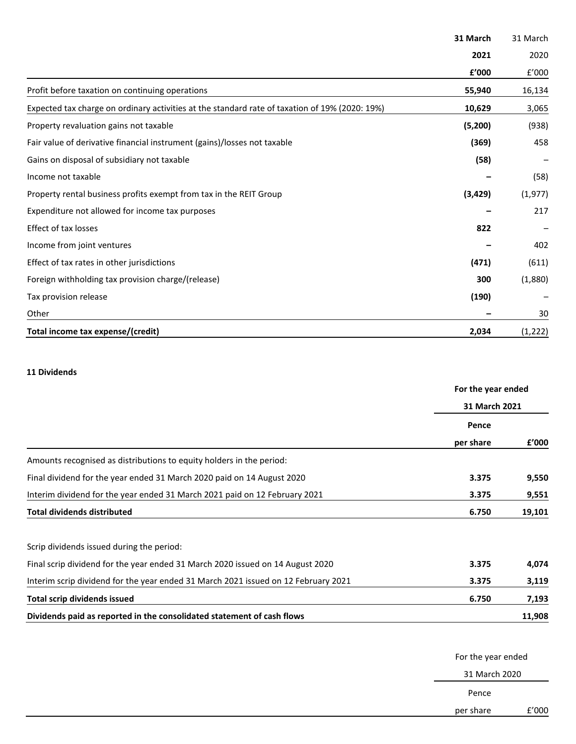|                                                                                                | 31 March | 31 March |
|------------------------------------------------------------------------------------------------|----------|----------|
|                                                                                                | 2021     | 2020     |
|                                                                                                | £'000    | f'000    |
| Profit before taxation on continuing operations                                                | 55,940   | 16,134   |
| Expected tax charge on ordinary activities at the standard rate of taxation of 19% (2020: 19%) | 10,629   | 3,065    |
| Property revaluation gains not taxable                                                         | (5, 200) | (938)    |
| Fair value of derivative financial instrument (gains)/losses not taxable                       | (369)    | 458      |
| Gains on disposal of subsidiary not taxable                                                    | (58)     |          |
| Income not taxable                                                                             |          | (58)     |
| Property rental business profits exempt from tax in the REIT Group                             | (3, 429) | (1, 977) |
| Expenditure not allowed for income tax purposes                                                |          | 217      |
| <b>Effect of tax losses</b>                                                                    | 822      |          |
| Income from joint ventures                                                                     |          | 402      |
| Effect of tax rates in other jurisdictions                                                     | (471)    | (611)    |
| Foreign withholding tax provision charge/(release)                                             | 300      | (1,880)  |
| Tax provision release                                                                          | (190)    |          |
| Other                                                                                          |          | 30       |
| Total income tax expense/(credit)                                                              | 2,034    | (1, 222) |

## **11 Dividends**

|                                                                                    | For the year ended<br>31 March 2021 |        |  |
|------------------------------------------------------------------------------------|-------------------------------------|--------|--|
|                                                                                    |                                     |        |  |
|                                                                                    | Pence                               |        |  |
|                                                                                    | per share                           | f'000  |  |
| Amounts recognised as distributions to equity holders in the period:               |                                     |        |  |
| Final dividend for the year ended 31 March 2020 paid on 14 August 2020             | 3.375                               | 9,550  |  |
| Interim dividend for the year ended 31 March 2021 paid on 12 February 2021         | 3.375                               | 9,551  |  |
| <b>Total dividends distributed</b>                                                 | 6.750                               | 19,101 |  |
| Scrip dividends issued during the period:                                          |                                     |        |  |
| Final scrip dividend for the year ended 31 March 2020 issued on 14 August 2020     | 3.375                               | 4,074  |  |
| Interim scrip dividend for the year ended 31 March 2021 issued on 12 February 2021 | 3.375                               | 3,119  |  |
| <b>Total scrip dividends issued</b>                                                | 6.750                               | 7,193  |  |
| Dividends paid as reported in the consolidated statement of cash flows             |                                     | 11,908 |  |

For the year ended

31 March 2020

Pence

per share £'000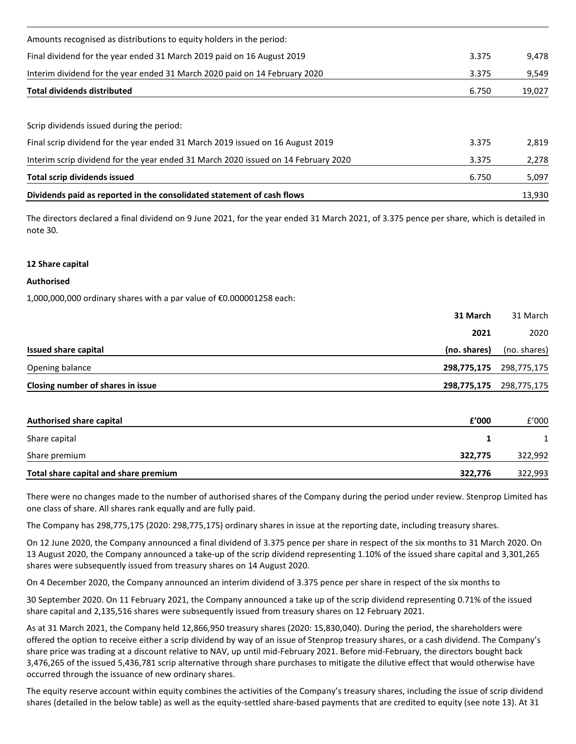| Dividends paid as reported in the consolidated statement of cash flows             |       | 13,930 |
|------------------------------------------------------------------------------------|-------|--------|
| Total scrip dividends issued                                                       | 6.750 | 5,097  |
| Interim scrip dividend for the year ended 31 March 2020 issued on 14 February 2020 | 3.375 | 2,278  |
| Final scrip dividend for the year ended 31 March 2019 issued on 16 August 2019     | 3.375 | 2.819  |
| Scrip dividends issued during the period:                                          |       |        |
| <b>Total dividends distributed</b>                                                 | 6.750 | 19,027 |
| Interim dividend for the year ended 31 March 2020 paid on 14 February 2020         | 3.375 | 9,549  |
| Final dividend for the year ended 31 March 2019 paid on 16 August 2019             | 3.375 | 9,478  |
| Amounts recognised as distributions to equity holders in the period:               |       |        |

The directors declared a final dividend on 9 June 2021, for the year ended 31 March 2021, of 3.375 pence per share, which is detailed in note 30.

## **12 Share capital**

## **Authorised**

1,000,000,000 ordinary shares with a par value of €0.000001258 each:

| 31 March                             | 31 March                |
|--------------------------------------|-------------------------|
| 2021                                 | 2020                    |
| Issued share capital<br>(no. shares) | (no. shares)            |
| Opening balance                      | 298,775,175 298,775,175 |
| Closing number of shares in issue    | 298,775,175 298,775,175 |

| Authorised share capital              | f'000   | f'000   |
|---------------------------------------|---------|---------|
| Share capital                         |         |         |
| Share premium                         | 322.775 | 322,992 |
| Total share capital and share premium | 322,776 | 322,993 |

There were no changes made to the number of authorised shares of the Company during the period under review. Stenprop Limited has one class of share. All shares rank equally and are fully paid.

The Company has 298,775,175 (2020: 298,775,175) ordinary shares in issue at the reporting date, including treasury shares.

On 12 June 2020, the Company announced a final dividend of 3.375 pence per share in respect of the six months to 31 March 2020. On 13 August 2020, the Company announced a take-up of the scrip dividend representing 1.10% of the issued share capital and 3,301,265 shares were subsequently issued from treasury shares on 14 August 2020.

On 4 December 2020, the Company announced an interim dividend of 3.375 pence per share in respect of the six months to

30 September 2020. On 11 February 2021, the Company announced a take up of the scrip dividend representing 0.71% of the issued share capital and 2,135,516 shares were subsequently issued from treasury shares on 12 February 2021.

As at 31 March 2021, the Company held 12,866,950 treasury shares (2020: 15,830,040). During the period, the shareholders were offered the option to receive either a scrip dividend by way of an issue of Stenprop treasury shares, or a cash dividend. The Company's share price was trading at a discount relative to NAV, up until mid-February 2021. Before mid-February, the directors bought back 3,476,265 of the issued 5,436,781 scrip alternative through share purchases to mitigate the dilutive effect that would otherwise have occurred through the issuance of new ordinary shares.

The equity reserve account within equity combines the activities of the Company's treasury shares, including the issue of scrip dividend shares (detailed in the below table) as well as the equity-settled share-based payments that are credited to equity (see note 13). At 31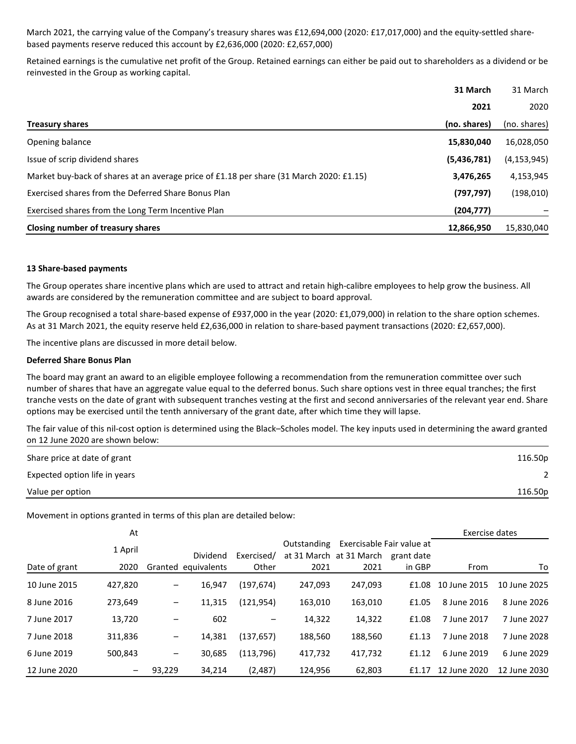March 2021, the carrying value of the Company's treasury shares was £12,694,000 (2020: £17,017,000) and the equity-settled sharebased payments reserve reduced this account by £2,636,000 (2020: £2,657,000)

Retained earnings is the cumulative net profit of the Group. Retained earnings can either be paid out to shareholders as a dividend or be reinvested in the Group as working capital.

|                                                                                         | 31 March     | 31 March      |
|-----------------------------------------------------------------------------------------|--------------|---------------|
|                                                                                         | 2021         | 2020          |
| <b>Treasury shares</b>                                                                  | (no. shares) | (no. shares)  |
| Opening balance                                                                         | 15,830,040   | 16,028,050    |
| Issue of scrip dividend shares                                                          | (5,436,781)  | (4, 153, 945) |
| Market buy-back of shares at an average price of £1.18 per share (31 March 2020: £1.15) | 3,476,265    | 4,153,945     |
| Exercised shares from the Deferred Share Bonus Plan                                     | (797, 797)   | (198, 010)    |
| Exercised shares from the Long Term Incentive Plan                                      | (204, 777)   |               |
| Closing number of treasury shares                                                       | 12,866,950   | 15,830,040    |

#### **13 Share-based payments**

The Group operates share incentive plans which are used to attract and retain high-calibre employees to help grow the business. All awards are considered by the remuneration committee and are subject to board approval.

The Group recognised a total share-based expense of £937,000 in the year (2020: £1,079,000) in relation to the share option schemes. As at 31 March 2021, the equity reserve held £2,636,000 in relation to share-based payment transactions (2020: £2,657,000).

The incentive plans are discussed in more detail below.

#### **Deferred Share Bonus Plan**

The board may grant an award to an eligible employee following a recommendation from the remuneration committee over such number of shares that have an aggregate value equal to the deferred bonus. Such share options vest in three equal tranches; the first tranche vests on the date of grant with subsequent tranches vesting at the first and second anniversaries of the relevant year end. Share options may be exercised until the tenth anniversary of the grant date, after which time they will lapse.

The fair value of this nil-cost option is determined using the Black–Scholes model. The key inputs used in determining the award granted on 12 June 2020 are shown below:

| Share price at date of grant  | 116.50p |
|-------------------------------|---------|
| Expected option life in years |         |
| Value per option              | 116.50p |

Movement in options granted in terms of this plan are detailed below:

|               | At      |                   |             |            |             |                         |                                         | Exercise dates |              |
|---------------|---------|-------------------|-------------|------------|-------------|-------------------------|-----------------------------------------|----------------|--------------|
|               | 1 April |                   | Dividend    | Exercised/ | Outstanding | at 31 March at 31 March | Exercisable Fair value at<br>grant date |                |              |
| Date of grant | 2020    | Granted           | equivalents | Other      | 2021        | 2021                    | in GBP                                  | From           | To           |
| 10 June 2015  | 427,820 | $\qquad \qquad -$ | 16,947      | (197, 674) | 247,093     | 247,093                 | £1.08                                   | 10 June 2015   | 10 June 2025 |
| 8 June 2016   | 273,649 | $\qquad \qquad -$ | 11,315      | (121,954)  | 163,010     | 163,010                 | £1.05                                   | 8 June 2016    | 8 June 2026  |
| 7 June 2017   | 13,720  | -                 | 602         | —          | 14,322      | 14,322                  | £1.08                                   | 7 June 2017    | 7 June 2027  |
| 7 June 2018   | 311,836 | -                 | 14,381      | (137,657)  | 188,560     | 188,560                 | £1.13                                   | 7 June 2018    | 7 June 2028  |
| 6 June 2019   | 500.843 | $\qquad \qquad -$ | 30,685      | (113, 796) | 417,732     | 417,732                 | £1.12                                   | 6 June 2019    | 6 June 2029  |
| 12 June 2020  |         | 93.229            | 34.214      | (2.487)    | 124.956     | 62.803                  | £1.17                                   | 12 June 2020   | 12 June 2030 |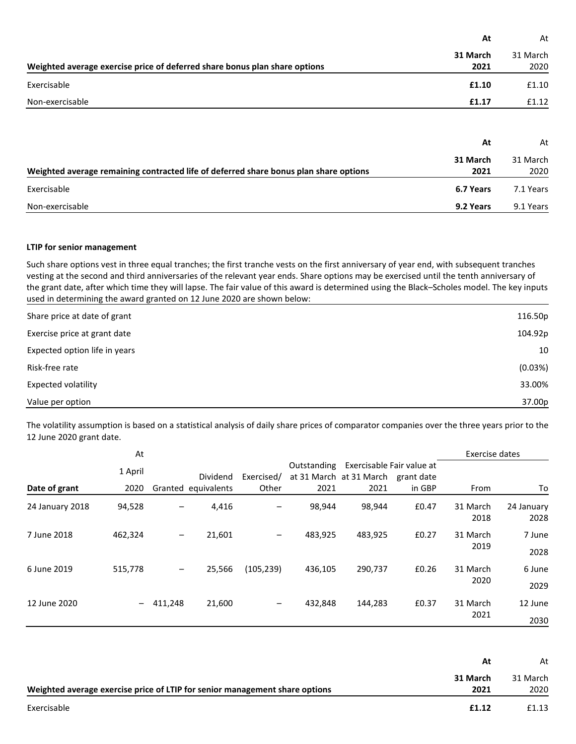|                                                                                       | At               | At               |
|---------------------------------------------------------------------------------------|------------------|------------------|
| Weighted average exercise price of deferred share bonus plan share options            | 31 March<br>2021 | 31 March<br>2020 |
| Exercisable                                                                           | £1.10            | £1.10            |
| Non-exercisable                                                                       | £1.17            | £1.12            |
|                                                                                       | At               | At               |
| Weighted average remaining contracted life of deferred share bonus plan share options | 31 March<br>2021 | 31 March<br>2020 |
| Exercisable                                                                           | 6.7 Years        | 7.1 Years        |
| Non-exercisable                                                                       | 9.2 Years        | 9.1 Years        |

## **LTIP for senior management**

Such share options vest in three equal tranches; the first tranche vests on the first anniversary of year end, with subsequent tranches vesting at the second and third anniversaries of the relevant year ends. Share options may be exercised until the tenth anniversary of the grant date, after which time they will lapse. The fair value of this award is determined using the Black–Scholes model. The key inputs used in determining the award granted on 12 June 2020 are shown below:

| Share price at date of grant  | 116.50p |
|-------------------------------|---------|
| Exercise price at grant date  | 104.92p |
| Expected option life in years | 10      |
| Risk-free rate                | (0.03%) |
| Expected volatility           | 33.00%  |
| Value per option              | 37.00p  |

The volatility assumption is based on a statistical analysis of daily share prices of comparator companies over the three years prior to the 12 June 2020 grant date.

| At              |         |         |                     |            |             |                                                      |            | Exercise dates   |                    |
|-----------------|---------|---------|---------------------|------------|-------------|------------------------------------------------------|------------|------------------|--------------------|
|                 | 1 April |         | <b>Dividend</b>     | Exercised/ | Outstanding | Exercisable Fair value at<br>at 31 March at 31 March | grant date |                  |                    |
| Date of grant   | 2020    |         | Granted equivalents | Other      | 2021        | 2021                                                 | in GBP     | From             | To                 |
| 24 January 2018 | 94,528  | -       | 4,416               |            | 98,944      | 98,944                                               | £0.47      | 31 March<br>2018 | 24 January<br>2028 |
| 7 June 2018     | 462,324 | -       | 21,601              | —          | 483,925     | 483,925                                              | £0.27      | 31 March<br>2019 | 7 June<br>2028     |
| 6 June 2019     | 515,778 | -       | 25,566              | (105, 239) | 436,105     | 290,737                                              | £0.26      | 31 March<br>2020 | 6 June<br>2029     |
| 12 June 2020    |         | 411,248 | 21,600              | —          | 432,848     | 144,283                                              | £0.37      | 31 March<br>2021 | 12 June<br>2030    |

|                                                                             | At       | At       |
|-----------------------------------------------------------------------------|----------|----------|
|                                                                             | 31 March | 31 March |
| Weighted average exercise price of LTIP for senior management share options | 2021     | 2020     |
| Exercisable                                                                 | £1.12    | £1.13    |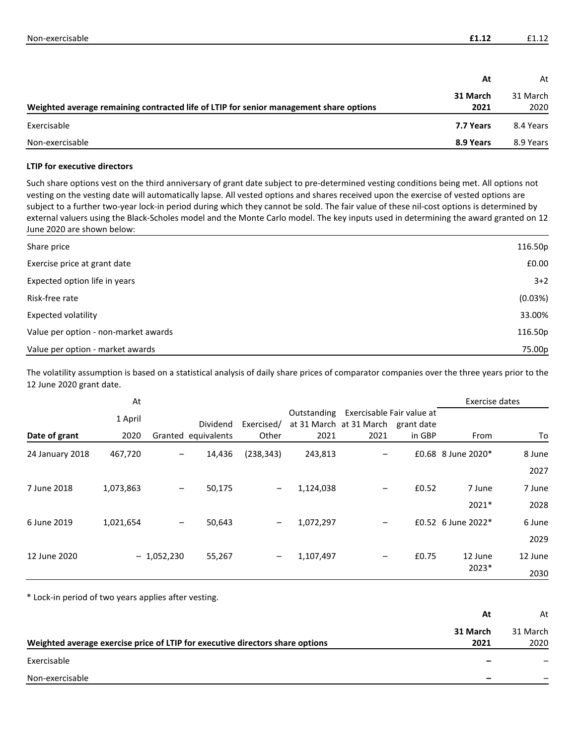| Non-exercisable |  |
|-----------------|--|
|                 |  |

|                                                                                        | At        | At        |
|----------------------------------------------------------------------------------------|-----------|-----------|
|                                                                                        | 31 March  | 31 March  |
| Weighted average remaining contracted life of LTIP for senior management share options | 2021      | 2020      |
| Exercisable                                                                            | 7.7 Years | 8.4 Years |
| Non-exercisable                                                                        | 8.9 Years | 8.9 Years |

## **LTIP for executive directors**

Such share options vest on the third anniversary of grant date subject to pre-determined vesting conditions being met. All options not vesting on the vesting date will automatically lapse. All vested options and shares received upon the exercise of vested options are subject to a further two-year lock-in period during which they cannot be sold. The fair value of these nil-cost options is determined by external valuers using the Black-Scholes model and the Monte Carlo model. The key inputs used in determining the award granted on 12 June 2020 are shown below:

| Share price                          | 116.50p |
|--------------------------------------|---------|
| Exercise price at grant date         | £0.00   |
| Expected option life in years        | $3+2$   |
| Risk-free rate                       | (0.03%) |
| Expected volatility                  | 33.00%  |
| Value per option - non-market awards | 116.50p |
| Value per option - market awards     | 75.00p  |

The volatility assumption is based on a statistical analysis of daily share prices of comparator companies over the three years prior to the 12 June 2020 grant date.

|                 | At        |              |                     |                              |             |                                                                 |        | Exercise dates     |         |
|-----------------|-----------|--------------|---------------------|------------------------------|-------------|-----------------------------------------------------------------|--------|--------------------|---------|
|                 | 1 April   |              | <b>Dividend</b>     | Exercised/                   | Outstanding | Exercisable Fair value at<br>at 31 March at 31 March grant date |        |                    |         |
| Date of grant   | 2020      |              | Granted equivalents | Other                        | 2021        | 2021                                                            | in GBP | From               | To      |
| 24 January 2018 | 467,720   | —            | 14,436              | (238, 343)                   | 243,813     |                                                                 |        | £0.68 8 June 2020* | 8 June  |
|                 |           |              |                     |                              |             |                                                                 |        |                    | 2027    |
| 7 June 2018     | 1,073,863 | —            | 50,175              | $\qquad \qquad -$            | 1,124,038   |                                                                 | £0.52  | 7 June             | 7 June  |
|                 |           |              |                     |                              |             |                                                                 |        | 2021*              | 2028    |
| 6 June 2019     | 1,021,654 |              | 50,643              | $\qquad \qquad -$            | 1,072,297   | $\qquad \qquad$                                                 |        | £0.52 6 June 2022* | 6 June  |
|                 |           |              |                     |                              |             |                                                                 |        |                    | 2029    |
| 12 June 2020    |           | $-1,052,230$ | 55,267              | $\qquad \qquad \blacksquare$ | 1,107,497   |                                                                 | £0.75  | 12 June            | 12 June |
|                 |           |              |                     |                              |             |                                                                 |        | 2023*              | 2030    |

\* Lock-in period of two years applies after vesting.

|                                                                               | At       | At       |
|-------------------------------------------------------------------------------|----------|----------|
|                                                                               | 31 March | 31 March |
| Weighted average exercise price of LTIP for executive directors share options | 2021     | 2020     |
| Exercisable                                                                   |          |          |
| Non-exercisable                                                               |          |          |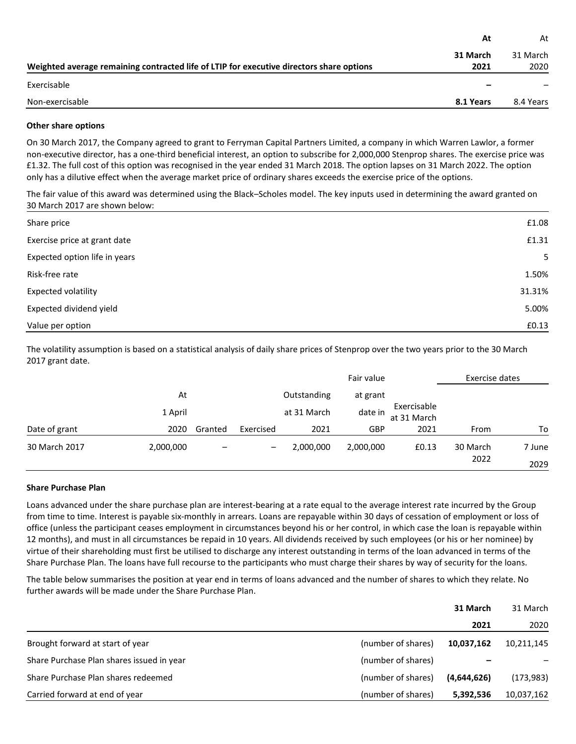|                                                                                          | At        | At        |
|------------------------------------------------------------------------------------------|-----------|-----------|
|                                                                                          | 31 March  | 31 March  |
| Weighted average remaining contracted life of LTIP for executive directors share options | 2021      | 2020      |
| Exercisable                                                                              |           |           |
| Non-exercisable                                                                          | 8.1 Years | 8.4 Years |

## **Other share options**

On 30 March 2017, the Company agreed to grant to Ferryman Capital Partners Limited, a company in which Warren Lawlor, a former non-executive director, has a one-third beneficial interest, an option to subscribe for 2,000,000 Stenprop shares. The exercise price was £1.32. The full cost of this option was recognised in the year ended 31 March 2018. The option lapses on 31 March 2022. The option only has a dilutive effect when the average market price of ordinary shares exceeds the exercise price of the options.

The fair value of this award was determined using the Black–Scholes model. The key inputs used in determining the award granted on 30 March 2017 are shown below:

| Share price                   | £1.08  |
|-------------------------------|--------|
| Exercise price at grant date  | £1.31  |
| Expected option life in years | 5      |
| Risk-free rate                | 1.50%  |
| Expected volatility           | 31.31% |
| Expected dividend yield       | 5.00%  |
| Value per option              | £0.13  |

The volatility assumption is based on a statistical analysis of daily share prices of Stenprop over the two years prior to the 30 March 2017 grant date.

|               |           |         |                              |             | Fair value |                            | Exercise dates   |                |
|---------------|-----------|---------|------------------------------|-------------|------------|----------------------------|------------------|----------------|
|               | At        |         |                              | Outstanding | at grant   |                            |                  |                |
|               | 1 April   |         |                              | at 31 March | date in    | Exercisable<br>at 31 March |                  |                |
| Date of grant | 2020      | Granted | Exercised                    | 2021        | <b>GBP</b> | 2021                       | From             | To             |
| 30 March 2017 | 2,000,000 | -       | $\qquad \qquad \blacksquare$ | 2,000,000   | 2,000,000  | £0.13                      | 30 March<br>2022 | 7 June<br>2029 |

#### **Share Purchase Plan**

Loans advanced under the share purchase plan are interest-bearing at a rate equal to the average interest rate incurred by the Group from time to time. Interest is payable six-monthly in arrears. Loans are repayable within 30 days of cessation of employment or loss of office (unless the participant ceases employment in circumstances beyond his or her control, in which case the loan is repayable within 12 months), and must in all circumstances be repaid in 10 years. All dividends received by such employees (or his or her nominee) by virtue of their shareholding must first be utilised to discharge any interest outstanding in terms of the loan advanced in terms of the Share Purchase Plan. The loans have full recourse to the participants who must charge their shares by way of security for the loans.

The table below summarises the position at year end in terms of loans advanced and the number of shares to which they relate. No further awards will be made under the Share Purchase Plan.

|                                           |                    | 31 March    | 31 March   |
|-------------------------------------------|--------------------|-------------|------------|
|                                           |                    | 2021        | 2020       |
| Brought forward at start of year          | (number of shares) | 10.037.162  | 10,211,145 |
| Share Purchase Plan shares issued in year | (number of shares) |             |            |
| Share Purchase Plan shares redeemed       | (number of shares) | (4,644,626) | (173, 983) |
| Carried forward at end of year            | (number of shares) | 5,392,536   | 10,037,162 |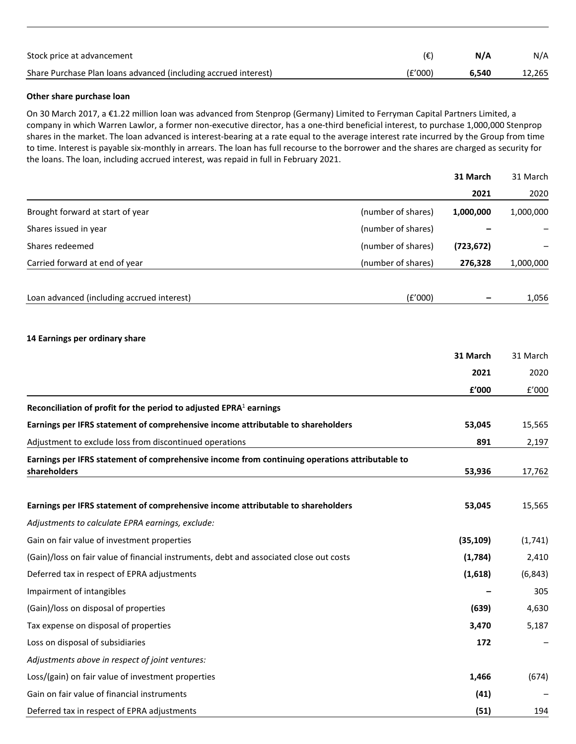| Stock price at advancement                                      | (€)     | N/A   | N/A    |
|-----------------------------------------------------------------|---------|-------|--------|
| Share Purchase Plan loans advanced (including accrued interest) | (E'000) | 6.540 | 12,265 |

## **Other share purchase loan**

On 30 March 2017, a €1.22 million loan was advanced from Stenprop (Germany) Limited to Ferryman Capital Partners Limited, a company in which Warren Lawlor, a former non-executive director, has a one-third beneficial interest, to purchase 1,000,000 Stenprop shares in the market. The loan advanced is interest-bearing at a rate equal to the average interest rate incurred by the Group from time to time. Interest is payable six-monthly in arrears. The loan has full recourse to the borrower and the shares are charged as security for the loans. The loan, including accrued interest, was repaid in full in February 2021.

|                                                                                                |                    | 31 March   | 31 March  |
|------------------------------------------------------------------------------------------------|--------------------|------------|-----------|
|                                                                                                |                    | 2021       | 2020      |
| Brought forward at start of year                                                               | (number of shares) | 1,000,000  | 1,000,000 |
| Shares issued in year                                                                          | (number of shares) |            |           |
| Shares redeemed                                                                                | (number of shares) | (723, 672) |           |
| Carried forward at end of year                                                                 | (number of shares) | 276,328    | 1,000,000 |
| Loan advanced (including accrued interest)                                                     | (E'000)            |            | 1,056     |
|                                                                                                |                    |            |           |
| 14 Earnings per ordinary share                                                                 |                    | 31 March   | 31 March  |
|                                                                                                |                    | 2021       | 2020      |
|                                                                                                |                    | £'000      | f'000     |
| Reconciliation of profit for the period to adjusted $EPRA1$ earnings                           |                    |            |           |
| Earnings per IFRS statement of comprehensive income attributable to shareholders               |                    | 53,045     | 15,565    |
| Adjustment to exclude loss from discontinued operations                                        |                    | 891        | 2,197     |
| Earnings per IFRS statement of comprehensive income from continuing operations attributable to |                    |            |           |
| shareholders                                                                                   |                    | 53,936     | 17,762    |
| Earnings per IFRS statement of comprehensive income attributable to shareholders               |                    | 53,045     | 15,565    |
| Adjustments to calculate EPRA earnings, exclude:                                               |                    |            |           |
| Gain on fair value of investment properties                                                    |                    | (35, 109)  | (1,741)   |
| (Gain)/loss on fair value of financial instruments, debt and associated close out costs        |                    | (1,784)    | 2,410     |
| Deferred tax in respect of EPRA adjustments                                                    |                    | (1,618)    | (6, 843)  |
| Impairment of intangibles                                                                      |                    |            | 305       |
| (Gain)/loss on disposal of properties                                                          |                    | (639)      | 4,630     |
| Tax expense on disposal of properties                                                          |                    | 3,470      | 5,187     |
| Loss on disposal of subsidiaries                                                               |                    | 172        |           |
| Adjustments above in respect of joint ventures:                                                |                    |            |           |
| Loss/(gain) on fair value of investment properties                                             |                    | 1,466      | (674)     |
| Gain on fair value of financial instruments                                                    |                    | (41)       |           |
| Deferred tax in respect of EPRA adjustments                                                    |                    | (51)       | 194       |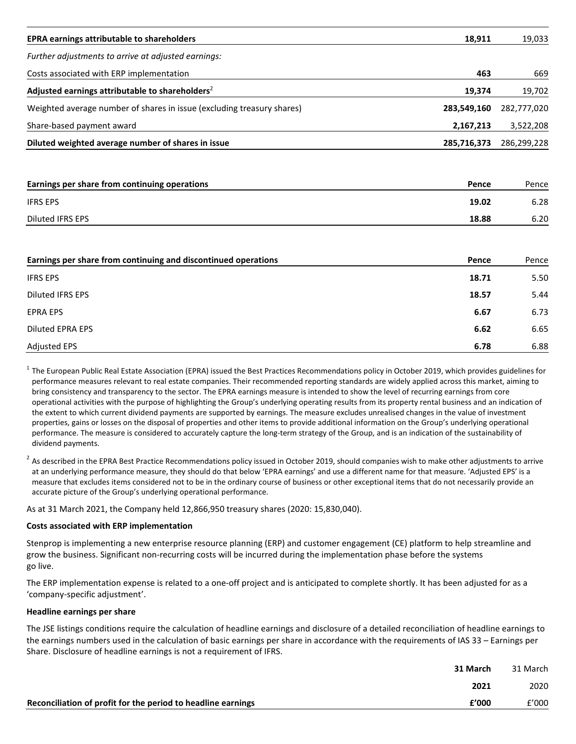| <b>EPRA earnings attributable to shareholders</b>                      | 18,911      | 19,033      |
|------------------------------------------------------------------------|-------------|-------------|
| Further adjustments to arrive at adjusted earnings:                    |             |             |
| Costs associated with ERP implementation                               | 463         | 669         |
| Adjusted earnings attributable to shareholders <sup>2</sup>            | 19,374      | 19,702      |
| Weighted average number of shares in issue (excluding treasury shares) | 283,549,160 | 282,777,020 |
| Share-based payment award                                              | 2,167,213   | 3,522,208   |
| Diluted weighted average number of shares in issue                     | 285,716,373 | 286,299,228 |
|                                                                        |             |             |
| Earnings per share from continuing operations                          | Pence       | Pence       |
| <b>IFRS EPS</b>                                                        | 19.02       | 6.28        |
| <b>Diluted IFRS EPS</b>                                                | 18.88       | 6.20        |
| Earnings per share from continuing and discontinued operations         | Pence       | Pence       |
| <b>IFRS EPS</b>                                                        | 18.71       | 5.50        |
| <b>Diluted IFRS EPS</b>                                                | 18.57       | 5.44        |
| <b>EPRA EPS</b>                                                        | 6.67        | 6.73        |
| <b>Diluted EPRA EPS</b>                                                | 6.62        | 6.65        |
| <b>Adjusted EPS</b>                                                    | 6.78        | 6.88        |

 $^1$  The European Public Real Estate Association (EPRA) issued the Best Practices Recommendations policy in October 2019, which provides guidelines for performance measures relevant to real estate companies. Their recommended reporting standards are widely applied across this market, aiming to bring consistency and transparency to the sector. The EPRA earnings measure is intended to show the level of recurring earnings from core operational activities with the purpose of highlighting the Group's underlying operating results from its property rental business and an indication of the extent to which current dividend payments are supported by earnings. The measure excludes unrealised changes in the value of investment properties, gains or losses on the disposal of properties and other items to provide additional information on the Group's underlying operational performance. The measure is considered to accurately capture the long-term strategy of the Group, and is an indication of the sustainability of dividend payments.

 $^2$  As described in the EPRA Best Practice Recommendations policy issued in October 2019, should companies wish to make other adjustments to arrive at an underlying performance measure, they should do that below 'EPRA earnings' and use a different name for that measure. 'Adjusted EPS' is a measure that excludes items considered not to be in the ordinary course of business or other exceptional items that do not necessarily provide an accurate picture of the Group's underlying operational performance.

As at 31 March 2021, the Company held 12,866,950 treasury shares (2020: 15,830,040).

#### **Costs associated with ERP implementation**

Stenprop is implementing a new enterprise resource planning (ERP) and customer engagement (CE) platform to help streamline and grow the business. Significant non-recurring costs will be incurred during the implementation phase before the systems go live.

The ERP implementation expense is related to a one-off project and is anticipated to complete shortly. It has been adjusted for as a 'company-specific adjustment'.

## **Headline earnings per share**

The JSE listings conditions require the calculation of headline earnings and disclosure of a detailed reconciliation of headline earnings to the earnings numbers used in the calculation of basic earnings per share in accordance with the requirements of IAS 33 – Earnings per Share. Disclosure of headline earnings is not a requirement of IFRS.

| 31 March                                                              | 31 March |
|-----------------------------------------------------------------------|----------|
| 2021                                                                  | 2020     |
| f'000<br>Reconciliation of profit for the period to headline earnings | f'000    |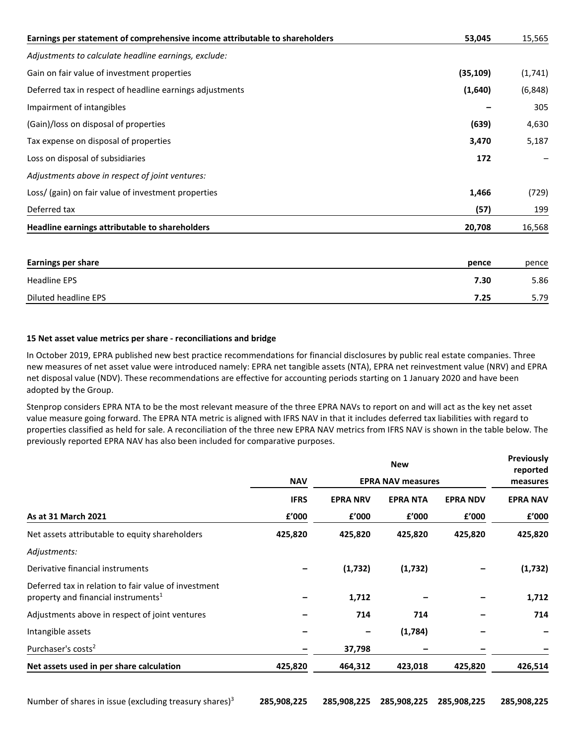| Earnings per statement of comprehensive income attributable to shareholders | 53,045    | 15,565   |
|-----------------------------------------------------------------------------|-----------|----------|
| Adjustments to calculate headline earnings, exclude:                        |           |          |
| Gain on fair value of investment properties                                 | (35, 109) | (1,741)  |
| Deferred tax in respect of headline earnings adjustments                    | (1,640)   | (6, 848) |
| Impairment of intangibles                                                   |           | 305      |
| (Gain)/loss on disposal of properties                                       | (639)     | 4,630    |
| Tax expense on disposal of properties                                       | 3,470     | 5,187    |
| Loss on disposal of subsidiaries                                            | 172       |          |
| Adjustments above in respect of joint ventures:                             |           |          |
| Loss/ (gain) on fair value of investment properties                         | 1,466     | (729)    |
| Deferred tax                                                                | (57)      | 199      |
| Headline earnings attributable to shareholders                              | 20,708    | 16,568   |

| <b>Earnings per share</b> | pence | pence |
|---------------------------|-------|-------|
| <b>Headline EPS</b>       | 7.30  | 5.86  |
| Diluted headline EPS      | 7.25  | 5.79  |

## **15 Net asset value metrics per share - reconciliations and bridge**

In October 2019, EPRA published new best practice recommendations for financial disclosures by public real estate companies. Three new measures of net asset value were introduced namely: EPRA net tangible assets (NTA), EPRA net reinvestment value (NRV) and EPRA net disposal value (NDV). These recommendations are effective for accounting periods starting on 1 January 2020 and have been adopted by the Group.

Stenprop considers EPRA NTA to be the most relevant measure of the three EPRA NAVs to report on and will act as the key net asset value measure going forward. The EPRA NTA metric is aligned with IFRS NAV in that it includes deferred tax liabilities with regard to properties classified as held for sale. A reconciliation of the three new EPRA NAV metrics from IFRS NAV is shown in the table below. The previously reported EPRA NAV has also been included for comparative purposes.

|                                                                                                         |             | <b>New</b>      |                          |                 |                 |  |  |
|---------------------------------------------------------------------------------------------------------|-------------|-----------------|--------------------------|-----------------|-----------------|--|--|
|                                                                                                         | <b>NAV</b>  |                 | <b>EPRA NAV measures</b> |                 | measures        |  |  |
|                                                                                                         | <b>IFRS</b> | <b>EPRA NRV</b> | <b>EPRA NTA</b>          | <b>EPRA NDV</b> | <b>EPRA NAV</b> |  |  |
| As at 31 March 2021                                                                                     | £'000       | £'000           | £'000                    | £'000           | f'000           |  |  |
| Net assets attributable to equity shareholders                                                          | 425,820     | 425,820         | 425,820                  | 425,820         | 425,820         |  |  |
| Adjustments:                                                                                            |             |                 |                          |                 |                 |  |  |
| Derivative financial instruments                                                                        |             | (1,732)         | (1,732)                  |                 | (1,732)         |  |  |
| Deferred tax in relation to fair value of investment<br>property and financial instruments <sup>1</sup> |             | 1,712           |                          |                 | 1,712           |  |  |
| Adjustments above in respect of joint ventures                                                          |             | 714             | 714                      |                 | 714             |  |  |
| Intangible assets                                                                                       |             |                 | (1,784)                  |                 |                 |  |  |
| Purchaser's costs <sup>2</sup>                                                                          |             | 37,798          |                          |                 |                 |  |  |
| Net assets used in per share calculation                                                                | 425,820     | 464,312         | 423,018                  | 425,820         | 426,514         |  |  |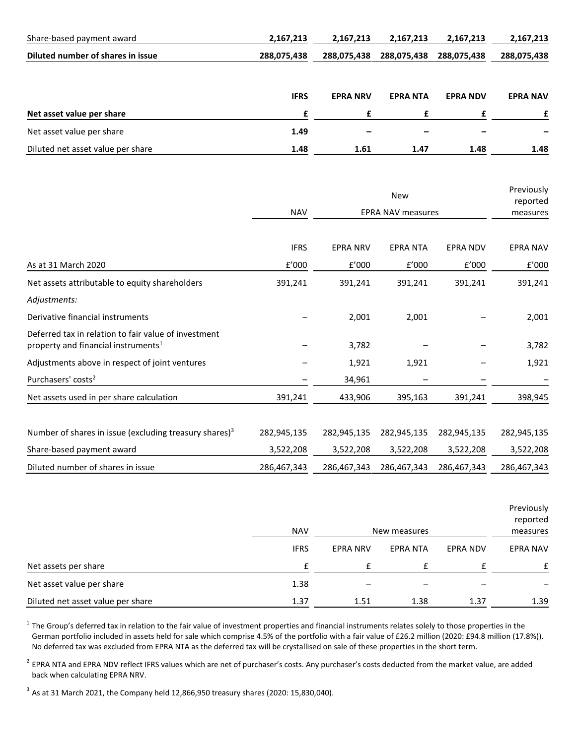| Share-based payment award         | 2,167,213   | 2,167,213       | 2,167,213       | 2,167,213       | 2,167,213       |
|-----------------------------------|-------------|-----------------|-----------------|-----------------|-----------------|
| Diluted number of shares in issue | 288,075,438 | 288,075,438     | 288,075,438     | 288,075,438     | 288,075,438     |
|                                   | <b>IFRS</b> | <b>EPRA NRV</b> | <b>EPRA NTA</b> | <b>EPRA NDV</b> | <b>EPRA NAV</b> |
| Net asset value per share         | f           | £               |                 |                 |                 |
| Net asset value per share         | 1.49        |                 |                 |                 |                 |
| Diluted net asset value per share | 1.48        | 1.61            | 1.47            | 1.48            | 1.48            |

|                                                                                                         |             |                          |                 | Previously<br>reported<br>measures |                 |
|---------------------------------------------------------------------------------------------------------|-------------|--------------------------|-----------------|------------------------------------|-----------------|
|                                                                                                         | <b>NAV</b>  | <b>EPRA NAV measures</b> |                 |                                    |                 |
|                                                                                                         | <b>IFRS</b> | <b>EPRA NRV</b>          | <b>EPRA NTA</b> | <b>EPRA NDV</b>                    | <b>EPRA NAV</b> |
| As at 31 March 2020                                                                                     | f'000       | f'000                    | f'000           | f'000                              | £'000           |
| Net assets attributable to equity shareholders                                                          | 391,241     | 391,241                  | 391,241         | 391,241                            | 391,241         |
| Adjustments:                                                                                            |             |                          |                 |                                    |                 |
| Derivative financial instruments                                                                        |             | 2,001                    | 2,001           |                                    | 2,001           |
| Deferred tax in relation to fair value of investment<br>property and financial instruments <sup>1</sup> |             | 3,782                    |                 |                                    | 3,782           |
| Adjustments above in respect of joint ventures                                                          |             | 1,921                    | 1,921           |                                    | 1,921           |
| Purchasers' costs <sup>2</sup>                                                                          |             | 34,961                   |                 |                                    |                 |
| Net assets used in per share calculation                                                                | 391,241     | 433,906                  | 395,163         | 391,241                            | 398,945         |
| Number of shares in issue (excluding treasury shares) <sup>3</sup>                                      | 282,945,135 | 282,945,135              | 282,945,135     | 282,945,135                        | 282,945,135     |
| Share-based payment award                                                                               | 3,522,208   | 3,522,208                | 3,522,208       | 3,522,208                          | 3,522,208       |
| Diluted number of shares in issue                                                                       | 286,467,343 | 286,467,343              | 286,467,343     | 286,467,343                        | 286,467,343     |

|                                   | <b>NAV</b>  |                 | New measures    |                 | Previously<br>reported<br>measures |
|-----------------------------------|-------------|-----------------|-----------------|-----------------|------------------------------------|
|                                   | <b>IFRS</b> | <b>EPRA NRV</b> | <b>EPRA NTA</b> | <b>EPRA NDV</b> | <b>EPRA NAV</b>                    |
| Net assets per share              | f           |                 |                 |                 |                                    |
| Net asset value per share         | 1.38        |                 |                 |                 |                                    |
| Diluted net asset value per share | 1.37        | 1.51            | 1.38            | 1.37            | 1.39                               |

 $1$  The Group's deferred tax in relation to the fair value of investment properties and financial instruments relates solely to those properties in the German portfolio included in assets held for sale which comprise 4.5% of the portfolio with a fair value of £26.2 million (2020: £94.8 million (17.8%)). No deferred tax was excluded from EPRA NTA as the deferred tax will be crystallised on sale of these properties in the short term.

 $2$  EPRA NTA and EPRA NDV reflect IFRS values which are net of purchaser's costs. Any purchaser's costs deducted from the market value, are added back when calculating EPRA NRV.

 $3$  As at 31 March 2021, the Company held 12,866,950 treasury shares (2020: 15,830,040).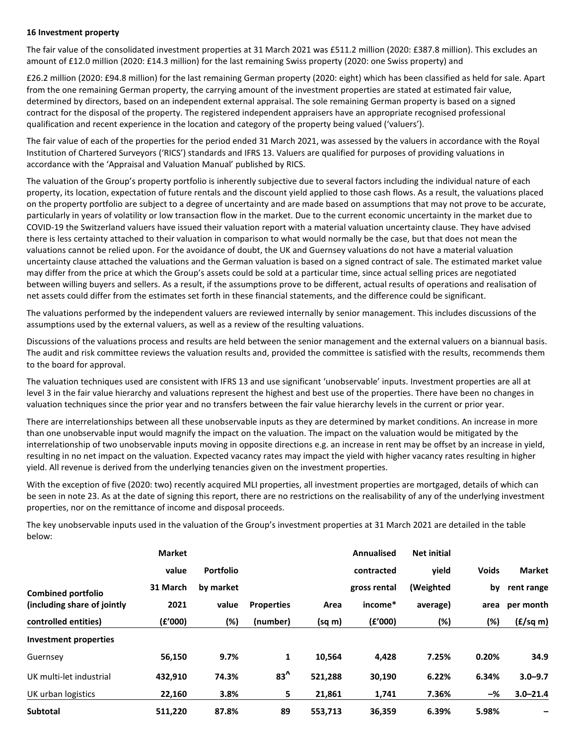#### **16 Investment property**

The fair value of the consolidated investment properties at 31 March 2021 was £511.2 million (2020: £387.8 million). This excludes an amount of £12.0 million (2020: £14.3 million) for the last remaining Swiss property (2020: one Swiss property) and

£26.2 million (2020: £94.8 million) for the last remaining German property (2020: eight) which has been classified as held for sale. Apart from the one remaining German property, the carrying amount of the investment properties are stated at estimated fair value, determined by directors, based on an independent external appraisal. The sole remaining German property is based on a signed contract for the disposal of the property. The registered independent appraisers have an appropriate recognised professional qualification and recent experience in the location and category of the property being valued ('valuers').

The fair value of each of the properties for the period ended 31 March 2021, was assessed by the valuers in accordance with the Royal Institution of Chartered Surveyors ('RICS') standards and IFRS 13. Valuers are qualified for purposes of providing valuations in accordance with the 'Appraisal and Valuation Manual' published by RICS.

The valuation of the Group's property portfolio is inherently subjective due to several factors including the individual nature of each property, its location, expectation of future rentals and the discount yield applied to those cash flows. As a result, the valuations placed on the property portfolio are subject to a degree of uncertainty and are made based on assumptions that may not prove to be accurate, particularly in years of volatility or low transaction flow in the market. Due to the current economic uncertainty in the market due to COVID-19 the Switzerland valuers have issued their valuation report with a material valuation uncertainty clause. They have advised there is less certainty attached to their valuation in comparison to what would normally be the case, but that does not mean the valuations cannot be relied upon. For the avoidance of doubt, the UK and Guernsey valuations do not have a material valuation uncertainty clause attached the valuations and the German valuation is based on a signed contract of sale. The estimated market value may differ from the price at which the Group's assets could be sold at a particular time, since actual selling prices are negotiated between willing buyers and sellers. As a result, if the assumptions prove to be different, actual results of operations and realisation of net assets could differ from the estimates set forth in these financial statements, and the difference could be significant.

The valuations performed by the independent valuers are reviewed internally by senior management. This includes discussions of the assumptions used by the external valuers, as well as a review of the resulting valuations.

Discussions of the valuations process and results are held between the senior management and the external valuers on a biannual basis. The audit and risk committee reviews the valuation results and, provided the committee is satisfied with the results, recommends them to the board for approval.

The valuation techniques used are consistent with IFRS 13 and use significant 'unobservable' inputs. Investment properties are all at level 3 in the fair value hierarchy and valuations represent the highest and best use of the properties. There have been no changes in valuation techniques since the prior year and no transfers between the fair value hierarchy levels in the current or prior year.

There are interrelationships between all these unobservable inputs as they are determined by market conditions. An increase in more than one unobservable input would magnify the impact on the valuation. The impact on the valuation would be mitigated by the interrelationship of two unobservable inputs moving in opposite directions e.g. an increase in rent may be offset by an increase in yield, resulting in no net impact on the valuation. Expected vacancy rates may impact the yield with higher vacancy rates resulting in higher yield. All revenue is derived from the underlying tenancies given on the investment properties.

With the exception of five (2020: two) recently acquired MLI properties, all investment properties are mortgaged, details of which can be seen in note 23. As at the date of signing this report, there are no restrictions on the realisability of any of the underlying investment properties, nor on the remittance of income and disposal proceeds.

The key unobservable inputs used in the valuation of the Group's investment properties at 31 March 2021 are detailed in the table below:

|                             | <b>Market</b> |                  |                   |         | <b>Annualised</b> | <b>Net initial</b> |              |                          |
|-----------------------------|---------------|------------------|-------------------|---------|-------------------|--------------------|--------------|--------------------------|
|                             | value         | <b>Portfolio</b> |                   |         | contracted        | vield              | <b>Voids</b> | <b>Market</b>            |
| <b>Combined portfolio</b>   | 31 March      | by market        |                   |         | gross rental      | (Weighted          | bv           | rent range               |
| (including share of jointly | 2021          | value            | <b>Properties</b> | Area    | income*           | average)           | area         | per month                |
| controlled entities)        | (f'000)       | (%)              | (number)          | (sq m)  | (E'000)           | $(\%)$             | (%)          | $(E/\text{sq} \text{m})$ |
| Investment properties       |               |                  |                   |         |                   |                    |              |                          |
| Guernsey                    | 56,150        | 9.7%             | 1                 | 10,564  | 4,428             | 7.25%              | 0.20%        | 34.9                     |
| UK multi-let industrial     | 432,910       | 74.3%            | $83^{\prime}$     | 521,288 | 30,190            | 6.22%              | 6.34%        | $3.0 - 9.7$              |
| UK urban logistics          | 22,160        | 3.8%             | 5                 | 21,861  | 1,741             | 7.36%              | -%           | $3.0 - 21.4$             |
| <b>Subtotal</b>             | 511,220       | 87.8%            | 89                | 553,713 | 36,359            | 6.39%              | 5.98%        |                          |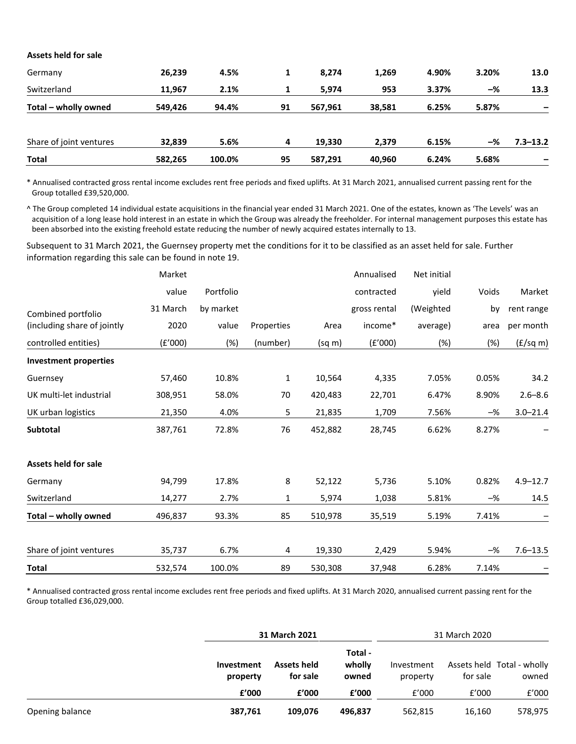| Assets held for sale    |         |        |    |         |        |       |       |              |
|-------------------------|---------|--------|----|---------|--------|-------|-------|--------------|
| Germany                 | 26,239  | 4.5%   | 1  | 8,274   | 1,269  | 4.90% | 3.20% | 13.0         |
| Switzerland             | 11,967  | 2.1%   |    | 5,974   | 953    | 3.37% | $-\%$ | 13.3         |
| Total – wholly owned    | 549,426 | 94.4%  | 91 | 567,961 | 38,581 | 6.25% | 5.87% |              |
| Share of joint ventures | 32,839  | 5.6%   | 4  | 19,330  | 2,379  | 6.15% | $-\%$ | $7.3 - 13.2$ |
| <b>Total</b>            | 582,265 | 100.0% | 95 | 587,291 | 40,960 | 6.24% | 5.68% |              |

\* Annualised contracted gross rental income excludes rent free periods and fixed uplifts. At 31 March 2021, annualised current passing rent for the Group totalled £39,520,000.

^ The Group completed 14 individual estate acquisitions in the financial year ended 31 March 2021. One of the estates, known as 'The Levels' was an acquisition of a long lease hold interest in an estate in which the Group was already the freeholder. For internal management purposes this estate has been absorbed into the existing freehold estate reducing the number of newly acquired estates internally to 13.

Subsequent to 31 March 2021, the Guernsey property met the conditions for it to be classified as an asset held for sale. Further information regarding this sale can be found in note 19.

|                              | Market   |           |              |         | Annualised   | Net initial |       |                    |
|------------------------------|----------|-----------|--------------|---------|--------------|-------------|-------|--------------------|
|                              | value    | Portfolio |              |         | contracted   | yield       | Voids | Market             |
| Combined portfolio           | 31 March | by market |              |         | gross rental | (Weighted   | by    | rent range         |
| (including share of jointly  | 2020     | value     | Properties   | Area    | income*      | average)    | area  | per month          |
| controlled entities)         | (f'000)  | (%)       | (number)     | (sq m)  | (f'000)      | $(\%)$      | (%)   | $(f/\text{sq } m)$ |
| <b>Investment properties</b> |          |           |              |         |              |             |       |                    |
| Guernsey                     | 57,460   | 10.8%     | $\mathbf{1}$ | 10,564  | 4,335        | 7.05%       | 0.05% | 34.2               |
| UK multi-let industrial      | 308,951  | 58.0%     | 70           | 420,483 | 22,701       | 6.47%       | 8.90% | $2.6 - 8.6$        |
| UK urban logistics           | 21,350   | 4.0%      | 5            | 21,835  | 1,709        | 7.56%       | $-\%$ | $3.0 - 21.4$       |
| <b>Subtotal</b>              | 387,761  | 72.8%     | 76           | 452,882 | 28,745       | 6.62%       | 8.27% |                    |
| <b>Assets held for sale</b>  |          |           |              |         |              |             |       |                    |
| Germany                      | 94,799   | 17.8%     | 8            | 52,122  | 5,736        | 5.10%       | 0.82% | $4.9 - 12.7$       |
| Switzerland                  | 14,277   | 2.7%      | $\mathbf{1}$ | 5,974   | 1,038        | 5.81%       | $-\%$ | 14.5               |
| Total - wholly owned         | 496,837  | 93.3%     | 85           | 510,978 | 35,519       | 5.19%       | 7.41% |                    |
| Share of joint ventures      | 35,737   | 6.7%      | 4            | 19,330  | 2,429        | 5.94%       | $-$ % | $7.6 - 13.5$       |
| <b>Total</b>                 | 532,574  | 100.0%    | 89           | 530,308 | 37,948       | 6.28%       | 7.14% |                    |

\* Annualised contracted gross rental income excludes rent free periods and fixed uplifts. At 31 March 2020, annualised current passing rent for the Group totalled £36,029,000.

|                 |                        | 31 March 2021                  |                            |                        | 31 March 2020 |                                     |
|-----------------|------------------------|--------------------------------|----------------------------|------------------------|---------------|-------------------------------------|
|                 | Investment<br>property | <b>Assets held</b><br>for sale | Total -<br>wholly<br>owned | Investment<br>property | for sale      | Assets held Total - wholly<br>owned |
|                 | f'000                  | f'000                          | f'000                      | f'000                  | f′000         | f'000                               |
| Opening balance | 387,761                | 109.076                        | 496.837                    | 562,815                | 16,160        | 578,975                             |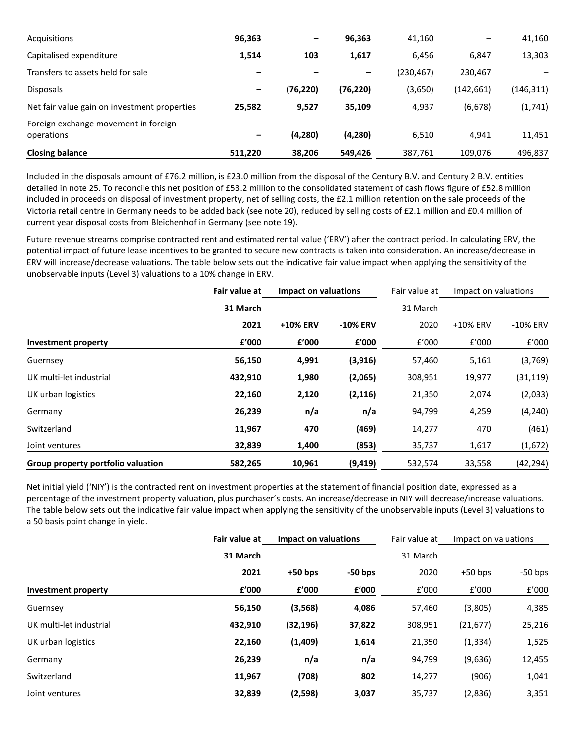| Acquisitions                                       | 96,363  |           | 96,363    | 41,160     |            | 41,160    |
|----------------------------------------------------|---------|-----------|-----------|------------|------------|-----------|
| Capitalised expenditure                            | 1,514   | 103       | 1,617     | 6,456      | 6,847      | 13,303    |
| Transfers to assets held for sale                  |         |           |           | (230, 467) | 230,467    |           |
| <b>Disposals</b>                                   |         | (76, 220) | (76, 220) | (3,650)    | (142, 661) | (146,311) |
| Net fair value gain on investment properties       | 25,582  | 9,527     | 35,109    | 4,937      | (6, 678)   | (1, 741)  |
| Foreign exchange movement in foreign<br>operations |         | (4,280)   | (4, 280)  | 6,510      | 4,941      | 11,451    |
| <b>Closing balance</b>                             | 511,220 | 38,206    | 549,426   | 387,761    | 109.076    | 496,837   |

Included in the disposals amount of £76.2 million, is £23.0 million from the disposal of the Century B.V. and Century 2 B.V. entities detailed in note 25. To reconcile this net position of £53.2 million to the consolidated statement of cash flows figure of £52.8 million included in proceeds on disposal of investment property, net of selling costs, the £2.1 million retention on the sale proceeds of the Victoria retail centre in Germany needs to be added back (see note 20), reduced by selling costs of £2.1 million and £0.4 million of current year disposal costs from Bleichenhof in Germany (see note 19).

Future revenue streams comprise contracted rent and estimated rental value ('ERV') after the contract period. In calculating ERV, the potential impact of future lease incentives to be granted to secure new contracts is taken into consideration. An increase/decrease in ERV will increase/decrease valuations. The table below sets out the indicative fair value impact when applying the sensitivity of the unobservable inputs (Level 3) valuations to a 10% change in ERV.

|                                    | Fair value at | Impact on valuations |                 | Fair value at | Impact on valuations |           |
|------------------------------------|---------------|----------------------|-----------------|---------------|----------------------|-----------|
|                                    | 31 March      |                      |                 | 31 March      |                      |           |
|                                    | 2021          | +10% ERV             | <b>-10% ERV</b> | 2020          | +10% ERV             | -10% ERV  |
| Investment property                | £'000         | £'000                | £'000           | f'000         | f'000                | f'000     |
| Guernsey                           | 56,150        | 4,991                | (3,916)         | 57,460        | 5,161                | (3,769)   |
| UK multi-let industrial            | 432,910       | 1,980                | (2,065)         | 308,951       | 19,977               | (31, 119) |
| UK urban logistics                 | 22,160        | 2,120                | (2, 116)        | 21,350        | 2,074                | (2,033)   |
| Germany                            | 26,239        | n/a                  | n/a             | 94,799        | 4,259                | (4, 240)  |
| Switzerland                        | 11,967        | 470                  | (469)           | 14,277        | 470                  | (461)     |
| Joint ventures                     | 32,839        | 1,400                | (853)           | 35,737        | 1,617                | (1,672)   |
| Group property portfolio valuation | 582,265       | 10,961               | (9, 419)        | 532,574       | 33,558               | (42, 294) |

Net initial yield ('NIY') is the contracted rent on investment properties at the statement of financial position date, expressed as a percentage of the investment property valuation, plus purchaser's costs. An increase/decrease in NIY will decrease/increase valuations. The table below sets out the indicative fair value impact when applying the sensitivity of the unobservable inputs (Level 3) valuations to a 50 basis point change in yield.

|                         | Fair value at | Impact on valuations |           | Fair value at | Impact on valuations |           |
|-------------------------|---------------|----------------------|-----------|---------------|----------------------|-----------|
|                         | 31 March      |                      |           | 31 March      |                      |           |
|                         | 2021          | $+50$ bps            | $-50$ bps | 2020          | $+50$ bps            | $-50$ bps |
| Investment property     | £'000         | £'000                | £'000     | £'000         | f'000                | f'000     |
| Guernsey                | 56,150        | (3, 568)             | 4,086     | 57,460        | (3,805)              | 4,385     |
| UK multi-let industrial | 432,910       | (32, 196)            | 37,822    | 308,951       | (21, 677)            | 25,216    |
| UK urban logistics      | 22,160        | (1,409)              | 1,614     | 21,350        | (1, 334)             | 1,525     |
| Germany                 | 26,239        | n/a                  | n/a       | 94,799        | (9,636)              | 12,455    |
| Switzerland             | 11,967        | (708)                | 802       | 14,277        | (906)                | 1,041     |
| Joint ventures          | 32,839        | (2,598)              | 3,037     | 35,737        | (2,836)              | 3,351     |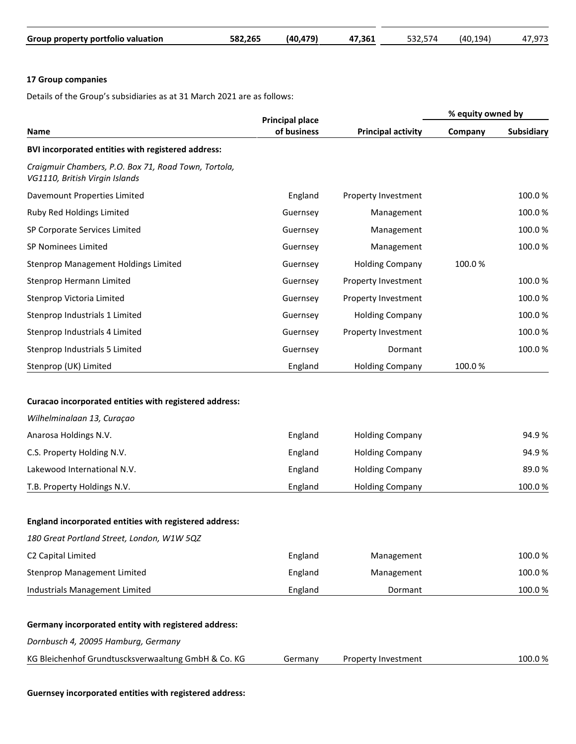| Group property portfolio valuation | 582.265 | (40.479) | 47.361 | 532.574 | 194)<br>(40.1) | ,973 |
|------------------------------------|---------|----------|--------|---------|----------------|------|

# **17 Group companies**

Details of the Group's subsidiaries as at 31 March 2021 are as follows:

|                                                                                                      | <b>Principal place</b> |                           | % equity owned by |                   |  |
|------------------------------------------------------------------------------------------------------|------------------------|---------------------------|-------------------|-------------------|--|
| Name                                                                                                 | of business            | <b>Principal activity</b> | Company           | <b>Subsidiary</b> |  |
| BVI incorporated entities with registered address:                                                   |                        |                           |                   |                   |  |
| Craigmuir Chambers, P.O. Box 71, Road Town, Tortola,<br>VG1110, British Virgin Islands               |                        |                           |                   |                   |  |
| Davemount Properties Limited                                                                         | England                | Property Investment       |                   | 100.0%            |  |
| Ruby Red Holdings Limited                                                                            | Guernsey               | Management                |                   | 100.0%            |  |
| SP Corporate Services Limited                                                                        | Guernsey               | Management                |                   | 100.0%            |  |
| SP Nominees Limited                                                                                  | Guernsey               | Management                |                   | 100.0%            |  |
| Stenprop Management Holdings Limited                                                                 | Guernsey               | <b>Holding Company</b>    | 100.0%            |                   |  |
| Stenprop Hermann Limited                                                                             | Guernsey               | Property Investment       |                   | 100.0%            |  |
| Stenprop Victoria Limited                                                                            | Guernsey               | Property Investment       |                   | 100.0%            |  |
| Stenprop Industrials 1 Limited                                                                       | Guernsey               | <b>Holding Company</b>    |                   | 100.0%            |  |
| Stenprop Industrials 4 Limited                                                                       | Guernsey               | Property Investment       |                   | 100.0%            |  |
| Stenprop Industrials 5 Limited                                                                       | Guernsey               | Dormant                   |                   | 100.0%            |  |
| Stenprop (UK) Limited                                                                                | England                | <b>Holding Company</b>    | 100.0%            |                   |  |
| Curacao incorporated entities with registered address:<br>Wilhelminalaan 13, Curaçao                 |                        |                           |                   |                   |  |
| Anarosa Holdings N.V.                                                                                | England                | <b>Holding Company</b>    |                   | 94.9%             |  |
| C.S. Property Holding N.V.                                                                           | England                | <b>Holding Company</b>    |                   | 94.9%             |  |
| Lakewood International N.V.                                                                          | England                | <b>Holding Company</b>    |                   | 89.0%             |  |
| T.B. Property Holdings N.V.                                                                          | England                | <b>Holding Company</b>    |                   | 100.0%            |  |
| England incorporated entities with registered address:<br>180 Great Portland Street, London, W1W 5QZ |                        |                           |                   |                   |  |
| C2 Capital Limited                                                                                   | England                | Management                |                   | 100.0%            |  |
| <b>Stenprop Management Limited</b>                                                                   | England                | Management                |                   | 100.0%            |  |
| Industrials Management Limited                                                                       | England                | Dormant                   |                   | 100.0%            |  |
|                                                                                                      |                        |                           |                   |                   |  |
| Germany incorporated entity with registered address:                                                 |                        |                           |                   |                   |  |
| Dornbusch 4, 20095 Hamburg, Germany                                                                  |                        |                           |                   |                   |  |
| KG Bleichenhof Grundtuscksverwaaltung GmbH & Co. KG                                                  | Germany                | Property Investment       |                   | 100.0%            |  |
|                                                                                                      |                        |                           |                   |                   |  |

**Guernsey incorporated entities with registered address:**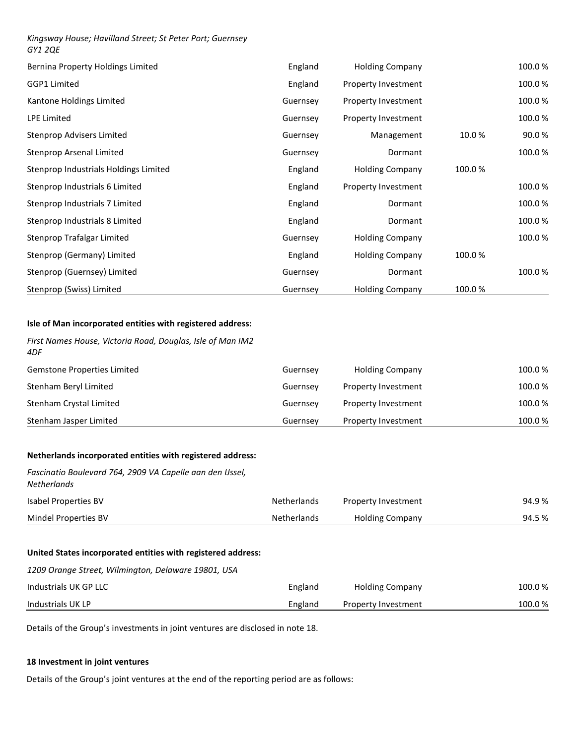## *Kingsway House; Havilland Street; St Peter Port; Guernsey GY1 2QE*

| Bernina Property Holdings Limited     | England  | <b>Holding Company</b>     |        | 100.0% |
|---------------------------------------|----------|----------------------------|--------|--------|
| GGP1 Limited                          | England  | <b>Property Investment</b> |        | 100.0% |
| Kantone Holdings Limited              | Guernsey | <b>Property Investment</b> |        | 100.0% |
| <b>LPE Limited</b>                    | Guernsey | <b>Property Investment</b> |        | 100.0% |
| Stenprop Advisers Limited             | Guernsey | Management                 | 10.0%  | 90.0%  |
| Stenprop Arsenal Limited              | Guernsey | Dormant                    |        | 100.0% |
| Stenprop Industrials Holdings Limited | England  | <b>Holding Company</b>     | 100.0% |        |
| Stenprop Industrials 6 Limited        | England  | <b>Property Investment</b> |        | 100.0% |
| Stenprop Industrials 7 Limited        | England  | Dormant                    |        | 100.0% |
| Stenprop Industrials 8 Limited        | England  | Dormant                    |        | 100.0% |
| Stenprop Trafalgar Limited            | Guernsey | <b>Holding Company</b>     |        | 100.0% |
| Stenprop (Germany) Limited            | England  | <b>Holding Company</b>     | 100.0% |        |
| Stenprop (Guernsey) Limited           | Guernsey | Dormant                    |        | 100.0% |
| Stenprop (Swiss) Limited              | Guernsey | <b>Holding Company</b>     | 100.0% |        |

## **Isle of Man incorporated entities with registered address:**

| First Names House, Victoria Road, Douglas, Isle of Man IM2<br>4DF                                                                      |                    |                            |        |
|----------------------------------------------------------------------------------------------------------------------------------------|--------------------|----------------------------|--------|
| Gemstone Properties Limited                                                                                                            | Guernsey           | <b>Holding Company</b>     | 100.0% |
| Stenham Beryl Limited                                                                                                                  | Guernsey           | Property Investment        | 100.0% |
| Stenham Crystal Limited                                                                                                                | Guernsey           | Property Investment        | 100.0% |
| Stenham Jasper Limited                                                                                                                 | Guernsey           | Property Investment        | 100.0% |
| Netherlands incorporated entities with registered address:<br>Fascinatio Boulevard 764, 2909 VA Capelle aan den IJssel,<br>Netherlands |                    |                            |        |
| Isabel Properties BV                                                                                                                   | <b>Netherlands</b> | Property Investment        | 94.9%  |
| Mindel Properties BV                                                                                                                   | Netherlands        | <b>Holding Company</b>     | 94.5%  |
| United States incorporated entities with registered address:                                                                           |                    |                            |        |
| 1209 Orange Street, Wilmington, Delaware 19801, USA                                                                                    |                    |                            |        |
| Industrials UK GP LLC                                                                                                                  | England            | <b>Holding Company</b>     | 100.0% |
| Industrials UK LP                                                                                                                      | England            | <b>Property Investment</b> | 100.0% |

Details of the Group's investments in joint ventures are disclosed in note 18.

## **18 Investment in joint ventures**

Details of the Group's joint ventures at the end of the reporting period are as follows: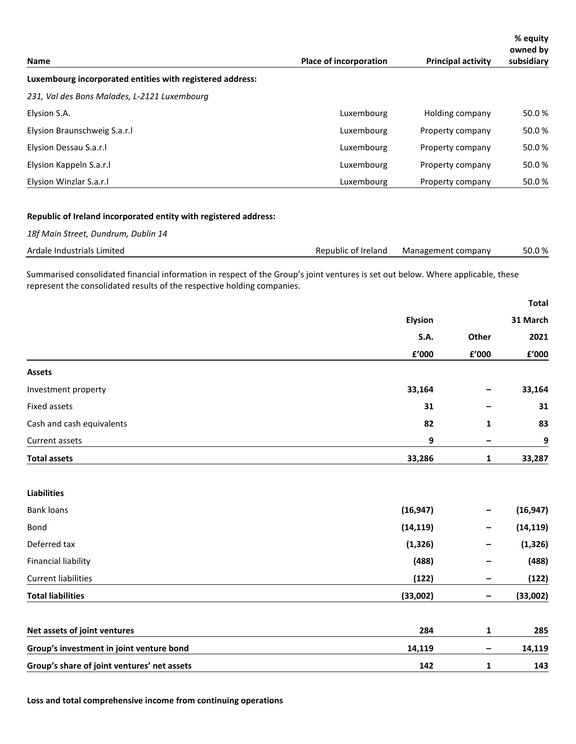| <b>Name</b>                                                                                                                                                                                                 | <b>Place of incorporation</b> |                    | <b>Principal activity</b> | % equity<br>owned by<br>subsidiary |
|-------------------------------------------------------------------------------------------------------------------------------------------------------------------------------------------------------------|-------------------------------|--------------------|---------------------------|------------------------------------|
| Luxembourg incorporated entities with registered address:                                                                                                                                                   |                               |                    |                           |                                    |
| 231, Val des Bons Malades, L-2121 Luxembourg                                                                                                                                                                |                               |                    |                           |                                    |
| Elysion S.A.                                                                                                                                                                                                | Luxembourg                    |                    | Holding company           | 50.0%                              |
| Elysion Braunschweig S.a.r.l                                                                                                                                                                                | Luxembourg                    |                    | Property company          | 50.0%                              |
| Elysion Dessau S.a.r.l                                                                                                                                                                                      | Luxembourg                    |                    | Property company          | 50.0%                              |
| Elysion Kappeln S.a.r.l                                                                                                                                                                                     | Luxembourg                    |                    | Property company          | 50.0%                              |
| Elysion Winzlar S.a.r.l                                                                                                                                                                                     | Luxembourg                    |                    | Property company          | 50.0%                              |
| Republic of Ireland incorporated entity with registered address:                                                                                                                                            |                               |                    |                           |                                    |
| 18f Main Street, Dundrum, Dublin 14                                                                                                                                                                         |                               |                    |                           |                                    |
| Ardale Industrials Limited                                                                                                                                                                                  | Republic of Ireland           | Management company |                           | 50.0%                              |
| Summarised consolidated financial information in respect of the Group's joint ventures is set out below. Where applicable, these<br>represent the consolidated results of the respective holding companies. |                               |                    |                           | <b>Total</b>                       |
|                                                                                                                                                                                                             |                               | <b>Elysion</b>     |                           | 31 March                           |
|                                                                                                                                                                                                             |                               | S.A.               | Other                     | 2021                               |
|                                                                                                                                                                                                             |                               | £'000              | £'000                     | £'000                              |
| <b>Assets</b>                                                                                                                                                                                               |                               |                    |                           |                                    |
| Investment property                                                                                                                                                                                         |                               | 33,164             |                           | 33,164                             |
| Fixed assets                                                                                                                                                                                                |                               | 31                 |                           | 31                                 |
| Cash and cash equivalents                                                                                                                                                                                   |                               | 82                 | 1                         | 83                                 |
| Current assets                                                                                                                                                                                              |                               | 9                  |                           | 9                                  |
| <b>Total assets</b>                                                                                                                                                                                         |                               | 33,286             | 1                         | 33,287                             |
| <b>Liabilities</b>                                                                                                                                                                                          |                               |                    |                           |                                    |
| <b>Bank loans</b>                                                                                                                                                                                           |                               | (16, 947)          |                           | (16, 947)                          |
| Bond                                                                                                                                                                                                        |                               | (14, 119)          |                           | (14, 119)                          |
| Deferred tax                                                                                                                                                                                                |                               | (1, 326)           |                           | (1, 326)                           |
| <b>Financial liability</b>                                                                                                                                                                                  |                               | (488)              |                           | (488)                              |
| <b>Current liabilities</b>                                                                                                                                                                                  |                               | (122)              | -                         | (122)                              |
| <b>Total liabilities</b>                                                                                                                                                                                    |                               | (33,002)           | -                         | (33,002)                           |
| Net assets of joint ventures                                                                                                                                                                                |                               | 284                | 1                         | 285                                |
| Group's investment in joint venture bond                                                                                                                                                                    |                               | 14,119             |                           | 14,119                             |
| Group's share of joint ventures' net assets                                                                                                                                                                 |                               | 142                | 1                         | 143                                |

**Loss and total comprehensive income from continuing operations**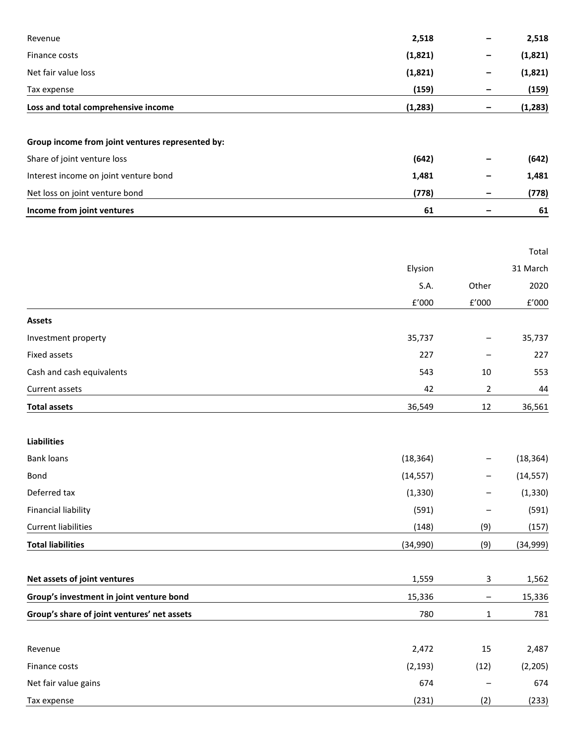| Revenue                                          | 2,518        |              | 2,518                |
|--------------------------------------------------|--------------|--------------|----------------------|
| Finance costs                                    | (1,821)      |              | (1,821)              |
| Net fair value loss                              | (1,821)      |              | (1,821)              |
| Tax expense                                      | (159)        |              | (159)                |
| Loss and total comprehensive income              | (1, 283)     | -            | (1, 283)             |
| Group income from joint ventures represented by: |              |              |                      |
| Share of joint venture loss                      | (642)        |              | (642)                |
| Interest income on joint venture bond            | 1,481        |              | 1,481                |
| Net loss on joint venture bond                   | (778)        |              | (778)                |
| Income from joint ventures                       | 61           |              | 61                   |
|                                                  |              |              | Total                |
|                                                  | Elysion      |              | 31 March             |
|                                                  | S.A.         | Other        | 2020                 |
|                                                  | $\rm{f}'000$ | $\rm{f}'000$ | $\rm{f}^{\prime}000$ |
| <b>Assets</b>                                    |              |              |                      |
| Investment property                              | 35,737       |              | 35,737               |
| Fixed assets                                     | 227          |              | 227                  |
| Cash and cash equivalents                        | 543          | 10           | 553                  |
| Current assets                                   | 42           | 2            | 44                   |
| <b>Total assets</b>                              | 36,549       | 12           | 36,561               |
| <b>Liabilities</b>                               |              |              |                      |
| <b>Bank loans</b>                                | (18, 364)    |              | (18, 364)            |
| Bond                                             | (14, 557)    |              | (14, 557)            |
| Deferred tax                                     | (1, 330)     |              | (1, 330)             |
| <b>Financial liability</b>                       | (591)        |              | (591)                |
| <b>Current liabilities</b>                       | (148)        | (9)          | (157)                |
| <b>Total liabilities</b>                         | (34,990)     | (9)          | (34,999)             |
| Net assets of joint ventures                     | 1,559        | 3            | 1,562                |
| Group's investment in joint venture bond         | 15,336       |              | 15,336               |
| Group's share of joint ventures' net assets      | 780          | $\mathbf{1}$ | 781                  |
| Revenue                                          | 2,472        | 15           | 2,487                |
| Finance costs                                    | (2, 193)     | (12)         | (2, 205)             |
| Net fair value gains                             | 674          |              | 674                  |
| Tax expense                                      | (231)        | (2)          | (233)                |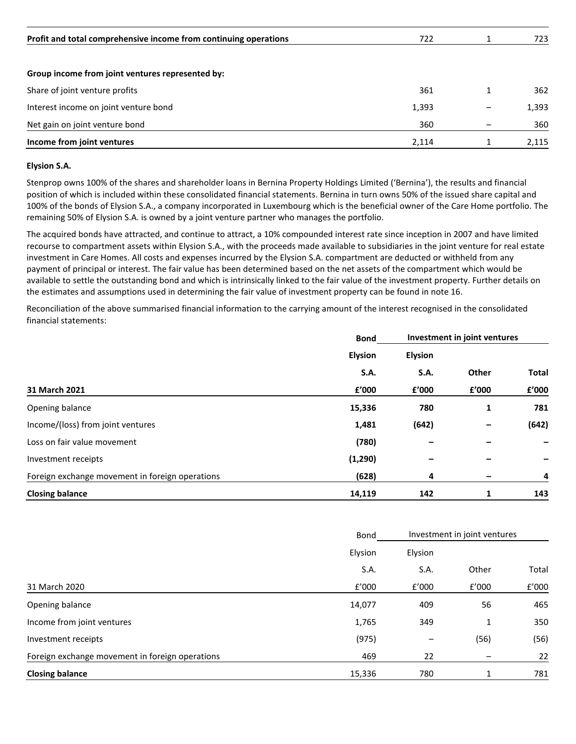| Profit and total comprehensive income from continuing operations | 722   | 723   |
|------------------------------------------------------------------|-------|-------|
| Group income from joint ventures represented by:                 |       |       |
| Share of joint venture profits                                   | 361   | 362   |
| Interest income on joint venture bond                            | 1,393 | 1,393 |
| Net gain on joint venture bond                                   | 360   | 360   |
| Income from joint ventures                                       | 2,114 | 2,115 |

## **Elysion S.A.**

Stenprop owns 100% of the shares and shareholder loans in Bernina Property Holdings Limited ('Bernina'), the results and financial position of which is included within these consolidated financial statements. Bernina in turn owns 50% of the issued share capital and 100% of the bonds of Elysion S.A., a company incorporated in Luxembourg which is the beneficial owner of the Care Home portfolio. The remaining 50% of Elysion S.A. is owned by a joint venture partner who manages the portfolio.

The acquired bonds have attracted, and continue to attract, a 10% compounded interest rate since inception in 2007 and have limited recourse to compartment assets within Elysion S.A., with the proceeds made available to subsidiaries in the joint venture for real estate investment in Care Homes. All costs and expenses incurred by the Elysion S.A. compartment are deducted or withheld from any payment of principal or interest. The fair value has been determined based on the net assets of the compartment which would be available to settle the outstanding bond and which is intrinsically linked to the fair value of the investment property. Further details on the estimates and assumptions used in determining the fair value of investment property can be found in note 16.

Reconciliation of the above summarised financial information to the carrying amount of the interest recognised in the consolidated financial statements:

|                                                 | <b>Bond</b>    |                | Investment in joint ventures |              |
|-------------------------------------------------|----------------|----------------|------------------------------|--------------|
|                                                 | <b>Elysion</b> | <b>Elysion</b> |                              |              |
|                                                 | S.A.           | S.A.           | Other                        | <b>Total</b> |
| 31 March 2021                                   | £'000          | £'000          | f'000                        | £'000        |
| Opening balance                                 | 15,336         | 780            | 1                            | 781          |
| Income/(loss) from joint ventures               | 1,481          | (642)          |                              | (642)        |
| Loss on fair value movement                     | (780)          |                |                              |              |
| Investment receipts                             | (1, 290)       |                |                              |              |
| Foreign exchange movement in foreign operations | (628)          | 4              |                              | 4            |
| <b>Closing balance</b>                          | 14,119         | 142            | 1                            | 143          |

|                                                 | Bond    | Investment in joint ventures |       |       |
|-------------------------------------------------|---------|------------------------------|-------|-------|
|                                                 | Elysion | Elysion                      |       |       |
|                                                 | S.A.    | S.A.                         | Other | Total |
| 31 March 2020                                   | f'000   | f'000                        | f'000 | f'000 |
| Opening balance                                 | 14,077  | 409                          | 56    | 465   |
| Income from joint ventures                      | 1,765   | 349                          | 1     | 350   |
| Investment receipts                             | (975)   |                              | (56)  | (56)  |
| Foreign exchange movement in foreign operations | 469     | 22                           |       | 22    |
| <b>Closing balance</b>                          | 15,336  | 780                          | 1     | 781   |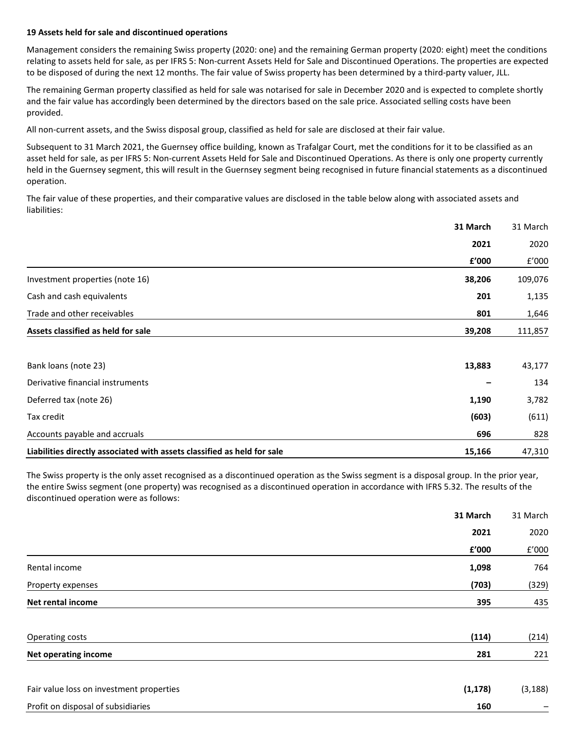#### **19 Assets held for sale and discontinued operations**

Management considers the remaining Swiss property (2020: one) and the remaining German property (2020: eight) meet the conditions relating to assets held for sale, as per IFRS 5: Non-current Assets Held for Sale and Discontinued Operations. The properties are expected to be disposed of during the next 12 months. The fair value of Swiss property has been determined by a third-party valuer, JLL.

The remaining German property classified as held for sale was notarised for sale in December 2020 and is expected to complete shortly and the fair value has accordingly been determined by the directors based on the sale price. Associated selling costs have been provided.

All non-current assets, and the Swiss disposal group, classified as held for sale are disclosed at their fair value.

Subsequent to 31 March 2021, the Guernsey office building, known as Trafalgar Court, met the conditions for it to be classified as an asset held for sale, as per IFRS 5: Non-current Assets Held for Sale and Discontinued Operations. As there is only one property currently held in the Guernsey segment, this will result in the Guernsey segment being recognised in future financial statements as a discontinued operation.

The fair value of these properties, and their comparative values are disclosed in the table below along with associated assets and liabilities:

|                                                                         | 31 March | 31 March |
|-------------------------------------------------------------------------|----------|----------|
|                                                                         | 2021     | 2020     |
|                                                                         | £'000    | f'000    |
| Investment properties (note 16)                                         | 38,206   | 109,076  |
| Cash and cash equivalents                                               | 201      | 1,135    |
| Trade and other receivables                                             | 801      | 1,646    |
| Assets classified as held for sale                                      | 39,208   | 111,857  |
| Bank loans (note 23)                                                    | 13,883   | 43,177   |
| Derivative financial instruments                                        |          | 134      |
| Deferred tax (note 26)                                                  | 1,190    | 3,782    |
| Tax credit                                                              | (603)    | (611)    |
| Accounts payable and accruals                                           | 696      | 828      |
| Liabilities directly associated with assets classified as held for sale | 15,166   | 47,310   |

The Swiss property is the only asset recognised as a discontinued operation as the Swiss segment is a disposal group. In the prior year, the entire Swiss segment (one property) was recognised as a discontinued operation in accordance with IFRS 5.32. The results of the discontinued operation were as follows:

|                                          | 31 March | 31 March |
|------------------------------------------|----------|----------|
|                                          | 2021     | 2020     |
|                                          | £'000    | f'000    |
| Rental income                            | 1,098    | 764      |
| Property expenses                        | (703)    | (329)    |
| Net rental income                        | 395      | 435      |
| Operating costs                          | (114)    | (214)    |
| <b>Net operating income</b>              | 281      | 221      |
| Fair value loss on investment properties | (1, 178) | (3, 188) |
| Profit on disposal of subsidiaries       | 160      |          |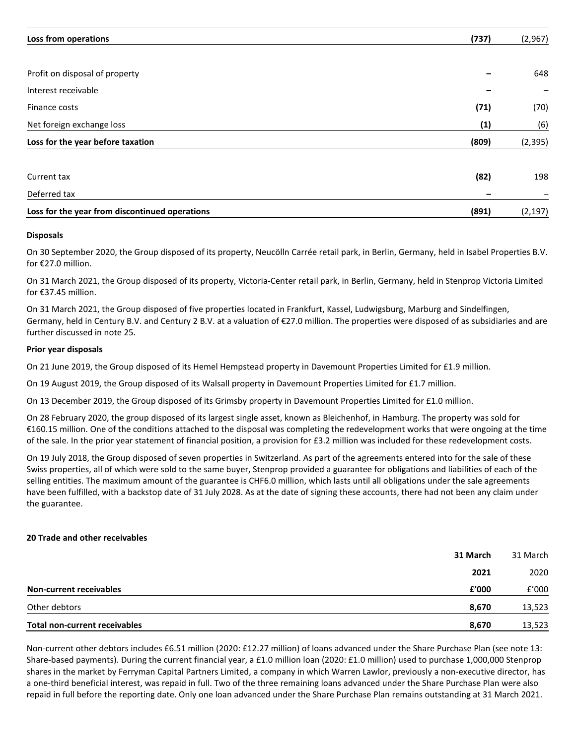| Loss from operations                           | (737) | (2,967)  |
|------------------------------------------------|-------|----------|
|                                                |       |          |
| Profit on disposal of property                 |       | 648      |
| Interest receivable                            |       |          |
| Finance costs                                  | (71)  | (70)     |
| Net foreign exchange loss                      | (1)   | (6)      |
| Loss for the year before taxation              | (809) | (2, 395) |
| Current tax                                    | (82)  | 198      |
| Deferred tax                                   |       |          |
| Loss for the year from discontinued operations | (891) | (2, 197) |

## **Disposals**

On 30 September 2020, the Group disposed of its property, Neucölln Carrée retail park, in Berlin, Germany, held in Isabel Properties B.V. for €27.0 million.

On 31 March 2021, the Group disposed of its property, Victoria-Center retail park, in Berlin, Germany, held in Stenprop Victoria Limited for €37.45 million.

On 31 March 2021, the Group disposed of five properties located in Frankfurt, Kassel, Ludwigsburg, Marburg and Sindelfingen, Germany, held in Century B.V. and Century 2 B.V. at a valuation of €27.0 million. The properties were disposed of as subsidiaries and are further discussed in note 25.

## **Prior year disposals**

On 21 June 2019, the Group disposed of its Hemel Hempstead property in Davemount Properties Limited for £1.9 million.

On 19 August 2019, the Group disposed of its Walsall property in Davemount Properties Limited for £1.7 million.

On 13 December 2019, the Group disposed of its Grimsby property in Davemount Properties Limited for £1.0 million.

On 28 February 2020, the group disposed of its largest single asset, known as Bleichenhof, in Hamburg. The property was sold for €160.15 million. One of the conditions attached to the disposal was completing the redevelopment works that were ongoing at the time of the sale. In the prior year statement of financial position, a provision for £3.2 million was included for these redevelopment costs.

On 19 July 2018, the Group disposed of seven properties in Switzerland. As part of the agreements entered into for the sale of these Swiss properties, all of which were sold to the same buyer, Stenprop provided a guarantee for obligations and liabilities of each of the selling entities. The maximum amount of the guarantee is CHF6.0 million, which lasts until all obligations under the sale agreements have been fulfilled, with a backstop date of 31 July 2028. As at the date of signing these accounts, there had not been any claim under the guarantee.

#### **20 Trade and other receivables**

|                                | 31 March | 31 March |
|--------------------------------|----------|----------|
|                                | 2021     | 2020     |
| <b>Non-current receivables</b> | f'000    | f'000    |
| Other debtors                  | 8,670    | 13,523   |
| Total non-current receivables  | 8,670    | 13,523   |

Non-current other debtors includes £6.51 million (2020: £12.27 million) of loans advanced under the Share Purchase Plan (see note 13: Share-based payments). During the current financial year, a £1.0 million loan (2020: £1.0 million) used to purchase 1,000,000 Stenprop shares in the market by Ferryman Capital Partners Limited, a company in which Warren Lawlor, previously a non-executive director, has a one-third beneficial interest, was repaid in full. Two of the three remaining loans advanced under the Share Purchase Plan were also repaid in full before the reporting date. Only one loan advanced under the Share Purchase Plan remains outstanding at 31 March 2021.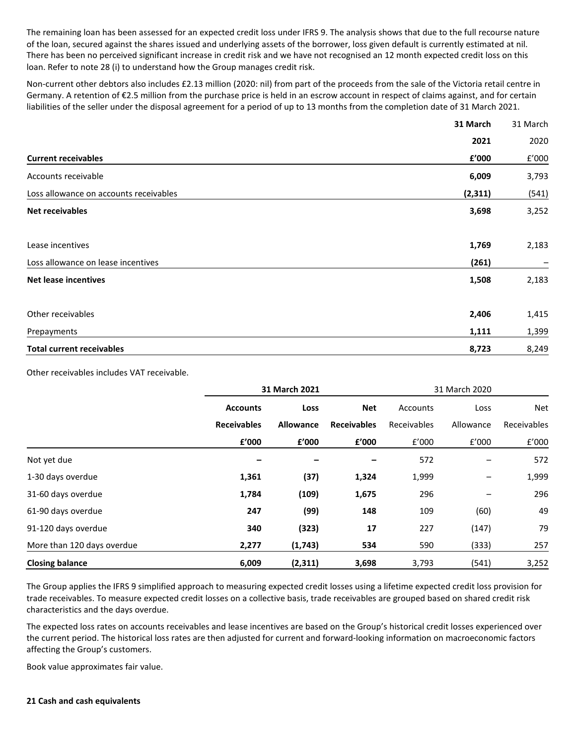The remaining loan has been assessed for an expected credit loss under IFRS 9. The analysis shows that due to the full recourse nature of the loan, secured against the shares issued and underlying assets of the borrower, loss given default is currently estimated at nil. There has been no perceived significant increase in credit risk and we have not recognised an 12 month expected credit loss on this loan. Refer to note 28 (i) to understand how the Group manages credit risk.

Non-current other debtors also includes £2.13 million (2020: nil) from part of the proceeds from the sale of the Victoria retail centre in Germany. A retention of €2.5 million from the purchase price is held in an escrow account in respect of claims against, and for certain liabilities of the seller under the disposal agreement for a period of up to 13 months from the completion date of 31 March 2021.

|                                        | 31 March | 31 March |
|----------------------------------------|----------|----------|
|                                        | 2021     | 2020     |
| <b>Current receivables</b>             | £'000    | f'000    |
| Accounts receivable                    | 6,009    | 3,793    |
| Loss allowance on accounts receivables | (2, 311) | (541)    |
| <b>Net receivables</b>                 | 3,698    | 3,252    |
| Lease incentives                       | 1,769    | 2,183    |
| Loss allowance on lease incentives     | (261)    |          |
| <b>Net lease incentives</b>            | 1,508    | 2,183    |
| Other receivables                      | 2,406    | 1,415    |
| Prepayments                            | 1,111    | 1,399    |
| <b>Total current receivables</b>       | 8,723    | 8,249    |

Other receivables includes VAT receivable.

|                            |                    | 31 March 2021    |                    | 31 March 2020 |           |             |
|----------------------------|--------------------|------------------|--------------------|---------------|-----------|-------------|
|                            | <b>Accounts</b>    | Loss             | <b>Net</b>         | Accounts      | Loss      | <b>Net</b>  |
|                            | <b>Receivables</b> | <b>Allowance</b> | <b>Receivables</b> | Receivables   | Allowance | Receivables |
|                            | £'000              | £'000            | f'000              | f'000         | f'000     | f'000       |
| Not yet due                |                    |                  |                    | 572           |           | 572         |
| 1-30 days overdue          | 1,361              | (37)             | 1,324              | 1,999         | -         | 1,999       |
| 31-60 days overdue         | 1,784              | (109)            | 1,675              | 296           |           | 296         |
| 61-90 days overdue         | 247                | (99)             | 148                | 109           | (60)      | 49          |
| 91-120 days overdue        | 340                | (323)            | 17                 | 227           | (147)     | 79          |
| More than 120 days overdue | 2,277              | (1,743)          | 534                | 590           | (333)     | 257         |
| <b>Closing balance</b>     | 6,009              | (2, 311)         | 3,698              | 3,793         | (541)     | 3,252       |

The Group applies the IFRS 9 simplified approach to measuring expected credit losses using a lifetime expected credit loss provision for trade receivables. To measure expected credit losses on a collective basis, trade receivables are grouped based on shared credit risk characteristics and the days overdue.

The expected loss rates on accounts receivables and lease incentives are based on the Group's historical credit losses experienced over the current period. The historical loss rates are then adjusted for current and forward-looking information on macroeconomic factors affecting the Group's customers.

Book value approximates fair value.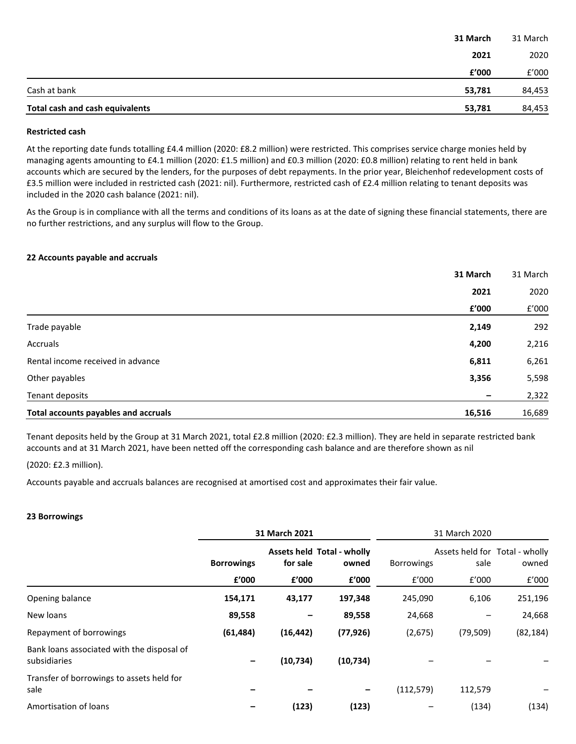| Total cash and cash equivalents | 53,781   | 84,453   |
|---------------------------------|----------|----------|
| Cash at bank                    | 53,781   | 84,453   |
|                                 | £'000    | £'000    |
|                                 | 2021     | 2020     |
|                                 | 31 March | 31 March |

## **Restricted cash**

At the reporting date funds totalling £4.4 million (2020: £8.2 million) were restricted. This comprises service charge monies held by managing agents amounting to £4.1 million (2020: £1.5 million) and £0.3 million (2020: £0.8 million) relating to rent held in bank accounts which are secured by the lenders, for the purposes of debt repayments. In the prior year, Bleichenhof redevelopment costs of £3.5 million were included in restricted cash (2021: nil). Furthermore, restricted cash of £2.4 million relating to tenant deposits was included in the 2020 cash balance (2021: nil).

As the Group is in compliance with all the terms and conditions of its loans as at the date of signing these financial statements, there are no further restrictions, and any surplus will flow to the Group.

## **22 Accounts payable and accruals**

|                                             | 31 March | 31 March |
|---------------------------------------------|----------|----------|
|                                             | 2021     | 2020     |
|                                             | £'000    | f'000    |
| Trade payable                               | 2,149    | 292      |
| Accruals                                    | 4,200    | 2,216    |
| Rental income received in advance           | 6,811    | 6,261    |
| Other payables                              | 3,356    | 5,598    |
| Tenant deposits                             |          | 2,322    |
| <b>Total accounts payables and accruals</b> | 16,516   | 16,689   |

Tenant deposits held by the Group at 31 March 2021, total £2.8 million (2020: £2.3 million). They are held in separate restricted bank accounts and at 31 March 2021, have been netted off the corresponding cash balance and are therefore shown as nil

(2020: £2.3 million).

Accounts payable and accruals balances are recognised at amortised cost and approximates their fair value.

## **23 Borrowings**

|                                                            |                   | 31 March 2021                                 |           |                   | 31 March 2020                          |           |
|------------------------------------------------------------|-------------------|-----------------------------------------------|-----------|-------------------|----------------------------------------|-----------|
|                                                            | <b>Borrowings</b> | <b>Assets held Total - wholly</b><br>for sale |           | <b>Borrowings</b> | Assets held for Total - wholly<br>sale | owned     |
|                                                            | £'000             | £'000                                         | £'000     | f'000             | f'000                                  | f'000     |
| Opening balance                                            | 154,171           | 43,177                                        | 197,348   | 245,090           | 6,106                                  | 251,196   |
| New loans                                                  | 89,558            |                                               | 89,558    | 24,668            |                                        | 24,668    |
| Repayment of borrowings                                    | (61, 484)         | (16, 442)                                     | (77, 926) | (2,675)           | (79, 509)                              | (82, 184) |
| Bank loans associated with the disposal of<br>subsidiaries |                   | (10, 734)                                     | (10, 734) |                   |                                        |           |
| Transfer of borrowings to assets held for<br>sale          |                   |                                               | -         | (112, 579)        | 112,579                                |           |
| Amortisation of loans                                      |                   | (123)                                         | (123)     |                   | (134)                                  | (134)     |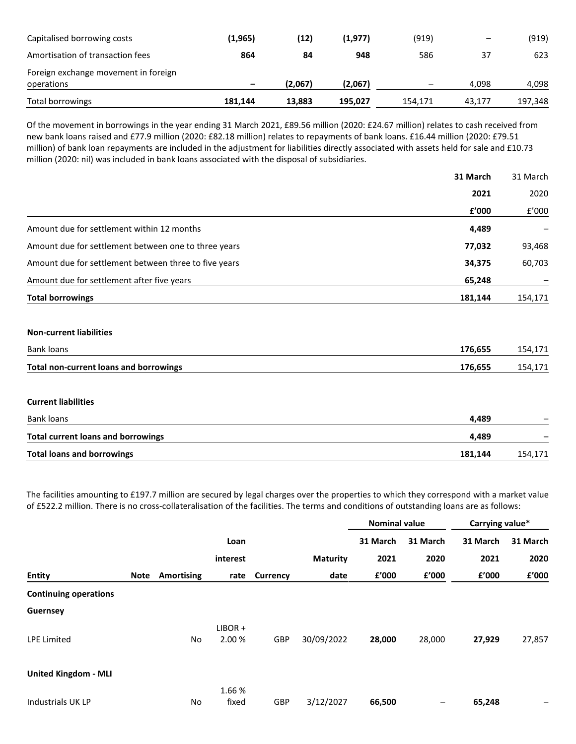| Capitalised borrowing costs          | (1, 965) | (12)    | (1,977) | (919)   | $\qquad \qquad \blacksquare$ | (919)   |
|--------------------------------------|----------|---------|---------|---------|------------------------------|---------|
| Amortisation of transaction fees     | 864      | 84      | 948     | 586     | 37                           | 623     |
| Foreign exchange movement in foreign |          |         |         |         |                              |         |
| operations                           | -        | (2,067) | (2,067) | -       | 4.098                        | 4,098   |
| Total borrowings                     | 181,144  | 13.883  | 195.027 | 154.171 | 43.177                       | 197,348 |

Of the movement in borrowings in the year ending 31 March 2021, £89.56 million (2020: £24.67 million) relates to cash received from new bank loans raised and £77.9 million (2020: £82.18 million) relates to repayments of bank loans. £16.44 million (2020: £79.51 million) of bank loan repayments are included in the adjustment for liabilities directly associated with assets held for sale and £10.73 million (2020: nil) was included in bank loans associated with the disposal of subsidiaries.

|                                                       | 31 March | 31 March |
|-------------------------------------------------------|----------|----------|
|                                                       | 2021     | 2020     |
|                                                       | £'000    | f'000    |
| Amount due for settlement within 12 months            | 4,489    |          |
| Amount due for settlement between one to three years  | 77,032   | 93,468   |
| Amount due for settlement between three to five years | 34,375   | 60,703   |
| Amount due for settlement after five years            | 65,248   |          |
| <b>Total borrowings</b>                               | 181,144  | 154,171  |
| <b>Non-current liabilities</b>                        |          |          |
| <b>Bank loans</b>                                     | 176,655  | 154,171  |
| <b>Total non-current loans and borrowings</b>         | 176,655  | 154,171  |
| <b>Current liabilities</b>                            |          |          |
| Bank loans                                            | 4,489    |          |
| <b>Total current loans and borrowings</b>             | 4,489    |          |
| <b>Total loans and borrowings</b>                     | 181,144  | 154,171  |

The facilities amounting to £197.7 million are secured by legal charges over the properties to which they correspond with a market value of £522.2 million. There is no cross-collateralisation of the facilities. The terms and conditions of outstanding loans are as follows:

|                              |      |            |           |          |                 | <b>Nominal value</b> |          | Carrying value* |          |
|------------------------------|------|------------|-----------|----------|-----------------|----------------------|----------|-----------------|----------|
|                              |      |            | Loan      |          |                 | 31 March             | 31 March | 31 March        | 31 March |
|                              |      |            | interest  |          | <b>Maturity</b> | 2021                 | 2020     | 2021            | 2020     |
| <b>Entity</b>                | Note | Amortising | rate      | Currency | date            | £'000                | £'000    | £'000           | £'000    |
| <b>Continuing operations</b> |      |            |           |          |                 |                      |          |                 |          |
| Guernsey                     |      |            |           |          |                 |                      |          |                 |          |
|                              |      |            | $LIBOR +$ |          |                 |                      |          |                 |          |
| <b>LPE Limited</b>           |      | No         | 2.00 %    | GBP      | 30/09/2022      | 28,000               | 28,000   | 27,929          | 27,857   |
| <b>United Kingdom - MLI</b>  |      |            |           |          |                 |                      |          |                 |          |
|                              |      |            | 1.66%     |          |                 |                      |          |                 |          |
| <b>Industrials UK LP</b>     |      | No         | fixed     | GBP      | 3/12/2027       | 66,500               | —        | 65,248          | —        |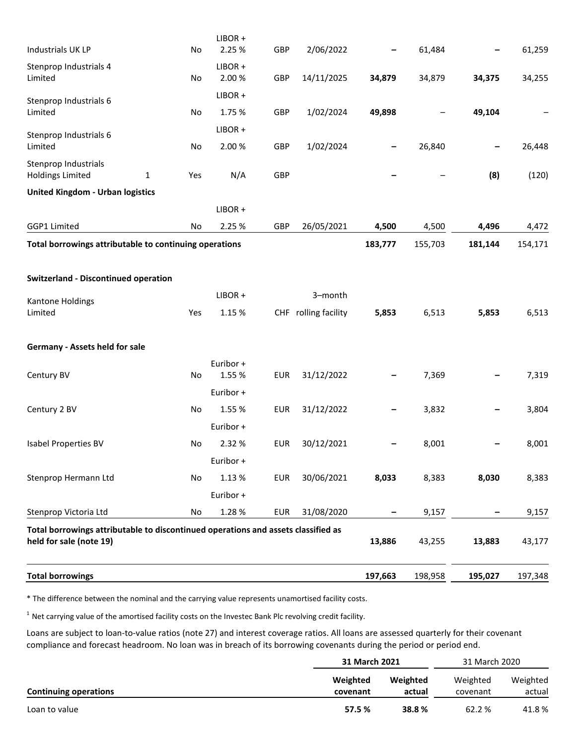| <b>Total borrowings</b>                                                                                      |          |                     |            |                      | 197,663 | 198,958 | 195,027 | 197,348 |
|--------------------------------------------------------------------------------------------------------------|----------|---------------------|------------|----------------------|---------|---------|---------|---------|
| Total borrowings attributable to discontinued operations and assets classified as<br>held for sale (note 19) |          |                     |            |                      | 13,886  | 43,255  | 13,883  | 43,177  |
| Stenprop Victoria Ltd                                                                                        | No       | 1.28%               | <b>EUR</b> | 31/08/2020           |         | 9,157   |         | 9,157   |
|                                                                                                              |          | Euribor +           |            |                      |         |         |         |         |
| Stenprop Hermann Ltd                                                                                         | No       | 1.13%               | <b>EUR</b> | 30/06/2021           | 8,033   | 8,383   | 8,030   | 8,383   |
|                                                                                                              |          | Euribor +           |            |                      |         |         |         |         |
| <b>Isabel Properties BV</b>                                                                                  | No       | 2.32 %              | <b>EUR</b> | 30/12/2021           |         | 8,001   |         | 8,001   |
|                                                                                                              |          | Euribor +           |            |                      |         |         |         |         |
| Century 2 BV                                                                                                 | No       | 1.55 %              | <b>EUR</b> | 31/12/2022           |         | 3,832   | -       | 3,804   |
| Century BV                                                                                                   | No       | 1.55 %<br>Euribor + | <b>EUR</b> | 31/12/2022           |         | 7,369   |         | 7,319   |
| Germany - Assets held for sale                                                                               |          | Euribor +           |            |                      |         |         |         |         |
| Limited                                                                                                      | Yes      | 1.15 %              |            | CHF rolling facility | 5,853   | 6,513   | 5,853   | 6,513   |
| Kantone Holdings                                                                                             |          | LIBOR+              |            | 3-month              |         |         |         |         |
| <b>Switzerland - Discontinued operation</b>                                                                  |          |                     |            |                      |         |         |         |         |
| Total borrowings attributable to continuing operations                                                       |          |                     |            |                      | 183,777 | 155,703 | 181,144 | 154,171 |
| GGP1 Limited                                                                                                 | No       | 2.25 %              | GBP        | 26/05/2021           | 4,500   | 4,500   | 4,496   | 4,472   |
|                                                                                                              |          | $LIBOR +$           |            |                      |         |         |         |         |
| <b>United Kingdom - Urban logistics</b>                                                                      |          |                     |            |                      |         |         |         |         |
| Stenprop Industrials<br><b>Holdings Limited</b>                                                              | 1<br>Yes | N/A                 | GBP        |                      |         |         | (8)     | (120)   |
| Limited                                                                                                      | No       | 2.00%               | GBP        | 1/02/2024            | -       | 26,840  |         | 26,448  |
| Stenprop Industrials 6                                                                                       |          | $LIBOR +$           |            |                      |         |         |         |         |
| Stenprop Industrials 6<br>Limited                                                                            | No       | $LIBOR +$<br>1.75 % | GBP        | 1/02/2024            | 49,898  |         | 49,104  |         |
| Limited                                                                                                      | No       | 2.00%               | GBP        | 14/11/2025           | 34,879  | 34,879  | 34,375  | 34,255  |
| Stenprop Industrials 4                                                                                       |          | LIBOR +             |            |                      |         |         |         |         |
| Industrials UK LP                                                                                            | No       | LIBOR+<br>2.25 %    | GBP        | 2/06/2022            |         | 61,484  |         | 61,259  |

\* The difference between the nominal and the carrying value represents unamortised facility costs.

 $1$  Net carrying value of the amortised facility costs on the Investec Bank Plc revolving credit facility.

Loans are subject to loan-to-value ratios (note 27) and interest coverage ratios. All loans are assessed quarterly for their covenant compliance and forecast headroom. No loan was in breach of its borrowing covenants during the period or period end.

|                              |                      | 31 March 2021      |                      |                    |
|------------------------------|----------------------|--------------------|----------------------|--------------------|
| <b>Continuing operations</b> | Weighted<br>covenant | Weighted<br>actual | Weighted<br>covenant | Weighted<br>actual |
| Loan to value                | 57.5 %               | 38.8%              | 62.2 %               | 41.8%              |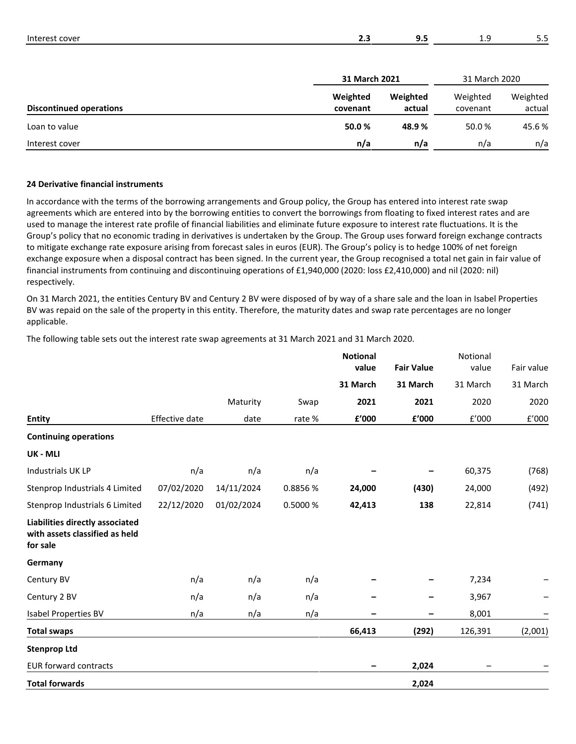| Interest cover                 | 2.3           | 9.5      | 1.9           | 5.5      |
|--------------------------------|---------------|----------|---------------|----------|
|                                | 31 March 2021 |          | 31 March 2020 |          |
|                                | Weighted      | Weighted | Weighted      | Weighted |
| <b>Discontinued operations</b> | covenant      | actual   | covenant      | actual   |

| Discontinued operations | covenant | actual | covenant | actual |
|-------------------------|----------|--------|----------|--------|
| Loan to value           | 50.0%    | 48.9%  | 50.0%    | 45.6%  |
| Interest cover          | n/a      | n/a    | n/a      | n/a    |

## **24 Derivative financial instruments**

In accordance with the terms of the borrowing arrangements and Group policy, the Group has entered into interest rate swap agreements which are entered into by the borrowing entities to convert the borrowings from floating to fixed interest rates and are used to manage the interest rate profile of financial liabilities and eliminate future exposure to interest rate fluctuations. It is the Group's policy that no economic trading in derivatives is undertaken by the Group. The Group uses forward foreign exchange contracts to mitigate exchange rate exposure arising from forecast sales in euros (EUR). The Group's policy is to hedge 100% of net foreign exchange exposure when a disposal contract has been signed. In the current year, the Group recognised a total net gain in fair value of financial instruments from continuing and discontinuing operations of £1,940,000 (2020: loss £2,410,000) and nil (2020: nil) respectively.

On 31 March 2021, the entities Century BV and Century 2 BV were disposed of by way of a share sale and the loan in Isabel Properties BV was repaid on the sale of the property in this entity. Therefore, the maturity dates and swap rate percentages are no longer applicable.

The following table sets out the interest rate swap agreements at 31 March 2021 and 31 March 2020.

|                                                                               |                       |            |          | <b>Notional</b><br>value | <b>Fair Value</b> | Notional<br>value | Fair value |
|-------------------------------------------------------------------------------|-----------------------|------------|----------|--------------------------|-------------------|-------------------|------------|
|                                                                               |                       |            |          | 31 March                 | 31 March          | 31 March          | 31 March   |
|                                                                               |                       | Maturity   | Swap     | 2021                     | 2021              | 2020              | 2020       |
| <b>Entity</b>                                                                 | <b>Effective date</b> | date       | rate %   | £'000                    | £'000             | E'000             | E'000      |
| <b>Continuing operations</b>                                                  |                       |            |          |                          |                   |                   |            |
| UK - MLI                                                                      |                       |            |          |                          |                   |                   |            |
| <b>Industrials UK LP</b>                                                      | n/a                   | n/a        | n/a      |                          |                   | 60,375            | (768)      |
| Stenprop Industrials 4 Limited                                                | 07/02/2020            | 14/11/2024 | 0.8856 % | 24,000                   | (430)             | 24,000            | (492)      |
| Stenprop Industrials 6 Limited                                                | 22/12/2020            | 01/02/2024 | 0.5000 % | 42,413                   | 138               | 22,814            | (741)      |
| Liabilities directly associated<br>with assets classified as held<br>for sale |                       |            |          |                          |                   |                   |            |
| Germany                                                                       |                       |            |          |                          |                   |                   |            |
| Century BV                                                                    | n/a                   | n/a        | n/a      |                          |                   | 7,234             |            |
| Century 2 BV                                                                  | n/a                   | n/a        | n/a      |                          |                   | 3,967             |            |
| <b>Isabel Properties BV</b>                                                   | n/a                   | n/a        | n/a      |                          |                   | 8,001             |            |
| <b>Total swaps</b>                                                            |                       |            |          | 66,413                   | (292)             | 126,391           | (2,001)    |
| <b>Stenprop Ltd</b>                                                           |                       |            |          |                          |                   |                   |            |
| <b>EUR forward contracts</b>                                                  |                       |            |          |                          | 2,024             |                   |            |
| <b>Total forwards</b>                                                         |                       |            |          |                          | 2,024             |                   |            |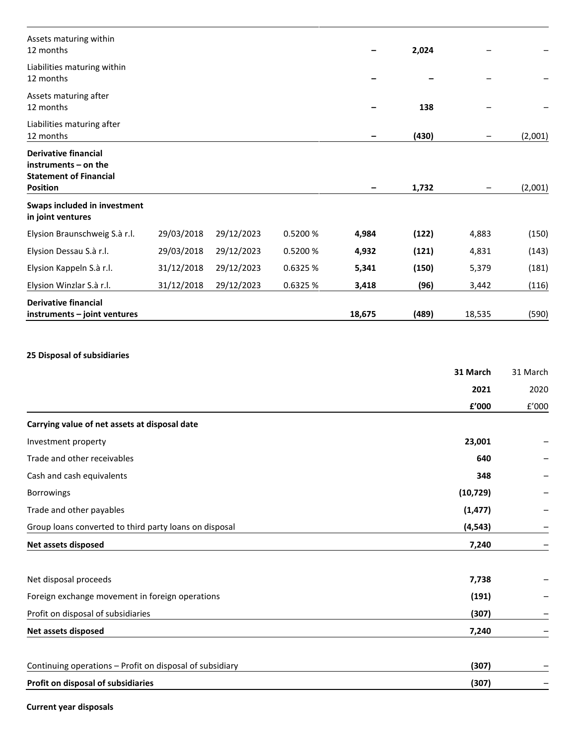| Assets maturing within<br>12 months                                                                     |            |            |          |        | 2,024 |        |         |
|---------------------------------------------------------------------------------------------------------|------------|------------|----------|--------|-------|--------|---------|
| Liabilities maturing within<br>12 months                                                                |            |            |          |        |       |        |         |
| Assets maturing after<br>12 months                                                                      |            |            |          |        | 138   |        |         |
| Liabilities maturing after<br>12 months                                                                 |            |            |          |        | (430) |        | (2,001) |
| <b>Derivative financial</b><br>instruments – on the<br><b>Statement of Financial</b><br><b>Position</b> |            |            |          |        | 1,732 |        | (2,001) |
| Swaps included in investment<br>in joint ventures                                                       |            |            |          |        |       |        |         |
| Elysion Braunschweig S.à r.l.                                                                           | 29/03/2018 | 29/12/2023 | 0.5200 % | 4,984  | (122) | 4,883  | (150)   |
| Elysion Dessau S.à r.l.                                                                                 | 29/03/2018 | 29/12/2023 | 0.5200 % | 4,932  | (121) | 4,831  | (143)   |
| Elysion Kappeln S.à r.l.                                                                                | 31/12/2018 | 29/12/2023 | 0.6325 % | 5,341  | (150) | 5,379  | (181)   |
| Elysion Winzlar S.à r.l.                                                                                | 31/12/2018 | 29/12/2023 | 0.6325 % | 3,418  | (96)  | 3,442  | (116)   |
| <b>Derivative financial</b><br>instruments - joint ventures                                             |            |            |          | 18,675 | (489) | 18,535 | (590)   |

# **25 Disposal of subsidiaries**

|                                                          | 31 March  | 31 March |
|----------------------------------------------------------|-----------|----------|
|                                                          | 2021      | 2020     |
|                                                          | £'000     | f'000    |
| Carrying value of net assets at disposal date            |           |          |
| Investment property                                      | 23,001    |          |
| Trade and other receivables                              | 640       |          |
| Cash and cash equivalents                                | 348       |          |
| <b>Borrowings</b>                                        | (10, 729) |          |
| Trade and other payables                                 | (1, 477)  |          |
| Group loans converted to third party loans on disposal   | (4, 543)  |          |
| Net assets disposed                                      | 7,240     |          |
| Net disposal proceeds                                    | 7,738     |          |
| Foreign exchange movement in foreign operations          | (191)     |          |
| Profit on disposal of subsidiaries                       | (307)     |          |
| Net assets disposed                                      | 7,240     | -        |
|                                                          |           |          |
| Continuing operations - Profit on disposal of subsidiary | (307)     |          |
| Profit on disposal of subsidiaries                       | (307)     |          |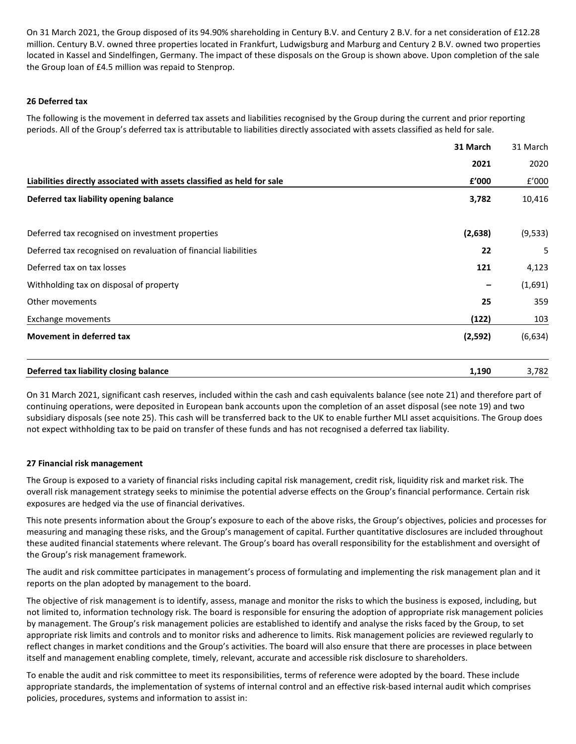On 31 March 2021, the Group disposed of its 94.90% shareholding in Century B.V. and Century 2 B.V. for a net consideration of £12.28 million. Century B.V. owned three properties located in Frankfurt, Ludwigsburg and Marburg and Century 2 B.V. owned two properties located in Kassel and Sindelfingen, Germany. The impact of these disposals on the Group is shown above. Upon completion of the sale the Group loan of £4.5 million was repaid to Stenprop.

## **26 Deferred tax**

The following is the movement in deferred tax assets and liabilities recognised by the Group during the current and prior reporting periods. All of the Group's deferred tax is attributable to liabilities directly associated with assets classified as held for sale.

**31 March**

|                                                                         | 31 March | 31 March |
|-------------------------------------------------------------------------|----------|----------|
|                                                                         | 2021     | 2020     |
| Liabilities directly associated with assets classified as held for sale | f'000    | f'000    |
| Deferred tax liability opening balance                                  | 3,782    | 10,416   |
| Deferred tax recognised on investment properties                        | (2,638)  | (9, 533) |
| Deferred tax recognised on revaluation of financial liabilities         | 22       | 5        |
| Deferred tax on tax losses                                              | 121      | 4,123    |
| Withholding tax on disposal of property                                 |          | (1,691)  |
| Other movements                                                         | 25       | 359      |
| Exchange movements                                                      | (122)    | 103      |
| <b>Movement in deferred tax</b>                                         | (2, 592) | (6,634)  |
| Deferred tax liability closing balance                                  | 1,190    | 3,782    |

On 31 March 2021, significant cash reserves, included within the cash and cash equivalents balance (see note 21) and therefore part of continuing operations, were deposited in European bank accounts upon the completion of an asset disposal (see note 19) and two subsidiary disposals (see note 25). This cash will be transferred back to the UK to enable further MLI asset acquisitions. The Group does not expect withholding tax to be paid on transfer of these funds and has not recognised a deferred tax liability.

## **27 Financial risk management**

The Group is exposed to a variety of financial risks including capital risk management, credit risk, liquidity risk and market risk. The overall risk management strategy seeks to minimise the potential adverse effects on the Group's financial performance. Certain risk exposures are hedged via the use of financial derivatives.

This note presents information about the Group's exposure to each of the above risks, the Group's objectives, policies and processes for measuring and managing these risks, and the Group's management of capital. Further quantitative disclosures are included throughout these audited financial statements where relevant. The Group's board has overall responsibility for the establishment and oversight of the Group's risk management framework.

The audit and risk committee participates in management's process of formulating and implementing the risk management plan and it reports on the plan adopted by management to the board.

The objective of risk management is to identify, assess, manage and monitor the risks to which the business is exposed, including, but not limited to, information technology risk. The board is responsible for ensuring the adoption of appropriate risk management policies by management. The Group's risk management policies are established to identify and analyse the risks faced by the Group, to set appropriate risk limits and controls and to monitor risks and adherence to limits. Risk management policies are reviewed regularly to reflect changes in market conditions and the Group's activities. The board will also ensure that there are processes in place between itself and management enabling complete, timely, relevant, accurate and accessible risk disclosure to shareholders.

To enable the audit and risk committee to meet its responsibilities, terms of reference were adopted by the board. These include appropriate standards, the implementation of systems of internal control and an effective risk-based internal audit which comprises policies, procedures, systems and information to assist in: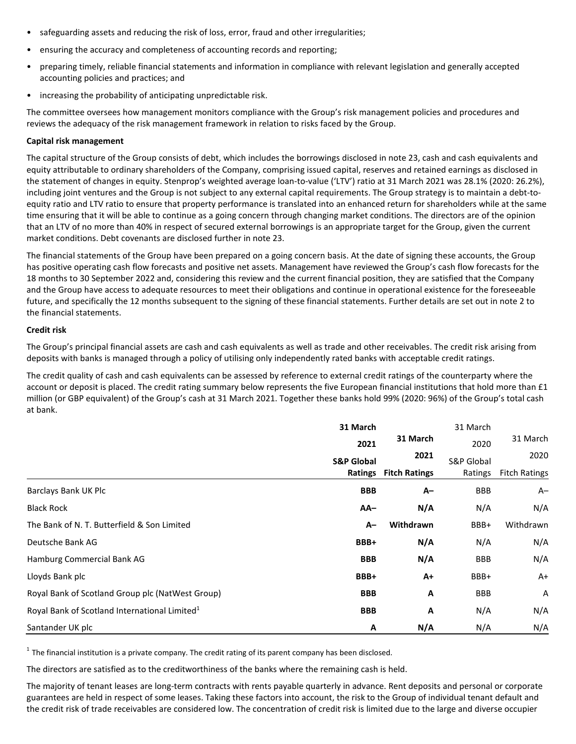- safeguarding assets and reducing the risk of loss, error, fraud and other irregularities;
- ensuring the accuracy and completeness of accounting records and reporting;
- preparing timely, reliable financial statements and information in compliance with relevant legislation and generally accepted accounting policies and practices; and
- increasing the probability of anticipating unpredictable risk.

The committee oversees how management monitors compliance with the Group's risk management policies and procedures and reviews the adequacy of the risk management framework in relation to risks faced by the Group.

## **Capital risk management**

The capital structure of the Group consists of debt, which includes the borrowings disclosed in note 23, cash and cash equivalents and equity attributable to ordinary shareholders of the Company, comprising issued capital, reserves and retained earnings as disclosed in the statement of changes in equity. Stenprop's weighted average loan-to-value ('LTV') ratio at 31 March 2021 was 28.1% (2020: 26.2%), including joint ventures and the Group is not subject to any external capital requirements. The Group strategy is to maintain a debt-toequity ratio and LTV ratio to ensure that property performance is translated into an enhanced return for shareholders while at the same time ensuring that it will be able to continue as a going concern through changing market conditions. The directors are of the opinion that an LTV of no more than 40% in respect of secured external borrowings is an appropriate target for the Group, given the current market conditions. Debt covenants are disclosed further in note 23.

The financial statements of the Group have been prepared on a going concern basis. At the date of signing these accounts, the Group has positive operating cash flow forecasts and positive net assets. Management have reviewed the Group's cash flow forecasts for the 18 months to 30 September 2022 and, considering this review and the current financial position, they are satisfied that the Company and the Group have access to adequate resources to meet their obligations and continue in operational existence for the foreseeable future, and specifically the 12 months subsequent to the signing of these financial statements. Further details are set out in note 2 to the financial statements.

## **Credit risk**

The Group's principal financial assets are cash and cash equivalents as well as trade and other receivables. The credit risk arising from deposits with banks is managed through a policy of utilising only independently rated banks with acceptable credit ratings.

The credit quality of cash and cash equivalents can be assessed by reference to external credit ratings of the counterparty where the account or deposit is placed. The credit rating summary below represents the five European financial institutions that hold more than £1 million (or GBP equivalent) of the Group's cash at 31 March 2021. Together these banks hold 99% (2020: 96%) of the Group's total cash at bank.

|                                                           | 31 March              |                      | 31 March              |                      |
|-----------------------------------------------------------|-----------------------|----------------------|-----------------------|----------------------|
|                                                           | 2021                  | 31 March             | 2020                  | 31 March             |
|                                                           | <b>S&amp;P Global</b> | 2021                 | <b>S&amp;P Global</b> | 2020                 |
|                                                           | <b>Ratings</b>        | <b>Fitch Ratings</b> | Ratings               | <b>Fitch Ratings</b> |
| Barclays Bank UK Plc                                      | <b>BBB</b>            | A-                   | <b>BBB</b>            | A–                   |
| <b>Black Rock</b>                                         | $AA-$                 | N/A                  | N/A                   | N/A                  |
| The Bank of N. T. Butterfield & Son Limited               | A-                    | Withdrawn            | BBB+                  | Withdrawn            |
| Deutsche Bank AG                                          | BBB+                  | N/A                  | N/A                   | N/A                  |
| Hamburg Commercial Bank AG                                | <b>BBB</b>            | N/A                  | <b>BBB</b>            | N/A                  |
| Lloyds Bank plc                                           | BBB+                  | $A+$                 | BBB+                  | $A+$                 |
| Royal Bank of Scotland Group plc (NatWest Group)          | <b>BBB</b>            | Α                    | <b>BBB</b>            | A                    |
| Royal Bank of Scotland International Limited <sup>1</sup> | <b>BBB</b>            | Α                    | N/A                   | N/A                  |
| Santander UK plc                                          | A                     | N/A                  | N/A                   | N/A                  |

 $1$  The financial institution is a private company. The credit rating of its parent company has been disclosed.

The directors are satisfied as to the creditworthiness of the banks where the remaining cash is held.

The majority of tenant leases are long-term contracts with rents payable quarterly in advance. Rent deposits and personal or corporate guarantees are held in respect of some leases. Taking these factors into account, the risk to the Group of individual tenant default and the credit risk of trade receivables are considered low. The concentration of credit risk is limited due to the large and diverse occupier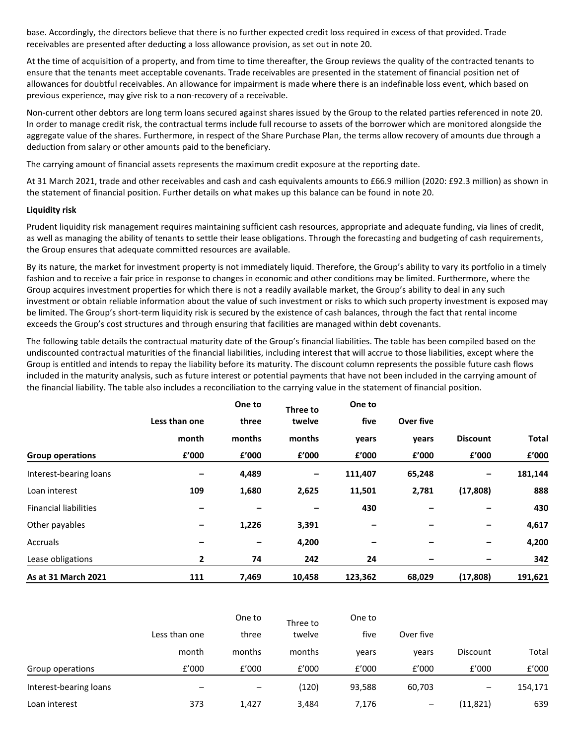base. Accordingly, the directors believe that there is no further expected credit loss required in excess of that provided. Trade receivables are presented after deducting a loss allowance provision, as set out in note 20.

At the time of acquisition of a property, and from time to time thereafter, the Group reviews the quality of the contracted tenants to ensure that the tenants meet acceptable covenants. Trade receivables are presented in the statement of financial position net of allowances for doubtful receivables. An allowance for impairment is made where there is an indefinable loss event, which based on previous experience, may give risk to a non-recovery of a receivable.

Non-current other debtors are long term loans secured against shares issued by the Group to the related parties referenced in note 20. In order to manage credit risk, the contractual terms include full recourse to assets of the borrower which are monitored alongside the aggregate value of the shares. Furthermore, in respect of the Share Purchase Plan, the terms allow recovery of amounts due through a deduction from salary or other amounts paid to the beneficiary.

The carrying amount of financial assets represents the maximum credit exposure at the reporting date.

At 31 March 2021, trade and other receivables and cash and cash equivalents amounts to £66.9 million (2020: £92.3 million) as shown in the statement of financial position. Further details on what makes up this balance can be found in note 20.

## **Liquidity risk**

Prudent liquidity risk management requires maintaining sufficient cash resources, appropriate and adequate funding, via lines of credit, as well as managing the ability of tenants to settle their lease obligations. Through the forecasting and budgeting of cash requirements, the Group ensures that adequate committed resources are available.

By its nature, the market for investment property is not immediately liquid. Therefore, the Group's ability to vary its portfolio in a timely fashion and to receive a fair price in response to changes in economic and other conditions may be limited. Furthermore, where the Group acquires investment properties for which there is not a readily available market, the Group's ability to deal in any such investment or obtain reliable information about the value of such investment or risks to which such property investment is exposed may be limited. The Group's short-term liquidity risk is secured by the existence of cash balances, through the fact that rental income exceeds the Group's cost structures and through ensuring that facilities are managed within debt covenants.

The following table details the contractual maturity date of the Group's financial liabilities. The table has been compiled based on the undiscounted contractual maturities of the financial liabilities, including interest that will accrue to those liabilities, except where the Group is entitled and intends to repay the liability before its maturity. The discount column represents the possible future cash flows included in the maturity analysis, such as future interest or potential payments that have not been included in the carrying amount of the financial liability. The table also includes a reconciliation to the carrying value in the statement of financial position.

|                              |               | One to | Three to | One to<br>five |           |                 |         |
|------------------------------|---------------|--------|----------|----------------|-----------|-----------------|---------|
|                              | Less than one | three  | twelve   |                | Over five |                 |         |
|                              | month         | months | months   | years          | years     | <b>Discount</b> | Total   |
| <b>Group operations</b>      | £'000         | f'000  | f'000    | £'000          | f'000     | £'000           | £'000   |
| Interest-bearing loans       |               | 4,489  | -        | 111,407        | 65,248    |                 | 181,144 |
| Loan interest                | 109           | 1,680  | 2,625    | 11,501         | 2,781     | (17, 808)       | 888     |
| <b>Financial liabilities</b> |               |        |          | 430            |           |                 | 430     |
| Other payables               | -             | 1,226  | 3,391    | -              |           | -               | 4,617   |
| Accruals                     |               |        | 4,200    | -              |           | -               | 4,200   |
| Lease obligations            | 2             | 74     | 242      | 24             | -         | -               | 342     |
| As at 31 March 2021          | 111           | 7,469  | 10,458   | 123,362        | 68,029    | (17, 808)       | 191,621 |

|                        |                          | One to<br>Three to       |        |        |                            |                 |         |  |
|------------------------|--------------------------|--------------------------|--------|--------|----------------------------|-----------------|---------|--|
|                        | Less than one            | three                    | twelve | five   | Over five                  |                 |         |  |
|                        | month                    | months                   | months | vears  | vears                      | <b>Discount</b> | Total   |  |
| Group operations       | f'000                    | f'000                    | f'000  | f'000  | f'000                      | f'000           | £'000   |  |
| Interest-bearing loans | $\overline{\phantom{m}}$ | $\overline{\phantom{0}}$ | (120)  | 93,588 | 60,703                     | -               | 154,171 |  |
| Loan interest          | 373                      | 1,427                    | 3,484  | 7,176  | $\qquad \qquad \  \  \, -$ | (11, 821)       | 639     |  |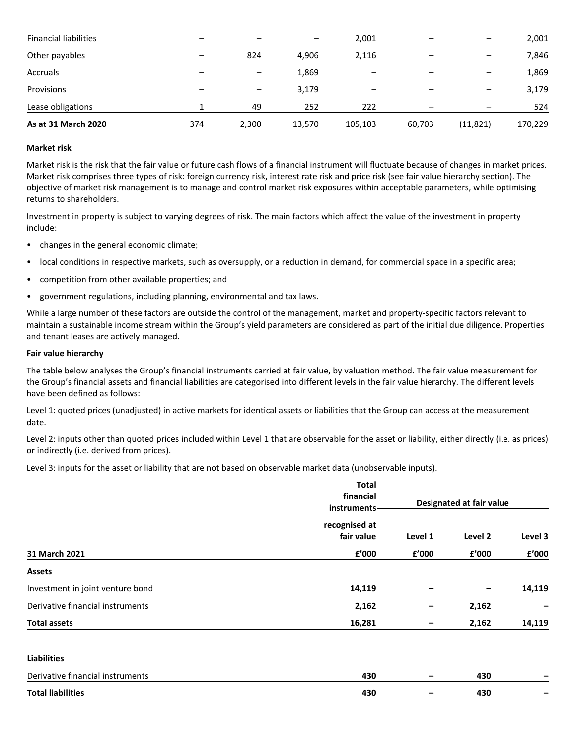| As at 31 March 2020          | 374                      | 2,300                    | 13,570          | 105,103 | 60,703 | (11, 821)                | 170,229 |
|------------------------------|--------------------------|--------------------------|-----------------|---------|--------|--------------------------|---------|
| Lease obligations            |                          | 49                       | 252             | 222     |        |                          | 524     |
| Provisions                   | $\overline{\phantom{0}}$ | $\overline{\phantom{m}}$ | 3,179           |         |        | $\overline{\phantom{0}}$ | 3,179   |
| Accruals                     |                          | $\overline{\phantom{0}}$ | 1,869           |         |        |                          | 1,869   |
| Other payables               | $\overline{\phantom{0}}$ | 824                      | 4,906           | 2,116   |        |                          | 7,846   |
| <b>Financial liabilities</b> |                          |                          | $\qquad \qquad$ | 2,001   | —      |                          | 2,001   |

## **Market risk**

Market risk is the risk that the fair value or future cash flows of a financial instrument will fluctuate because of changes in market prices. Market risk comprises three types of risk: foreign currency risk, interest rate risk and price risk (see fair value hierarchy section). The objective of market risk management is to manage and control market risk exposures within acceptable parameters, while optimising returns to shareholders.

Investment in property is subject to varying degrees of risk. The main factors which affect the value of the investment in property include:

- changes in the general economic climate;
- local conditions in respective markets, such as oversupply, or a reduction in demand, for commercial space in a specific area;
- competition from other available properties; and
- government regulations, including planning, environmental and tax laws.

While a large number of these factors are outside the control of the management, market and property-specific factors relevant to maintain a sustainable income stream within the Group's yield parameters are considered as part of the initial due diligence. Properties and tenant leases are actively managed.

#### **Fair value hierarchy**

The table below analyses the Group's financial instruments carried at fair value, by valuation method. The fair value measurement for the Group's financial assets and financial liabilities are categorised into different levels in the fair value hierarchy. The different levels have been defined as follows:

Level 1: quoted prices (unadjusted) in active markets for identical assets or liabilities that the Group can access at the measurement date.

Level 2: inputs other than quoted prices included within Level 1 that are observable for the asset or liability, either directly (i.e. as prices) or indirectly (i.e. derived from prices).

Level 3: inputs for the asset or liability that are not based on observable market data (unobservable inputs).

|                                  | <b>Total</b><br>financial<br>instruments- | Designated at fair value |         |         |
|----------------------------------|-------------------------------------------|--------------------------|---------|---------|
|                                  | recognised at<br>fair value               | Level 1                  | Level 2 | Level 3 |
| 31 March 2021                    | £'000                                     | £'000                    | £'000   | £'000   |
| <b>Assets</b>                    |                                           |                          |         |         |
| Investment in joint venture bond | 14,119                                    |                          | -       | 14,119  |
| Derivative financial instruments | 2,162                                     | -                        | 2,162   | -       |
| <b>Total assets</b>              | 16,281                                    |                          | 2,162   | 14,119  |
| <b>Liabilities</b>               |                                           |                          |         |         |
| Derivative financial instruments | 430                                       |                          | 430     |         |
| <b>Total liabilities</b>         | 430                                       |                          | 430     |         |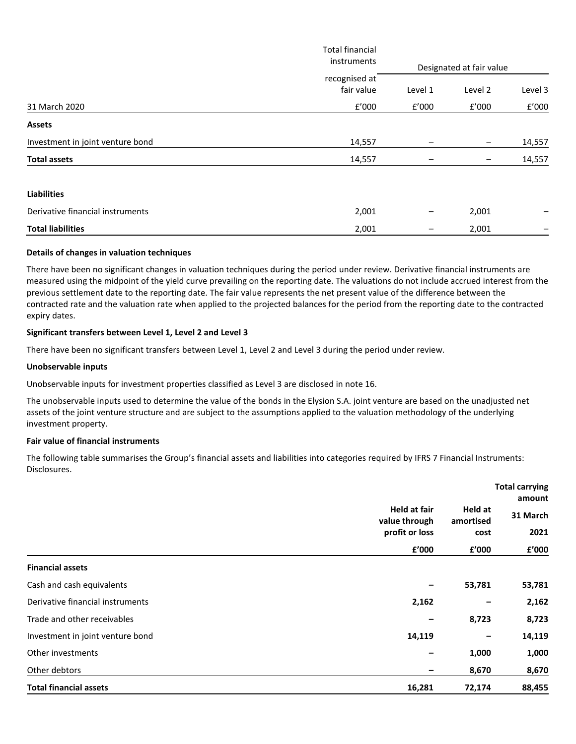|                                  | <b>Total financial</b><br>instruments |                 |                          |         |
|----------------------------------|---------------------------------------|-----------------|--------------------------|---------|
|                                  | recognised at                         |                 | Designated at fair value |         |
|                                  | fair value                            | Level 1         | Level 2                  | Level 3 |
| 31 March 2020                    | f'000                                 | f'000           | £'000                    | f'000   |
| <b>Assets</b>                    |                                       |                 |                          |         |
| Investment in joint venture bond | 14,557                                |                 | —                        | 14,557  |
| <b>Total assets</b>              | 14,557                                |                 | —                        | 14,557  |
| <b>Liabilities</b>               |                                       |                 |                          |         |
| Derivative financial instruments | 2,001                                 | $\qquad \qquad$ | 2,001                    | -       |
| <b>Total liabilities</b>         | 2,001                                 |                 | 2,001                    |         |

## **Details of changes in valuation techniques**

There have been no significant changes in valuation techniques during the period under review. Derivative financial instruments are measured using the midpoint of the yield curve prevailing on the reporting date. The valuations do not include accrued interest from the previous settlement date to the reporting date. The fair value represents the net present value of the difference between the contracted rate and the valuation rate when applied to the projected balances for the period from the reporting date to the contracted expiry dates.

## **Significant transfers between Level 1, Level 2 and Level 3**

There have been no significant transfers between Level 1, Level 2 and Level 3 during the period under review.

#### **Unobservable inputs**

Unobservable inputs for investment properties classified as Level 3 are disclosed in note 16.

The unobservable inputs used to determine the value of the bonds in the Elysion S.A. joint venture are based on the unadjusted net assets of the joint venture structure and are subject to the assumptions applied to the valuation methodology of the underlying investment property.

#### **Fair value of financial instruments**

The following table summarises the Group's financial assets and liabilities into categories required by IFRS 7 Financial Instruments: Disclosures.

|                                  |                                                        |                                       | <b>Total carrying</b><br>amount |  |
|----------------------------------|--------------------------------------------------------|---------------------------------------|---------------------------------|--|
|                                  | <b>Held at fair</b><br>value through<br>profit or loss | Held at<br>amortised<br>cost<br>f'000 | 31 March<br>2021<br>£'000       |  |
|                                  | £'000                                                  |                                       |                                 |  |
| <b>Financial assets</b>          |                                                        |                                       |                                 |  |
| Cash and cash equivalents        |                                                        | 53,781                                | 53,781                          |  |
| Derivative financial instruments | 2,162                                                  |                                       | 2,162                           |  |
| Trade and other receivables      |                                                        | 8,723                                 | 8,723                           |  |
| Investment in joint venture bond | 14,119                                                 |                                       | 14,119                          |  |
| Other investments                |                                                        | 1,000                                 | 1,000                           |  |
| Other debtors                    |                                                        | 8,670                                 | 8,670                           |  |
| <b>Total financial assets</b>    | 16,281                                                 | 72,174                                | 88,455                          |  |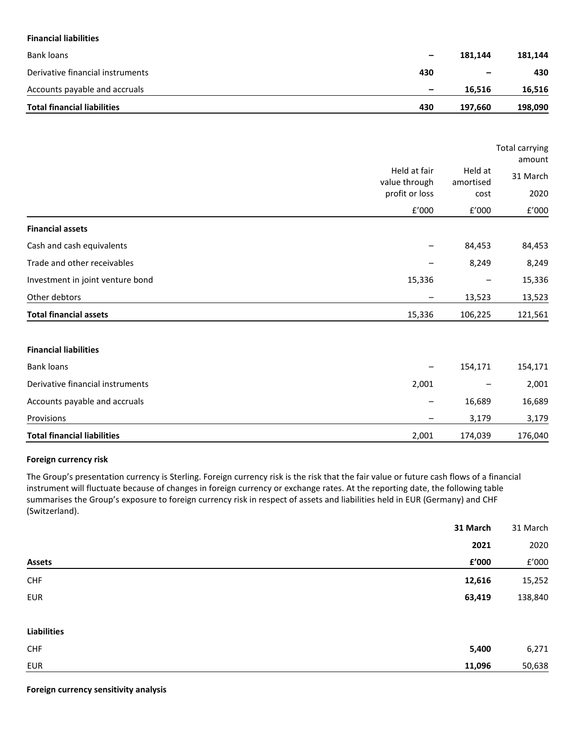## **Financial liabilities**

| Accounts payable and accruals<br><b>Total financial liabilities</b> | $\qquad \qquad \blacksquare$<br>430 | 16.516<br>197.660 | 16,516<br>198,090 |
|---------------------------------------------------------------------|-------------------------------------|-------------------|-------------------|
| Derivative financial instruments                                    | 430                                 | -                 | 430               |
|                                                                     | $\qquad \qquad \blacksquare$        |                   | 181.144           |
| Bank loans                                                          |                                     | 181.144           |                   |

|                                  |                               | <b>Total carrying</b><br>amount |          |
|----------------------------------|-------------------------------|---------------------------------|----------|
|                                  | Held at fair<br>value through | Held at<br>amortised<br>cost    | 31 March |
|                                  | profit or loss                |                                 | 2020     |
|                                  | f'000                         | f'000                           | f'000    |
| <b>Financial assets</b>          |                               |                                 |          |
| Cash and cash equivalents        |                               | 84,453                          | 84,453   |
| Trade and other receivables      |                               | 8,249                           | 8,249    |
| Investment in joint venture bond | 15,336                        |                                 | 15,336   |
| Other debtors                    |                               | 13,523                          | 13,523   |
| <b>Total financial assets</b>    | 15,336                        | 106,225                         | 121,561  |
| <b>Financial liabilities</b>     |                               |                                 |          |
| <b>Bank loans</b>                |                               | 154,171                         | 154,171  |
| Derivative financial instruments | 2,001                         |                                 | 2,001    |

# Accounts payable and accruals and accounts of the set of the set of the set of the set of the set of the set of the set of the set of the set of the set of the set of the set of the set of the set of the set of the set of Provisions – 3,179 3,179 **Total financial liabilities** 2,001 174,039 176,040

## **Foreign currency risk**

The Group's presentation currency is Sterling. Foreign currency risk is the risk that the fair value or future cash flows of a financial instrument will fluctuate because of changes in foreign currency or exchange rates. At the reporting date, the following table summarises the Group's exposure to foreign currency risk in respect of assets and liabilities held in EUR (Germany) and CHF (Switzerland).

| 31 March               | 31 March |
|------------------------|----------|
| 2021                   | 2020     |
| £'000<br><b>Assets</b> | f'000    |
| <b>CHF</b><br>12,616   | 15,252   |
| <b>EUR</b><br>63,419   | 138,840  |
| <b>Liabilities</b>     |          |
| <b>CHF</b><br>5,400    | 6,271    |
| <b>EUR</b><br>11,096   | 50,638   |

**Foreign currency sensitivity analysis**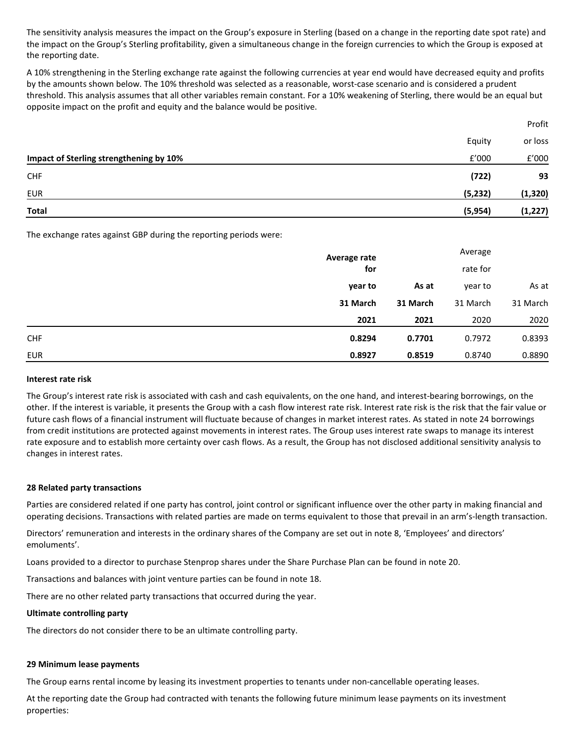The sensitivity analysis measures the impact on the Group's exposure in Sterling (based on a change in the reporting date spot rate) and the impact on the Group's Sterling profitability, given a simultaneous change in the foreign currencies to which the Group is exposed at the reporting date.

A 10% strengthening in the Sterling exchange rate against the following currencies at year end would have decreased equity and profits by the amounts shown below. The 10% threshold was selected as a reasonable, worst-case scenario and is considered a prudent threshold. This analysis assumes that all other variables remain constant. For a 10% weakening of Sterling, there would be an equal but opposite impact on the profit and equity and the balance would be positive.

Profit

|                                         | Equity   | or loss  |
|-----------------------------------------|----------|----------|
| Impact of Sterling strengthening by 10% | £'000    | f'000    |
| <b>CHF</b>                              | (722)    | 93       |
| EUR                                     | (5, 232) | (1, 320) |
| Total                                   | (5,954)  | (1, 227) |

The exchange rates against GBP during the reporting periods were:

|            | Average rate | Average  |          |          |  |
|------------|--------------|----------|----------|----------|--|
|            | for          |          | rate for |          |  |
|            | year to      | As at    | year to  | As at    |  |
|            | 31 March     | 31 March | 31 March | 31 March |  |
|            | 2021         | 2021     | 2020     | 2020     |  |
| <b>CHF</b> | 0.8294       | 0.7701   | 0.7972   | 0.8393   |  |
| <b>EUR</b> | 0.8927       | 0.8519   | 0.8740   | 0.8890   |  |

#### **Interest rate risk**

The Group's interest rate risk is associated with cash and cash equivalents, on the one hand, and interest-bearing borrowings, on the other. If the interest is variable, it presents the Group with a cash flow interest rate risk. Interest rate risk is the risk that the fair value or future cash flows of a financial instrument will fluctuate because of changes in market interest rates. As stated in note 24 borrowings from credit institutions are protected against movements in interest rates. The Group uses interest rate swaps to manage its interest rate exposure and to establish more certainty over cash flows. As a result, the Group has not disclosed additional sensitivity analysis to changes in interest rates.

## **28 Related party transactions**

Parties are considered related if one party has control, joint control or significant influence over the other party in making financial and operating decisions. Transactions with related parties are made on terms equivalent to those that prevail in an arm's-length transaction.

Directors' remuneration and interests in the ordinary shares of the Company are set out in note 8, 'Employees' and directors' emoluments'.

Loans provided to a director to purchase Stenprop shares under the Share Purchase Plan can be found in note 20.

Transactions and balances with joint venture parties can be found in note 18.

There are no other related party transactions that occurred during the year.

#### **Ultimate controlling party**

The directors do not consider there to be an ultimate controlling party.

## **29 Minimum lease payments**

The Group earns rental income by leasing its investment properties to tenants under non-cancellable operating leases.

At the reporting date the Group had contracted with tenants the following future minimum lease payments on its investment properties: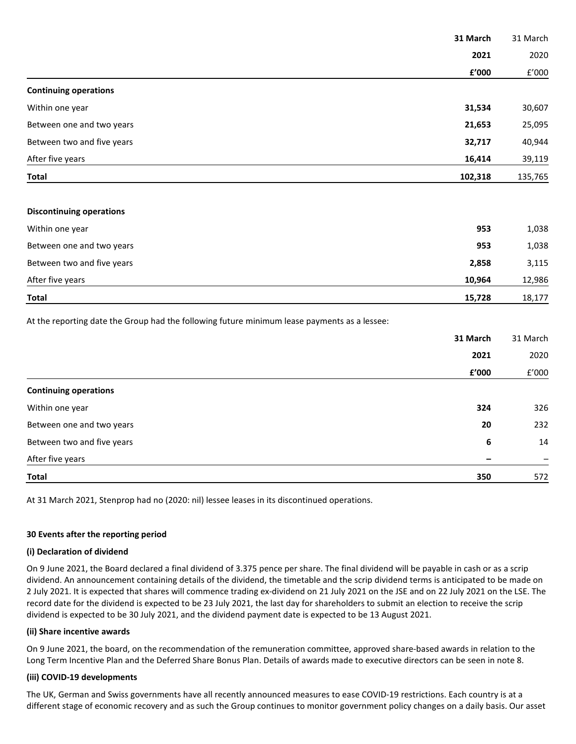|                                                                                              | 31 March               | 31 March             |
|----------------------------------------------------------------------------------------------|------------------------|----------------------|
|                                                                                              | 2021                   | 2020                 |
|                                                                                              | £'000                  | $\rm{f}^{\prime}000$ |
| <b>Continuing operations</b>                                                                 |                        |                      |
| Within one year                                                                              | 31,534                 | 30,607               |
| Between one and two years                                                                    | 21,653                 | 25,095               |
| Between two and five years                                                                   | 32,717                 | 40,944               |
| After five years                                                                             | 16,414                 | 39,119               |
| <b>Total</b>                                                                                 | 102,318                | 135,765              |
| <b>Discontinuing operations</b>                                                              |                        |                      |
| Within one year                                                                              | 953                    | 1,038                |
| Between one and two years                                                                    | 953                    | 1,038                |
| Between two and five years                                                                   | 2,858                  | 3,115                |
| After five years                                                                             | 10,964                 | 12,986               |
| <b>Total</b>                                                                                 | 15,728                 | 18,177               |
| At the reporting date the Group had the following future minimum lease payments as a lessee: |                        |                      |
|                                                                                              | 31 March               | 31 March             |
|                                                                                              | 2021                   | 2020                 |
|                                                                                              | ${\bf f}^{\prime}$ 000 | f'000                |
| <b>Continuing operations</b>                                                                 |                        |                      |
| Within one year                                                                              | 324                    | 326                  |
| Between one and two years                                                                    | 20                     | 232                  |
| Between two and five years                                                                   | 6                      | 14                   |
| After five years                                                                             |                        |                      |
| <b>Total</b>                                                                                 | 350                    | 572                  |

At 31 March 2021, Stenprop had no (2020: nil) lessee leases in its discontinued operations.

## **30 Events after the reporting period**

#### **(i) Declaration of dividend**

On 9 June 2021, the Board declared a final dividend of 3.375 pence per share. The final dividend will be payable in cash or as a scrip dividend. An announcement containing details of the dividend, the timetable and the scrip dividend terms is anticipated to be made on 2 July 2021. It is expected that shares will commence trading ex-dividend on 21 July 2021 on the JSE and on 22 July 2021 on the LSE. The record date for the dividend is expected to be 23 July 2021, the last day for shareholders to submit an election to receive the scrip dividend is expected to be 30 July 2021, and the dividend payment date is expected to be 13 August 2021.

#### **(ii) Share incentive awards**

On 9 June 2021, the board, on the recommendation of the remuneration committee, approved share-based awards in relation to the Long Term Incentive Plan and the Deferred Share Bonus Plan. Details of awards made to executive directors can be seen in note 8.

## **(iii) COVID-19 developments**

The UK, German and Swiss governments have all recently announced measures to ease COVID-19 restrictions. Each country is at a different stage of economic recovery and as such the Group continues to monitor government policy changes on a daily basis. Our asset